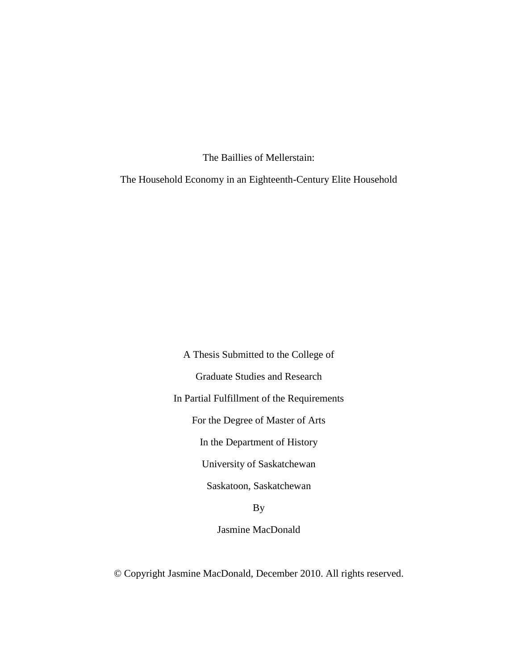The Baillies of Mellerstain:

The Household Economy in an Eighteenth-Century Elite Household

A Thesis Submitted to the College of Graduate Studies and Research In Partial Fulfillment of the Requirements For the Degree of Master of Arts In the Department of History University of Saskatchewan Saskatoon, Saskatchewan

By

Jasmine MacDonald

© Copyright Jasmine MacDonald, December 2010. All rights reserved.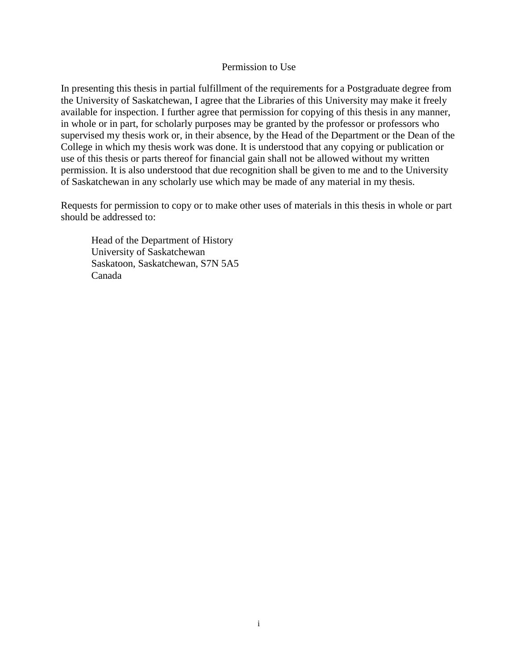### Permission to Use

In presenting this thesis in partial fulfillment of the requirements for a Postgraduate degree from the University of Saskatchewan, I agree that the Libraries of this University may make it freely available for inspection. I further agree that permission for copying of this thesis in any manner, in whole or in part, for scholarly purposes may be granted by the professor or professors who supervised my thesis work or, in their absence, by the Head of the Department or the Dean of the College in which my thesis work was done. It is understood that any copying or publication or use of this thesis or parts thereof for financial gain shall not be allowed without my written permission. It is also understood that due recognition shall be given to me and to the University of Saskatchewan in any scholarly use which may be made of any material in my thesis.

Requests for permission to copy or to make other uses of materials in this thesis in whole or part should be addressed to:

Head of the Department of History University of Saskatchewan Saskatoon, Saskatchewan, S7N 5A5 Canada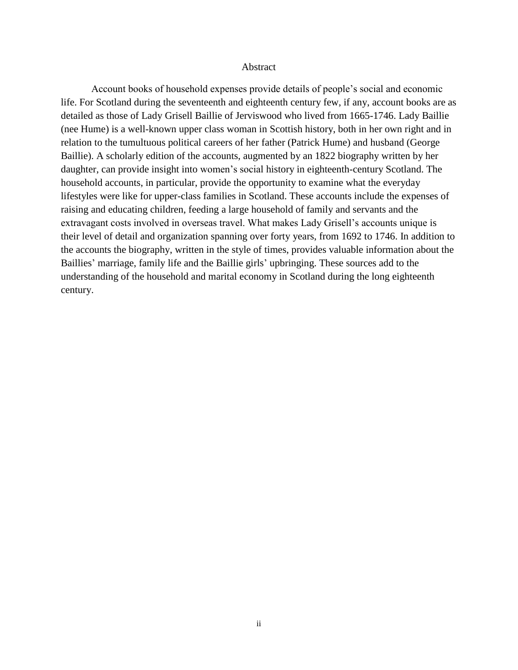### Abstract

Account books of household expenses provide details of people"s social and economic life. For Scotland during the seventeenth and eighteenth century few, if any, account books are as detailed as those of Lady Grisell Baillie of Jerviswood who lived from 1665-1746. Lady Baillie (nee Hume) is a well-known upper class woman in Scottish history, both in her own right and in relation to the tumultuous political careers of her father (Patrick Hume) and husband (George Baillie). A scholarly edition of the accounts, augmented by an 1822 biography written by her daughter, can provide insight into women's social history in eighteenth-century Scotland. The household accounts, in particular, provide the opportunity to examine what the everyday lifestyles were like for upper-class families in Scotland. These accounts include the expenses of raising and educating children, feeding a large household of family and servants and the extravagant costs involved in overseas travel. What makes Lady Grisell"s accounts unique is their level of detail and organization spanning over forty years, from 1692 to 1746. In addition to the accounts the biography, written in the style of times, provides valuable information about the Baillies' marriage, family life and the Baillie girls' upbringing. These sources add to the understanding of the household and marital economy in Scotland during the long eighteenth century.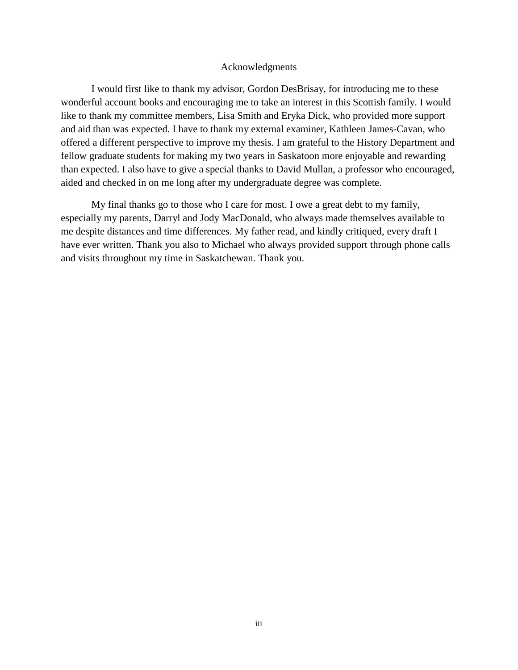### Acknowledgments

I would first like to thank my advisor, Gordon DesBrisay, for introducing me to these wonderful account books and encouraging me to take an interest in this Scottish family. I would like to thank my committee members, Lisa Smith and Eryka Dick, who provided more support and aid than was expected. I have to thank my external examiner, Kathleen James-Cavan, who offered a different perspective to improve my thesis. I am grateful to the History Department and fellow graduate students for making my two years in Saskatoon more enjoyable and rewarding than expected. I also have to give a special thanks to David Mullan, a professor who encouraged, aided and checked in on me long after my undergraduate degree was complete.

My final thanks go to those who I care for most. I owe a great debt to my family, especially my parents, Darryl and Jody MacDonald, who always made themselves available to me despite distances and time differences. My father read, and kindly critiqued, every draft I have ever written. Thank you also to Michael who always provided support through phone calls and visits throughout my time in Saskatchewan. Thank you.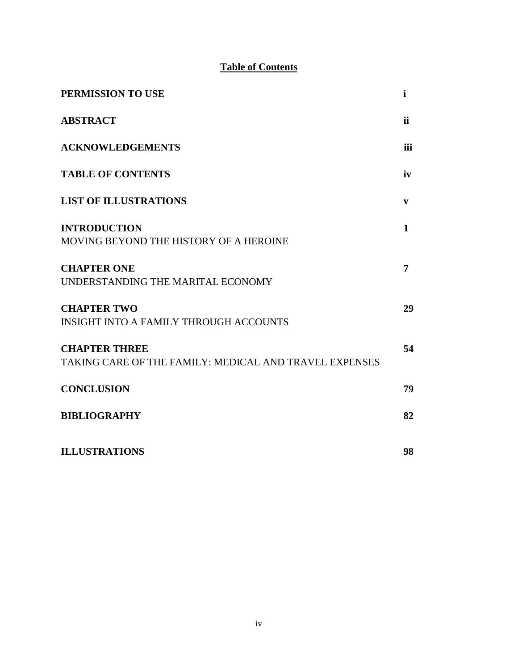## **Table of Contents**

| PERMISSION TO USE                                                              | $\mathbf i$ |
|--------------------------------------------------------------------------------|-------------|
| <b>ABSTRACT</b>                                                                | <i>ii</i>   |
| <b>ACKNOWLEDGEMENTS</b>                                                        | iii         |
| <b>TABLE OF CONTENTS</b>                                                       | iv          |
| <b>LIST OF ILLUSTRATIONS</b>                                                   | V           |
| <b>INTRODUCTION</b><br>MOVING BEYOND THE HISTORY OF A HEROINE                  | 1           |
| <b>CHAPTER ONE</b><br>UNDERSTANDING THE MARITAL ECONOMY                        | 7           |
| <b>CHAPTER TWO</b><br><b>INSIGHT INTO A FAMILY THROUGH ACCOUNTS</b>            | 29          |
| <b>CHAPTER THREE</b><br>TAKING CARE OF THE FAMILY: MEDICAL AND TRAVEL EXPENSES | 54          |
| <b>CONCLUSION</b>                                                              | 79          |
| <b>BIBLIOGRAPHY</b>                                                            | 82          |
| <b>ILLUSTRATIONS</b>                                                           | 98          |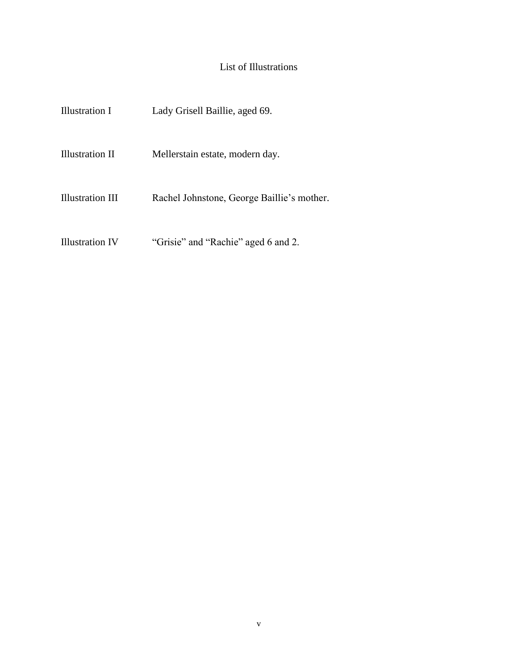# List of Illustrations

| Illustration I   | Lady Grisell Baillie, aged 69.             |
|------------------|--------------------------------------------|
| Illustration II  | Mellerstain estate, modern day.            |
| Illustration III | Rachel Johnstone, George Baillie's mother. |
| Illustration IV  | "Grisie" and "Rachie" aged 6 and 2.        |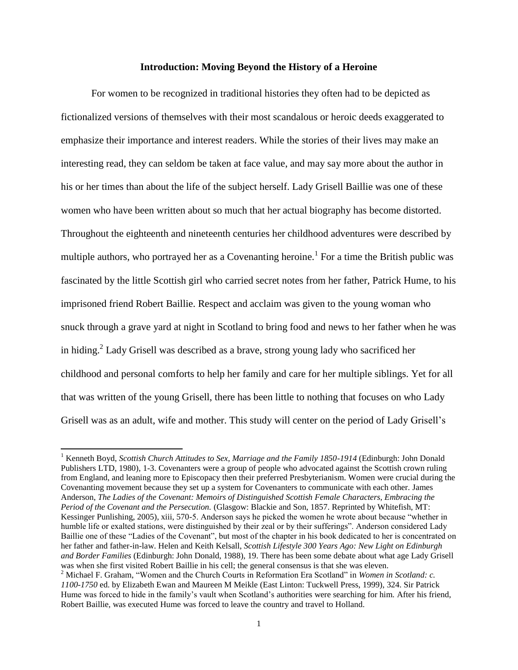### **Introduction: Moving Beyond the History of a Heroine**

For women to be recognized in traditional histories they often had to be depicted as fictionalized versions of themselves with their most scandalous or heroic deeds exaggerated to emphasize their importance and interest readers. While the stories of their lives may make an interesting read, they can seldom be taken at face value, and may say more about the author in his or her times than about the life of the subject herself. Lady Grisell Baillie was one of these women who have been written about so much that her actual biography has become distorted. Throughout the eighteenth and nineteenth centuries her childhood adventures were described by multiple authors, who portrayed her as a Covenanting heroine.<sup>1</sup> For a time the British public was fascinated by the little Scottish girl who carried secret notes from her father, Patrick Hume, to his imprisoned friend Robert Baillie. Respect and acclaim was given to the young woman who snuck through a grave yard at night in Scotland to bring food and news to her father when he was in hiding.<sup>2</sup> Lady Grisell was described as a brave, strong young lady who sacrificed her childhood and personal comforts to help her family and care for her multiple siblings. Yet for all that was written of the young Grisell, there has been little to nothing that focuses on who Lady Grisell was as an adult, wife and mother. This study will center on the period of Lady Grisell"s

<sup>&</sup>lt;sup>1</sup> Kenneth Boyd, *Scottish Church Attitudes to Sex, Marriage and the Family 1850-1914* (Edinburgh: John Donald Publishers LTD, 1980), 1-3. Covenanters were a group of people who advocated against the Scottish crown ruling from England, and leaning more to Episcopacy then their preferred Presbyterianism. Women were crucial during the Covenanting movement because they set up a system for Covenanters to communicate with each other. James Anderson, *The Ladies of the Covenant: Memoirs of Distinguished Scottish Female Characters, Embracing the Period of the Covenant and the Persecution.* (Glasgow: Blackie and Son, 1857. Reprinted by Whitefish, MT: Kessinger Punlishing, 2005), xiii, 570-5. Anderson says he picked the women he wrote about because "whether in humble life or exalted stations, were distinguished by their zeal or by their sufferings". Anderson considered Lady Baillie one of these "Ladies of the Covenant", but most of the chapter in his book dedicated to her is concentrated on her father and father-in-law. Helen and Keith Kelsall, *Scottish Lifestyle 300 Years Ago: New Light on Edinburgh and Border Families* (Edinburgh: John Donald, 1988), 19. There has been some debate about what age Lady Grisell was when she first visited Robert Baillie in his cell; the general consensus is that she was eleven. <sup>2</sup> Michael F. Graham, "Women and the Church Courts in Reformation Era Scotland" in *Women in Scotland: c.* 

*<sup>1100-1750</sup>* ed. by Elizabeth Ewan and Maureen M Meikle (East Linton: Tuckwell Press, 1999), 324. Sir Patrick Hume was forced to hide in the family's vault when Scotland's authorities were searching for him. After his friend, Robert Baillie, was executed Hume was forced to leave the country and travel to Holland.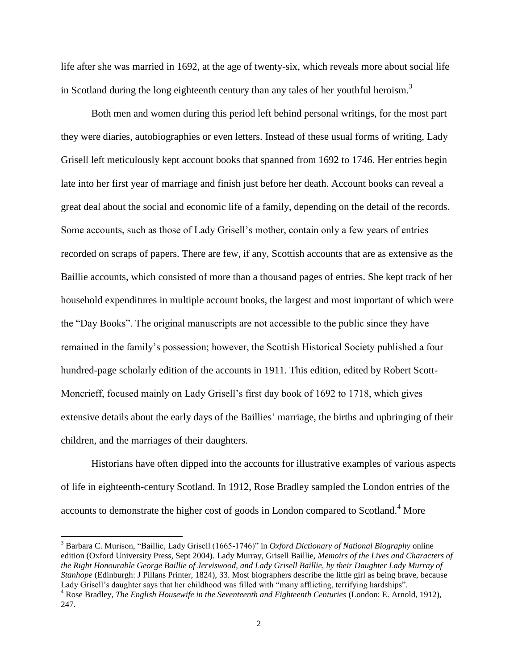life after she was married in 1692, at the age of twenty-six, which reveals more about social life in Scotland during the long eighteenth century than any tales of her youthful heroism.<sup>3</sup>

Both men and women during this period left behind personal writings, for the most part they were diaries, autobiographies or even letters. Instead of these usual forms of writing, Lady Grisell left meticulously kept account books that spanned from 1692 to 1746. Her entries begin late into her first year of marriage and finish just before her death. Account books can reveal a great deal about the social and economic life of a family, depending on the detail of the records. Some accounts, such as those of Lady Grisell"s mother, contain only a few years of entries recorded on scraps of papers. There are few, if any, Scottish accounts that are as extensive as the Baillie accounts, which consisted of more than a thousand pages of entries. She kept track of her household expenditures in multiple account books, the largest and most important of which were the "Day Books". The original manuscripts are not accessible to the public since they have remained in the family"s possession; however, the Scottish Historical Society published a four hundred-page scholarly edition of the accounts in 1911. This edition, edited by Robert Scott-Moncrieff, focused mainly on Lady Grisell"s first day book of 1692 to 1718, which gives extensive details about the early days of the Baillies' marriage, the births and upbringing of their children, and the marriages of their daughters.

Historians have often dipped into the accounts for illustrative examples of various aspects of life in eighteenth-century Scotland. In 1912, Rose Bradley sampled the London entries of the accounts to demonstrate the higher cost of goods in London compared to Scotland.<sup>4</sup> More

<sup>3</sup> Barbara C. Murison, "Baillie, Lady Grisell (1665-1746)" in *Oxford Dictionary of National Biography* online edition (Oxford University Press, Sept 2004). Lady Murray, Grisell Baillie, *Memoirs of the Lives and Characters of the Right Honourable George Baillie of Jerviswood, and Lady Grisell Baillie, by their Daughter Lady Murray of Stanhope* (Edinburgh: J Pillans Printer, 1824), 33. Most biographers describe the little girl as being brave, because Lady Grisell's daughter says that her childhood was filled with "many afflicting, terrifying hardships".

<sup>&</sup>lt;sup>4</sup> Rose Bradley, *The English Housewife in the Seventeenth and Eighteenth Centuries (London: E. Arnold, 1912),* 247.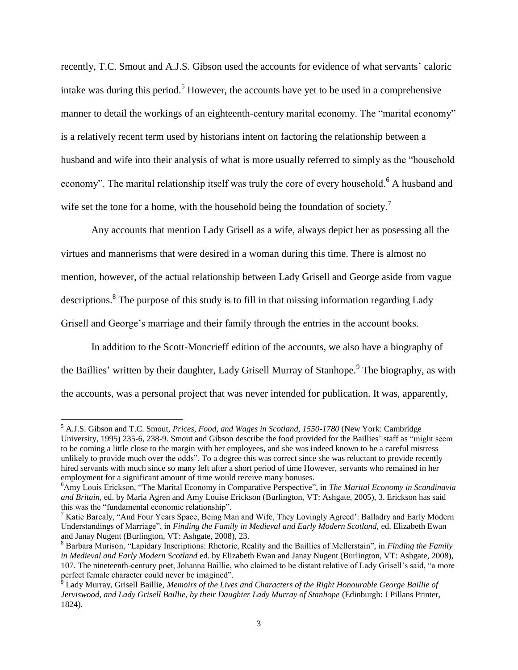recently, T.C. Smout and A.J.S. Gibson used the accounts for evidence of what servants' caloric intake was during this period.<sup>5</sup> However, the accounts have yet to be used in a comprehensive manner to detail the workings of an eighteenth-century marital economy. The "marital economy" is a relatively recent term used by historians intent on factoring the relationship between a husband and wife into their analysis of what is more usually referred to simply as the "household economy". The marital relationship itself was truly the core of every household.<sup>6</sup> A husband and wife set the tone for a home, with the household being the foundation of society.<sup>7</sup>

Any accounts that mention Lady Grisell as a wife, always depict her as posessing all the virtues and mannerisms that were desired in a woman during this time. There is almost no mention, however, of the actual relationship between Lady Grisell and George aside from vague descriptions.<sup>8</sup> The purpose of this study is to fill in that missing information regarding Lady Grisell and George"s marriage and their family through the entries in the account books.

In addition to the Scott-Moncrieff edition of the accounts, we also have a biography of the Baillies' written by their daughter, Lady Grisell Murray of Stanhope.<sup>9</sup> The biography, as with the accounts, was a personal project that was never intended for publication. It was, apparently,

<sup>5</sup> A.J.S. Gibson and T.C. Smout, *Prices, Food, and Wages in Scotland, 1550-1780* (New York: Cambridge University, 1995) 235-6, 238-9. Smout and Gibson describe the food provided for the Baillies" staff as "might seem to be coming a little close to the margin with her employees, and she was indeed known to be a careful mistress unlikely to provide much over the odds". To a degree this was correct since she was reluctant to provide recently hired servants with much since so many left after a short period of time However, servants who remained in her employment for a significant amount of time would receive many bonuses.

<sup>6</sup>Amy Louis Erickson, "The Marital Economy in Comparative Perspective", in *The Marital Economy in Scandinavia and Britain,* ed. by Maria Agren and Amy Louise Erickson (Burlington, VT: Ashgate, 2005), 3. Erickson has said this was the "fundamental economic relationship".

<sup>&</sup>lt;sup>7</sup> Katie Barcaly, "And Four Years Space, Being Man and Wife, They Lovingly Agreed': Balladry and Early Modern Understandings of Marriage", in *Finding the Family in Medieval and Early Modern Scotland,* ed. Elizabeth Ewan and Janay Nugent (Burlington, VT: Ashgate, 2008), 23.

<sup>8</sup> Barbara Murison, "Lapidary Inscriptions: Rhetoric, Reality and the Baillies of Mellerstain", in *Finding the Family in Medieval and Early Modern Scotland* ed. by Elizabeth Ewan and Janay Nugent (Burlington, VT: Ashgate, 2008), 107. The nineteenth-century poet, Johanna Baillie, who claimed to be distant relative of Lady Grisell"s said, "a more perfect female character could never be imagined".

<sup>9</sup> Lady Murray, Grisell Baillie, *Memoirs of the Lives and Characters of the Right Honourable George Baillie of Jerviswood, and Lady Grisell Baillie, by their Daughter Lady Murray of Stanhope (Edinburgh: J Pillans Printer,* 1824).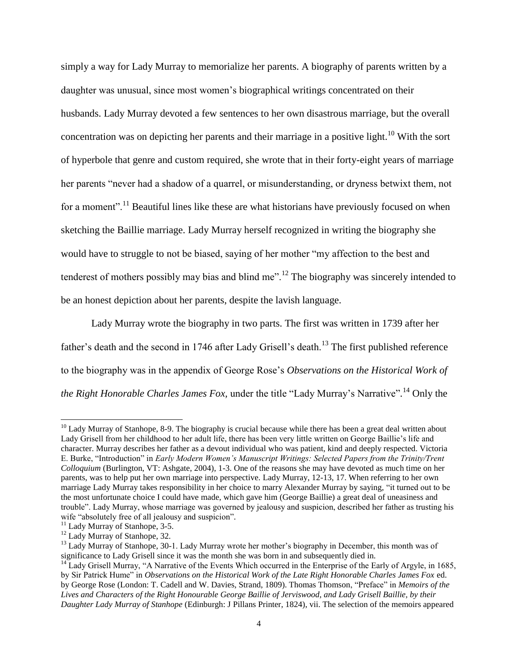simply a way for Lady Murray to memorialize her parents. A biography of parents written by a daughter was unusual, since most women"s biographical writings concentrated on their husbands. Lady Murray devoted a few sentences to her own disastrous marriage, but the overall concentration was on depicting her parents and their marriage in a positive light.<sup>10</sup> With the sort of hyperbole that genre and custom required, she wrote that in their forty-eight years of marriage her parents "never had a shadow of a quarrel, or misunderstanding, or dryness betwixt them, not for a moment".<sup>11</sup> Beautiful lines like these are what historians have previously focused on when sketching the Baillie marriage. Lady Murray herself recognized in writing the biography she would have to struggle to not be biased, saying of her mother "my affection to the best and tenderest of mothers possibly may bias and blind me".<sup>12</sup> The biography was sincerely intended to be an honest depiction about her parents, despite the lavish language.

Lady Murray wrote the biography in two parts. The first was written in 1739 after her father's death and the second in 1746 after Lady Grisell's death.<sup>13</sup> The first published reference to the biography was in the appendix of George Rose"s *Observations on the Historical Work of the Right Honorable Charles James Fox,* under the title "Lady Murray"s Narrative"*.* <sup>14</sup> Only the

 $10$  Lady Murray of Stanhope, 8-9. The biography is crucial because while there has been a great deal written about Lady Grisell from her childhood to her adult life, there has been very little written on George Baillie"s life and character. Murray describes her father as a devout individual who was patient, kind and deeply respected. Victoria E. Burke, "Introduction" in *Early Modern Women's Manuscript Writings: Selected Papers from the Trinity/Trent Colloquium* (Burlington, VT: Ashgate, 2004), 1-3. One of the reasons she may have devoted as much time on her parents, was to help put her own marriage into perspective. Lady Murray, 12-13, 17. When referring to her own marriage Lady Murray takes responsibility in her choice to marry Alexander Murray by saying, "it turned out to be the most unfortunate choice I could have made, which gave him (George Baillie) a great deal of uneasiness and trouble". Lady Murray, whose marriage was governed by jealousy and suspicion, described her father as trusting his wife "absolutely free of all jealousy and suspicion".

<sup>&</sup>lt;sup>11</sup> Lady Murray of Stanhope, 3-5.

<sup>&</sup>lt;sup>12</sup> Lady Murray of Stanhope, 32.

<sup>&</sup>lt;sup>13</sup> Lady Murray of Stanhope, 30-1. Lady Murray wrote her mother's biography in December, this month was of significance to Lady Grisell since it was the month she was born in and subsequently died in.

<sup>&</sup>lt;sup>14</sup> Lady Grisell Murray, "A Narrative of the Events Which occurred in the Enterprise of the Early of Argyle, in 1685, by Sir Patrick Hume" in *Observations on the Historical Work of the Late Right Honorable Charles James Fox* ed. by George Rose (London: T. Cadell and W. Davies, Strand, 1809). Thomas Thomson, "Preface" in *Memoirs of the Lives and Characters of the Right Honourable George Baillie of Jerviswood, and Lady Grisell Baillie, by their Daughter Lady Murray of Stanhope* (Edinburgh: J Pillans Printer, 1824), vii. The selection of the memoirs appeared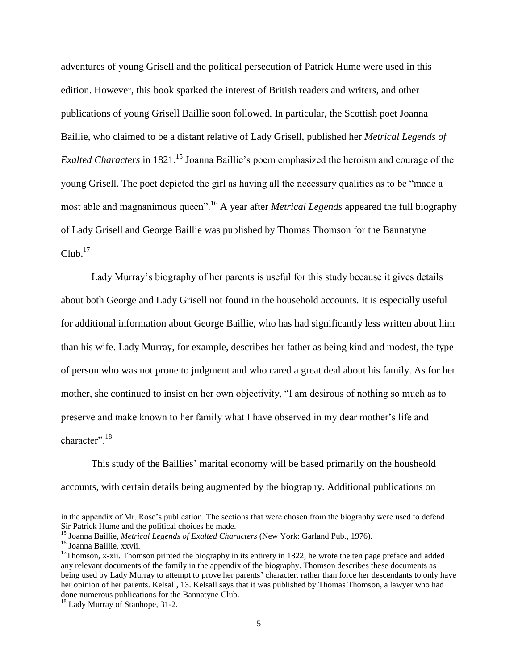adventures of young Grisell and the political persecution of Patrick Hume were used in this edition. However, this book sparked the interest of British readers and writers, and other publications of young Grisell Baillie soon followed. In particular, the Scottish poet Joanna Baillie, who claimed to be a distant relative of Lady Grisell, published her *Metrical Legends of Exalted Characters* in 1821.<sup>15</sup> Joanna Baillie's poem emphasized the heroism and courage of the young Grisell. The poet depicted the girl as having all the necessary qualities as to be "made a most able and magnanimous queen".<sup>16</sup> A year after *Metrical Legends* appeared the full biography of Lady Grisell and George Baillie was published by Thomas Thomson for the Bannatyne  $Club.<sup>17</sup>$ 

Lady Murray"s biography of her parents is useful for this study because it gives details about both George and Lady Grisell not found in the household accounts. It is especially useful for additional information about George Baillie, who has had significantly less written about him than his wife. Lady Murray, for example, describes her father as being kind and modest, the type of person who was not prone to judgment and who cared a great deal about his family. As for her mother, she continued to insist on her own objectivity, "I am desirous of nothing so much as to preserve and make known to her family what I have observed in my dear mother"s life and character".<sup>18</sup>

This study of the Baillies" marital economy will be based primarily on the housheold accounts, with certain details being augmented by the biography. Additional publications on

in the appendix of Mr. Rose's publication. The sections that were chosen from the biography were used to defend Sir Patrick Hume and the political choices he made.

<sup>15</sup> Joanna Baillie, *Metrical Legends of Exalted Characters* (New York: Garland Pub., 1976).

<sup>&</sup>lt;sup>16</sup> Joanna Baillie, xxvii.

 $17$ Thomson, x-xii. Thomson printed the biography in its entirety in 1822; he wrote the ten page preface and added any relevant documents of the family in the appendix of the biography. Thomson describes these documents as being used by Lady Murray to attempt to prove her parents' character, rather than force her descendants to only have her opinion of her parents. Kelsall, 13. Kelsall says that it was published by Thomas Thomson, a lawyer who had done numerous publications for the Bannatyne Club.

<sup>&</sup>lt;sup>18</sup> Lady Murray of Stanhope, 31-2.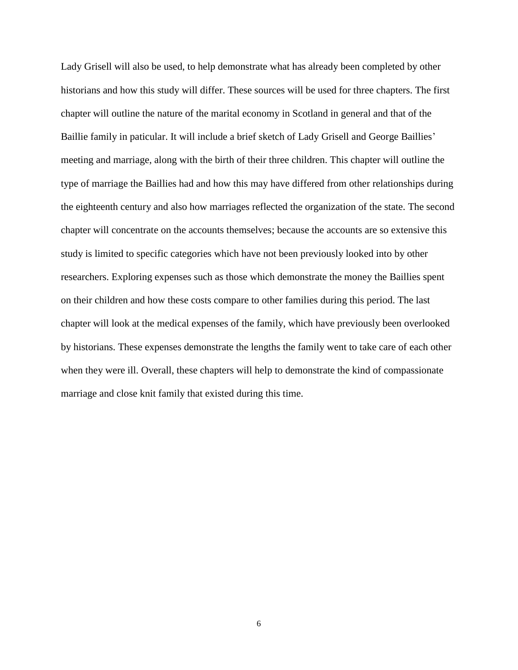Lady Grisell will also be used, to help demonstrate what has already been completed by other historians and how this study will differ. These sources will be used for three chapters. The first chapter will outline the nature of the marital economy in Scotland in general and that of the Baillie family in paticular. It will include a brief sketch of Lady Grisell and George Baillies' meeting and marriage, along with the birth of their three children. This chapter will outline the type of marriage the Baillies had and how this may have differed from other relationships during the eighteenth century and also how marriages reflected the organization of the state. The second chapter will concentrate on the accounts themselves; because the accounts are so extensive this study is limited to specific categories which have not been previously looked into by other researchers. Exploring expenses such as those which demonstrate the money the Baillies spent on their children and how these costs compare to other families during this period. The last chapter will look at the medical expenses of the family, which have previously been overlooked by historians. These expenses demonstrate the lengths the family went to take care of each other when they were ill. Overall, these chapters will help to demonstrate the kind of compassionate marriage and close knit family that existed during this time.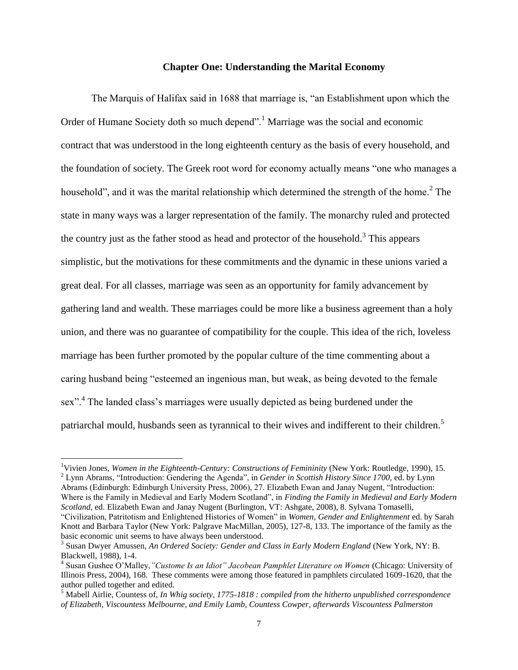### **Chapter One: Understanding the Marital Economy**

The Marquis of Halifax said in 1688 that marriage is, "an Establishment upon which the Order of Humane Society doth so much depend<sup>". 1</sup> Marriage was the social and economic contract that was understood in the long eighteenth century as the basis of every household, and the foundation of society. The Greek root word for economy actually means "one who manages a household", and it was the marital relationship which determined the strength of the home.<sup>2</sup> The state in many ways was a larger representation of the family. The monarchy ruled and protected the country just as the father stood as head and protector of the household.<sup>3</sup> This appears simplistic, but the motivations for these commitments and the dynamic in these unions varied a great deal. For all classes, marriage was seen as an opportunity for family advancement by gathering land and wealth. These marriages could be more like a business agreement than a holy union, and there was no guarantee of compatibility for the couple. This idea of the rich, loveless marriage has been further promoted by the popular culture of the time commenting about a caring husband being "esteemed an ingenious man, but weak, as being devoted to the female sex".<sup>4</sup> The landed class's marriages were usually depicted as being burdened under the patriarchal mould, husbands seen as tyrannical to their wives and indifferent to their children.<sup>5</sup>

l

<sup>2</sup> Lynn Abrams, "Introduction: Gendering the Agenda", in *Gender in Scottish History Since 1700,* ed. by Lynn Abrams (Edinburgh: Edinburgh University Press, 2006), 27. Elizabeth Ewan and Janay Nugent, "Introduction: Where is the Family in Medieval and Early Modern Scotland", in *Finding the Family in Medieval and Early Modern Scotland,* ed. Elizabeth Ewan and Janay Nugent (Burlington, VT: Ashgate, 2008), 8. Sylvana Tomaselli,

"Civilization, Patritotism and Enlightened Histories of Women" in *Women, Gender and Enlightenment* ed. by Sarah Knott and Barbara Taylor (New York: Palgrave MacMillan, 2005), 127-8, 133. The importance of the family as the basic economic unit seems to have always been understood.

<sup>&</sup>lt;sup>1</sup>Vivien Jones, *Women in the Eighteenth-Century: Constructions of Femininity (New York: Routledge, 1990), 15.* 

<sup>&</sup>lt;sup>3</sup> Susan Dwyer Amussen, *An Ordered Society: Gender and Class in Early Modern England* (New York, NY: B. Blackwell, 1988), 1-4.

<sup>4</sup> Susan Gushee O"Malley,*"Custome Is an Idiot" Jacobean Pamphlet Literature on Women* (Chicago: University of Illinois Press, 2004), 168. These comments were among those featured in pamphlets circulated 1609-1620, that the author pulled together and edited.

<sup>5</sup> Mabell Airlie, Countess of, *In Whig society, 1775-1818 : compiled from the hitherto unpublished correspondence of Elizabeth, Viscountess Melbourne, and Emily Lamb, Countess Cowper, afterwards Viscountess Palmerston*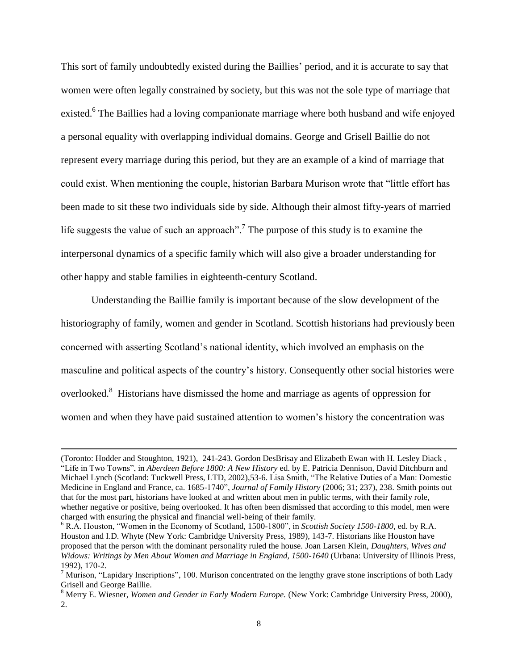This sort of family undoubtedly existed during the Baillies" period, and it is accurate to say that women were often legally constrained by society, but this was not the sole type of marriage that existed.<sup>6</sup> The Baillies had a loving companionate marriage where both husband and wife enjoyed a personal equality with overlapping individual domains. George and Grisell Baillie do not represent every marriage during this period, but they are an example of a kind of marriage that could exist. When mentioning the couple, historian Barbara Murison wrote that "little effort has been made to sit these two individuals side by side. Although their almost fifty-years of married life suggests the value of such an approach".<sup>7</sup> The purpose of this study is to examine the interpersonal dynamics of a specific family which will also give a broader understanding for other happy and stable families in eighteenth-century Scotland.

Understanding the Baillie family is important because of the slow development of the historiography of family, women and gender in Scotland. Scottish historians had previously been concerned with asserting Scotland"s national identity, which involved an emphasis on the masculine and political aspects of the country"s history. Consequently other social histories were overlooked.<sup>8</sup> Historians have dismissed the home and marriage as agents of oppression for women and when they have paid sustained attention to women"s history the concentration was

<sup>(</sup>Toronto: Hodder and Stoughton, 1921), 241-243. Gordon DesBrisay and Elizabeth Ewan with H. Lesley Diack , "Life in Two Towns", in *Aberdeen Before 1800: A New History* ed. by E. Patricia Dennison, David Ditchburn and Michael Lynch (Scotland: Tuckwell Press, LTD, 2002),53-6. Lisa Smith, "The Relative Duties of a Man: Domestic Medicine in England and France, ca. 1685-1740", *Journal of Family History* (2006; 31; 237), 238. Smith points out that for the most part, historians have looked at and written about men in public terms, with their family role, whether negative or positive, being overlooked. It has often been dismissed that according to this model, men were charged with ensuring the physical and financial well-being of their family.

<sup>6</sup> R.A. Houston, "Women in the Economy of Scotland, 1500-1800", in *Scottish Society 1500-1800,* ed. by R.A. Houston and I.D. Whyte (New York: Cambridge University Press, 1989), 143-7. Historians like Houston have proposed that the person with the dominant personality ruled the house. Joan Larsen Klein, *Daughters, Wives and Widows: Writings by Men About Women and Marriage in England, 1500-1640* (Urbana: University of Illinois Press, 1992), 170-2.

 $<sup>7</sup>$  Murison, "Lapidary Inscriptions", 100. Murison concentrated on the lengthy grave stone inscriptions of both Lady</sup> Grisell and George Baillie.

<sup>8</sup> Merry E. Wiesner, *Women and Gender in Early Modern Europe.* (New York: Cambridge University Press, 2000), 2.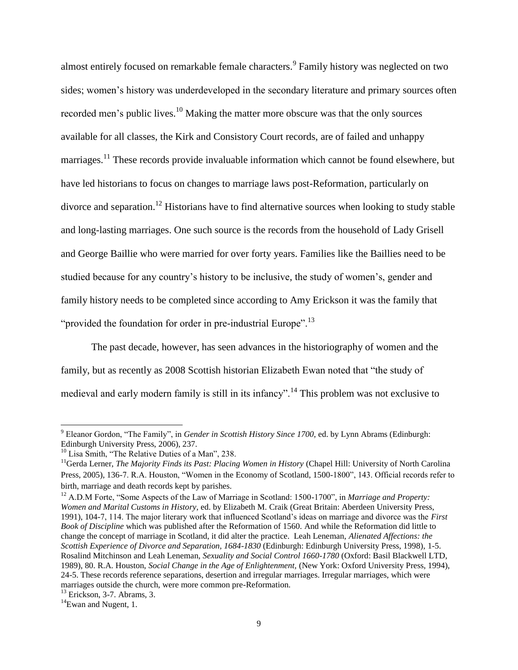almost entirely focused on remarkable female characters.<sup>9</sup> Family history was neglected on two sides; women's history was underdeveloped in the secondary literature and primary sources often recorded men's public lives.<sup>10</sup> Making the matter more obscure was that the only sources available for all classes, the Kirk and Consistory Court records, are of failed and unhappy marriages.<sup>11</sup> These records provide invaluable information which cannot be found elsewhere, but have led historians to focus on changes to marriage laws post-Reformation, particularly on divorce and separation.<sup>12</sup> Historians have to find alternative sources when looking to study stable and long-lasting marriages. One such source is the records from the household of Lady Grisell and George Baillie who were married for over forty years. Families like the Baillies need to be studied because for any country"s history to be inclusive, the study of women"s, gender and family history needs to be completed since according to Amy Erickson it was the family that "provided the foundation for order in pre-industrial Europe".<sup>13</sup>

The past decade, however, has seen advances in the historiography of women and the family, but as recently as 2008 Scottish historian Elizabeth Ewan noted that "the study of medieval and early modern family is still in its infancy".<sup>14</sup> This problem was not exclusive to

<sup>9</sup> Eleanor Gordon, "The Family", in *Gender in Scottish History Since 1700,* ed. by Lynn Abrams (Edinburgh: Edinburgh University Press, 2006), 237.

<sup>&</sup>lt;sup>10</sup> Lisa Smith, "The Relative Duties of a Man", 238.

<sup>&</sup>lt;sup>11</sup>Gerda Lerner, *The Majority Finds its Past: Placing Women in History* (Chapel Hill: University of North Carolina Press, 2005), 136-7. R.A. Houston, "Women in the Economy of Scotland, 1500-1800", 143. Official records refer to birth, marriage and death records kept by parishes.

<sup>&</sup>lt;sup>12</sup> A.D.M Forte, "Some Aspects of the Law of Marriage in Scotland: 1500-1700", in *Marriage and Property: Women and Marital Customs in History,* ed. by Elizabeth M. Craik (Great Britain: Aberdeen University Press, 1991), 104-7, 114. The major literary work that influenced Scotland"s ideas on marriage and divorce was the *First Book of Discipline* which was published after the Reformation of 1560. And while the Reformation did little to change the concept of marriage in Scotland, it did alter the practice. Leah Leneman, *Alienated Affections: the Scottish Experience of Divorce and Separation, 1684-1830* (Edinburgh: Edinburgh University Press, 1998), 1-5. Rosalind Mitchinson and Leah Leneman, *Sexuality and Social Control 1660-1780* (Oxford: Basil Blackwell LTD, 1989), 80. R.A. Houston, *Social Change in the Age of Enlightenment,* (New York: Oxford University Press, 1994), 24-5. These records reference separations, desertion and irregular marriages. Irregular marriages, which were marriages outside the church, were more common pre-Reformation.

 $13$  Erickson, 3-7. Abrams, 3.

 $14$ Ewan and Nugent, 1.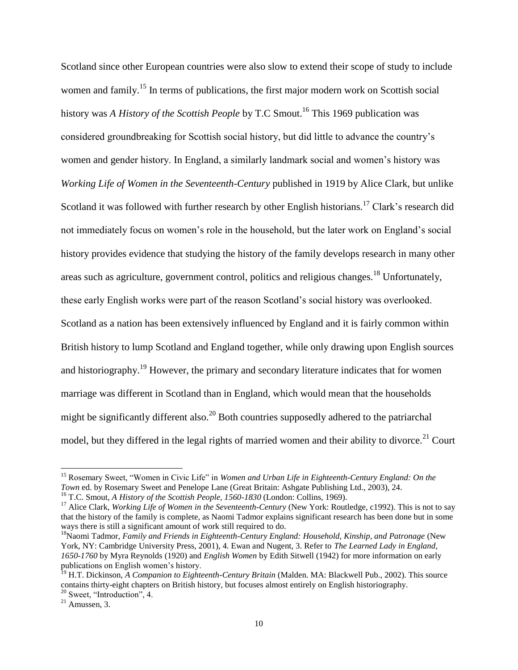Scotland since other European countries were also slow to extend their scope of study to include women and family.<sup>15</sup> In terms of publications, the first major modern work on Scottish social history was *A History of the Scottish People* by T.C Smout.<sup>16</sup> This 1969 publication was considered groundbreaking for Scottish social history, but did little to advance the country"s women and gender history. In England, a similarly landmark social and women"s history was *Working Life of Women in the Seventeenth-Century* published in 1919 by Alice Clark, but unlike Scotland it was followed with further research by other English historians.<sup>17</sup> Clark's research did not immediately focus on women's role in the household, but the later work on England's social history provides evidence that studying the history of the family develops research in many other areas such as agriculture, government control, politics and religious changes.<sup>18</sup> Unfortunately, these early English works were part of the reason Scotland"s social history was overlooked. Scotland as a nation has been extensively influenced by England and it is fairly common within British history to lump Scotland and England together, while only drawing upon English sources and historiography.<sup>19</sup> However, the primary and secondary literature indicates that for women marriage was different in Scotland than in England, which would mean that the households might be significantly different also.<sup>20</sup> Both countries supposedly adhered to the patriarchal model, but they differed in the legal rights of married women and their ability to divorce.<sup>21</sup> Court

<sup>15</sup> Rosemary Sweet, "Women in Civic Life" in *Women and Urban Life in Eighteenth-Century England: On the Town* ed. by Rosemary Sweet and Penelope Lane (Great Britain: Ashgate Publishing Ltd., 2003), 24. <sup>16</sup> T.C. Smout, *A History of the Scottish People, 1560-1830* (London: Collins, 1969).

<sup>&</sup>lt;sup>17</sup> Alice Clark, *Working Life of Women in the Seventeenth-Century* (New York: Routledge, c1992). This is not to say that the history of the family is complete, as Naomi Tadmor explains significant research has been done but in some ways there is still a significant amount of work still required to do.

<sup>&</sup>lt;sup>18</sup>Naomi Tadmor, *Family and Friends in Eighteenth-Century England: Household, Kinship, and Patronage* (New York, NY: Cambridge University Press, 2001), 4. Ewan and Nugent, 3. Refer to *The Learned Lady in England, 1650-1760* by Myra Reynolds (1920) and *English Women* by Edith Sitwell (1942) for more information on early publications on English women"s history.

<sup>&</sup>lt;sup>19</sup> H.T. Dickinson, *A Companion to Eighteenth-Century Britain* (Malden. MA: Blackwell Pub., 2002). This source contains thirty-eight chapters on British history, but focuses almost entirely on English historiography. <sup>20</sup> Sweet, "Introduction", 4.

 $21$  Amussen, 3.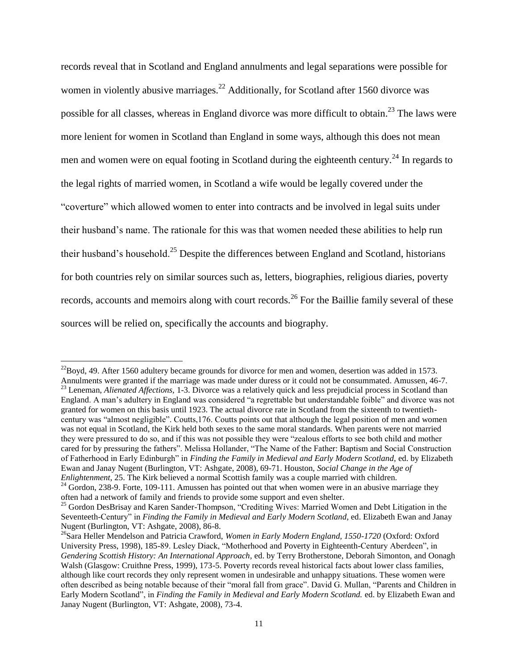records reveal that in Scotland and England annulments and legal separations were possible for women in violently abusive marriages.<sup>22</sup> Additionally, for Scotland after 1560 divorce was possible for all classes, whereas in England divorce was more difficult to obtain.<sup>23</sup> The laws were more lenient for women in Scotland than England in some ways, although this does not mean men and women were on equal footing in Scotland during the eighteenth century.<sup>24</sup> In regards to the legal rights of married women, in Scotland a wife would be legally covered under the "coverture" which allowed women to enter into contracts and be involved in legal suits under their husband"s name. The rationale for this was that women needed these abilities to help run their husband's household.<sup>25</sup> Despite the differences between England and Scotland, historians for both countries rely on similar sources such as, letters, biographies, religious diaries, poverty records, accounts and memoirs along with court records.<sup>26</sup> For the Baillie family several of these sources will be relied on, specifically the accounts and biography.

 $^{22}$ Boyd, 49. After 1560 adultery became grounds for divorce for men and women, desertion was added in 1573. Annulments were granted if the marriage was made under duress or it could not be consummated. Amussen, 46-7. <sup>23</sup> Leneman, *Alienated Affections,* 1-3. Divorce was a relatively quick and less prejudicial process in Scotland than England. A man"s adultery in England was considered "a regrettable but understandable foible" and divorce was not granted for women on this basis until 1923. The actual divorce rate in Scotland from the sixteenth to twentiethcentury was "almost negligible". Coutts,176. Coutts points out that although the legal position of men and women was not equal in Scotland, the Kirk held both sexes to the same moral standards. When parents were not married they were pressured to do so, and if this was not possible they were "zealous efforts to see both child and mother cared for by pressuring the fathers". Melissa Hollander, "The Name of the Father: Baptism and Social Construction of Fatherhood in Early Edinburgh" in *Finding the Family in Medieval and Early Modern Scotland,* ed. by Elizabeth Ewan and Janay Nugent (Burlington, VT: Ashgate, 2008), 69-71. Houston, *Social Change in the Age of Enlightenment,* 25. The Kirk believed a normal Scottish family was a couple married with children.

<sup>&</sup>lt;sup>24</sup> Gordon, 238-9. Forte, 109-111. Amussen has pointed out that when women were in an abusive marriage they often had a network of family and friends to provide some support and even shelter.

<sup>&</sup>lt;sup>25</sup> Gordon DesBrisay and Karen Sander-Thompson, "Crediting Wives: Married Women and Debt Litigation in the Seventeeth-Century" in *Finding the Family in Medieval and Early Modern Scotland*, ed. Elizabeth Ewan and Janay Nugent (Burlington, VT: Ashgate, 2008), 86-8.

<sup>26</sup>Sara Heller Mendelson and Patricia Crawford, *Women in Early Modern England, 1550-1720* (Oxford: Oxford University Press, 1998), 185-89. Lesley Diack, "Motherhood and Poverty in Eighteenth-Century Aberdeen", in *Gendering Scottish History: An International Approach,* ed. by Terry Brotherstone, Deborah Simonton, and Oonagh Walsh (Glasgow: Cruithne Press, 1999), 173-5. Poverty records reveal historical facts about lower class families, although like court records they only represent women in undesirable and unhappy situations. These women were often described as being notable because of their "moral fall from grace". David G. Mullan, "Parents and Children in Early Modern Scotland", in *Finding the Family in Medieval and Early Modern Scotland.* ed. by Elizabeth Ewan and Janay Nugent (Burlington, VT: Ashgate, 2008), 73-4.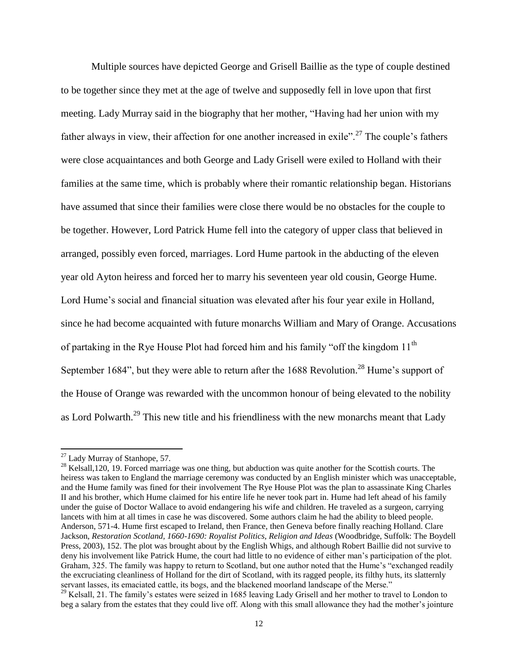Multiple sources have depicted George and Grisell Baillie as the type of couple destined to be together since they met at the age of twelve and supposedly fell in love upon that first meeting. Lady Murray said in the biography that her mother, "Having had her union with my father always in view, their affection for one another increased in exile".<sup>27</sup> The couple's fathers were close acquaintances and both George and Lady Grisell were exiled to Holland with their families at the same time, which is probably where their romantic relationship began. Historians have assumed that since their families were close there would be no obstacles for the couple to be together. However, Lord Patrick Hume fell into the category of upper class that believed in arranged, possibly even forced, marriages. Lord Hume partook in the abducting of the eleven year old Ayton heiress and forced her to marry his seventeen year old cousin, George Hume. Lord Hume's social and financial situation was elevated after his four year exile in Holland, since he had become acquainted with future monarchs William and Mary of Orange. Accusations of partaking in the Rye House Plot had forced him and his family "off the kingdom  $11<sup>th</sup>$ September 1684", but they were able to return after the 1688 Revolution.<sup>28</sup> Hume's support of the House of Orange was rewarded with the uncommon honour of being elevated to the nobility as Lord Polwarth.<sup>29</sup> This new title and his friendliness with the new monarchs meant that Lady

 $27$  Lady Murray of Stanhope, 57.

 $^{28}$  Kelsall,120, 19. Forced marriage was one thing, but abduction was quite another for the Scottish courts. The heiress was taken to England the marriage ceremony was conducted by an English minister which was unacceptable, and the Hume family was fined for their involvement The Rye House Plot was the plan to assassinate King Charles II and his brother, which Hume claimed for his entire life he never took part in. Hume had left ahead of his family under the guise of Doctor Wallace to avoid endangering his wife and children. He traveled as a surgeon, carrying lancets with him at all times in case he was discovered. Some authors claim he had the ability to bleed people. Anderson, 571-4. Hume first escaped to Ireland, then France, then Geneva before finally reaching Holland. Clare Jackson, *Restoration Scotland, 1660-1690: Royalist Politics, Religion and Ideas* (Woodbridge, Suffolk: The Boydell Press, 2003), 152. The plot was brought about by the English Whigs, and although Robert Baillie did not survive to deny his involvement like Patrick Hume, the court had little to no evidence of either man"s participation of the plot. Graham, 325. The family was happy to return to Scotland, but one author noted that the Hume's "exchanged readily the excruciating cleanliness of Holland for the dirt of Scotland, with its ragged people, its filthy huts, its slatternly servant lasses, its emaciated cattle, its bogs, and the blackened moorland landscape of the Merse."

<sup>&</sup>lt;sup>29</sup> Kelsall, 21. The family's estates were seized in 1685 leaving Lady Grisell and her mother to travel to London to beg a salary from the estates that they could live off. Along with this small allowance they had the mother"s jointure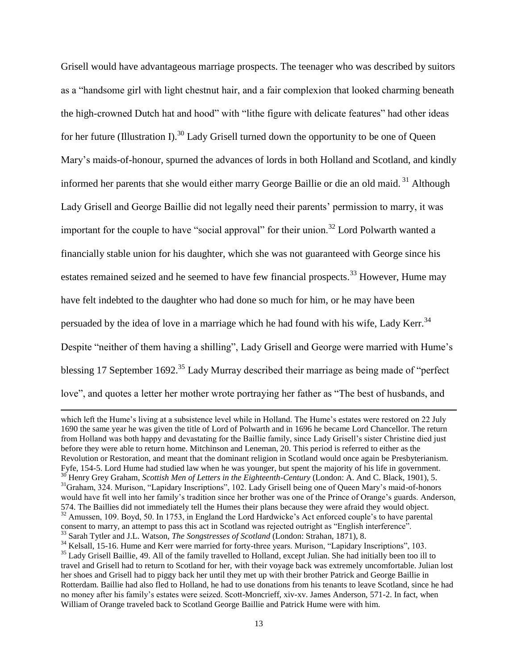Grisell would have advantageous marriage prospects. The teenager who was described by suitors as a "handsome girl with light chestnut hair, and a fair complexion that looked charming beneath the high-crowned Dutch hat and hood" with "lithe figure with delicate features" had other ideas for her future (Illustration I).<sup>30</sup> Lady Grisell turned down the opportunity to be one of Queen Mary"s maids-of-honour, spurned the advances of lords in both Holland and Scotland, and kindly informed her parents that she would either marry George Baillie or die an old maid. <sup>31</sup> Although Lady Grisell and George Baillie did not legally need their parents' permission to marry, it was important for the couple to have "social approval" for their union.<sup>32</sup> Lord Polwarth wanted a financially stable union for his daughter, which she was not guaranteed with George since his estates remained seized and he seemed to have few financial prospects.<sup>33</sup> However, Hume may have felt indebted to the daughter who had done so much for him, or he may have been persuaded by the idea of love in a marriage which he had found with his wife, Lady Kerr.<sup>34</sup> Despite "neither of them having a shilling", Lady Grisell and George were married with Hume"s blessing 17 September 1692.<sup>35</sup> Lady Murray described their marriage as being made of "perfect" love", and quotes a letter her mother wrote portraying her father as "The best of husbands, and

which left the Hume's living at a subsistence level while in Holland. The Hume's estates were restored on 22 July 1690 the same year he was given the title of Lord of Polwarth and in 1696 he became Lord Chancellor. The return from Holland was both happy and devastating for the Baillie family, since Lady Grisell"s sister Christine died just before they were able to return home. Mitchinson and Leneman, 20. This period is referred to either as the Revolution or Restoration, and meant that the dominant religion in Scotland would once again be Presbyterianism. Fyfe, 154-5. Lord Hume had studied law when he was younger, but spent the majority of his life in government. <sup>30</sup> Henry Grey Graham, *Scottish Men of Letters in the Eighteenth-Century* (London: A. And C. Black, 1901), 5. <sup>31</sup>Graham, 324. Murison, "Lapidary Inscriptions", 102. Lady Grisell being one of Queen Mary's maid-of-honors would have fit well into her family"s tradition since her brother was one of the Prince of Orange"s guards. Anderson, 574. The Baillies did not immediately tell the Humes their plans because they were afraid they would object. <sup>32</sup> Amussen, 109. Boyd, 50. In 1753, in England the Lord Hardwicke's Act enforced couple's to have parental consent to marry, an attempt to pass this act in Scotland was rejected outright as "English interference". <sup>33</sup> Sarah Tytler and J.L. Watson, *The Songstresses of Scotland* (London: Strahan, 1871), 8.

<sup>&</sup>lt;sup>34</sup> Kelsall, 15-16. Hume and Kerr were married for forty-three years. Murison, "Lapidary Inscriptions", 103. <sup>35</sup> Lady Grisell Baillie, 49. All of the family travelled to Holland, except Julian. She had initially been too ill to travel and Grisell had to return to Scotland for her, with their voyage back was extremely uncomfortable. Julian lost her shoes and Grisell had to piggy back her until they met up with their brother Patrick and George Baillie in Rotterdam. Baillie had also fled to Holland, he had to use donations from his tenants to leave Scotland, since he had no money after his family"s estates were seized. Scott-Moncrieff, xiv-xv. James Anderson, 571-2. In fact, when William of Orange traveled back to Scotland George Baillie and Patrick Hume were with him.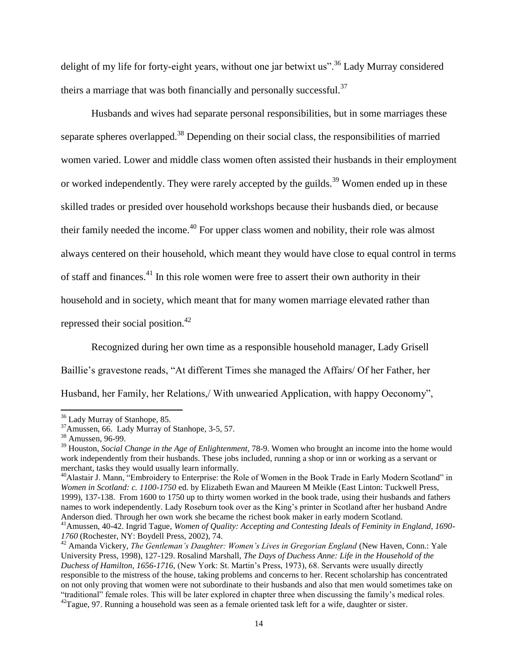delight of my life for forty-eight years, without one jar betwixt us".<sup>36</sup> Lady Murray considered theirs a marriage that was both financially and personally successful.<sup>37</sup>

Husbands and wives had separate personal responsibilities, but in some marriages these separate spheres overlapped.<sup>38</sup> Depending on their social class, the responsibilities of married women varied. Lower and middle class women often assisted their husbands in their employment or worked independently. They were rarely accepted by the guilds.<sup>39</sup> Women ended up in these skilled trades or presided over household workshops because their husbands died, or because their family needed the income.<sup>40</sup> For upper class women and nobility, their role was almost always centered on their household, which meant they would have close to equal control in terms of staff and finances.<sup>41</sup> In this role women were free to assert their own authority in their household and in society, which meant that for many women marriage elevated rather than repressed their social position.<sup>42</sup>

Recognized during her own time as a responsible household manager, Lady Grisell Baillie's gravestone reads, "At different Times she managed the Affairs/ Of her Father, her Husband, her Family, her Relations,/ With unwearied Application, with happy Oeconomy",

<sup>&</sup>lt;sup>36</sup> Lady Murray of Stanhope, 85.

 $37$ Amussen, 66. Lady Murray of Stanhope, 3-5, 57.

<sup>&</sup>lt;sup>38</sup> Amussen, 96-99.

<sup>39</sup> Houston, *Social Change in the Age of Enlightenment,* 78-9. Women who brought an income into the home would work independently from their husbands. These jobs included, running a shop or inn or working as a servant or merchant, tasks they would usually learn informally.

<sup>&</sup>lt;sup>40</sup>Alastair J. Mann, "Embroidery to Enterprise: the Role of Women in the Book Trade in Early Modern Scotland" in *Women in Scotland: c. 1100-1750* ed. by Elizabeth Ewan and Maureen M Meikle (East Linton: Tuckwell Press, 1999), 137-138. From 1600 to 1750 up to thirty women worked in the book trade, using their husbands and fathers names to work independently. Lady Roseburn took over as the King"s printer in Scotland after her husband Andre Anderson died. Through her own work she became the richest book maker in early modern Scotland.

<sup>41</sup>Amussen, 40-42. Ingrid Tague, *Women of Quality: Accepting and Contesting Ideals of Feminity in England, 1690- 1760* (Rochester, NY: Boydell Press, 2002), 74.

<sup>&</sup>lt;sup>42</sup> Amanda Vickery, *The Gentleman's Daughter: Women's Lives in Gregorian England* (New Haven, Conn.: Yale University Press, 1998), 127-129. Rosalind Marshall, *The Days of Duchess Anne: Life in the Household of the Duchess of Hamilton, 1656-1716,* (New York: St. Martin"s Press, 1973), 68. Servants were usually directly responsible to the mistress of the house, taking problems and concerns to her. Recent scholarship has concentrated on not only proving that women were not subordinate to their husbands and also that men would sometimes take on "traditional" female roles. This will be later explored in chapter three when discussing the family's medical roles.  $^{42}$ Tague, 97. Running a household was seen as a female oriented task left for a wife, daughter or sister.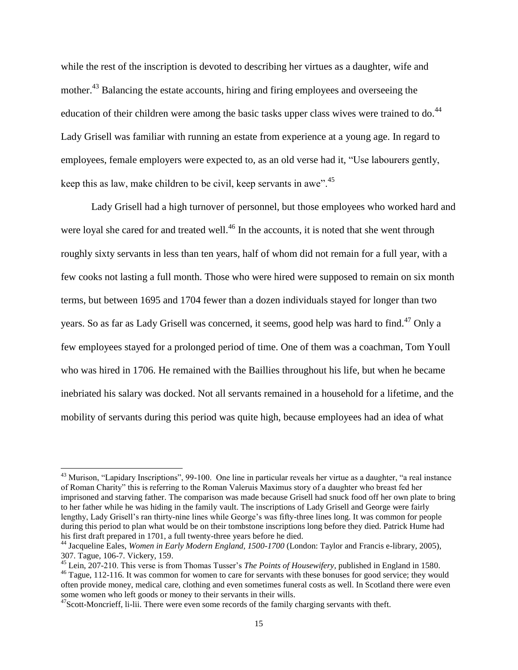while the rest of the inscription is devoted to describing her virtues as a daughter, wife and mother.<sup>43</sup> Balancing the estate accounts, hiring and firing employees and overseeing the education of their children were among the basic tasks upper class wives were trained to do.<sup>44</sup> Lady Grisell was familiar with running an estate from experience at a young age. In regard to employees, female employers were expected to, as an old verse had it, "Use labourers gently, keep this as law, make children to be civil, keep servants in awe".<sup>45</sup>

Lady Grisell had a high turnover of personnel, but those employees who worked hard and were loyal she cared for and treated well.<sup>46</sup> In the accounts, it is noted that she went through roughly sixty servants in less than ten years, half of whom did not remain for a full year, with a few cooks not lasting a full month. Those who were hired were supposed to remain on six month terms, but between 1695 and 1704 fewer than a dozen individuals stayed for longer than two years. So as far as Lady Grisell was concerned, it seems, good help was hard to find.<sup>47</sup> Only a few employees stayed for a prolonged period of time. One of them was a coachman, Tom Youll who was hired in 1706. He remained with the Baillies throughout his life, but when he became inebriated his salary was docked. Not all servants remained in a household for a lifetime, and the mobility of servants during this period was quite high, because employees had an idea of what

 $43$  Murison, "Lapidary Inscriptions", 99-100. One line in particular reveals her virtue as a daughter, "a real instance of Roman Charity" this is referring to the Roman Valeruis Maximus story of a daughter who breast fed her imprisoned and starving father. The comparison was made because Grisell had snuck food off her own plate to bring to her father while he was hiding in the family vault. The inscriptions of Lady Grisell and George were fairly lengthy, Lady Grisell's ran thirty-nine lines while George's was fifty-three lines long. It was common for people during this period to plan what would be on their tombstone inscriptions long before they died. Patrick Hume had his first draft prepared in 1701, a full twenty-three years before he died.

<sup>44</sup> Jacqueline Eales, *Women in Early Modern England, 1500-1700* (London: Taylor and Francis e-library, 2005)*,*  307. Tague, 106-7. Vickery, 159.

<sup>45</sup> Lein, 207-210. This verse is from Thomas Tusser"s *The Points of Housewifery,* published in England in 1580.

<sup>&</sup>lt;sup>46</sup> Tague, 112-116. It was common for women to care for servants with these bonuses for good service; they would often provide money, medical care, clothing and even sometimes funeral costs as well. In Scotland there were even some women who left goods or money to their servants in their wills.

 $^{47}$ Scott-Moncrieff, li-lii. There were even some records of the family charging servants with theft.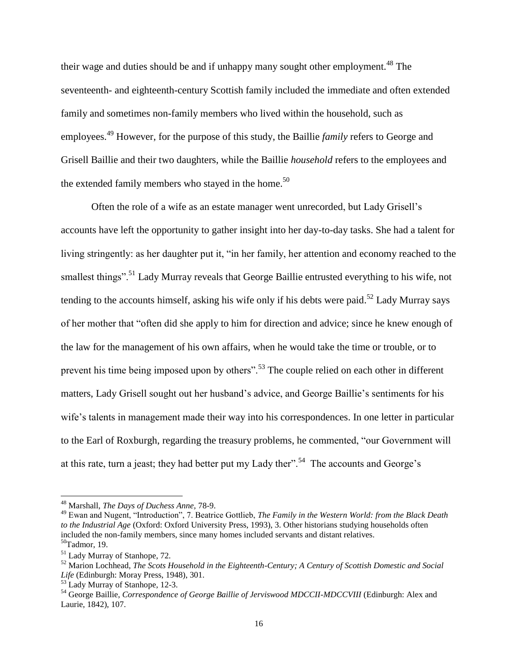their wage and duties should be and if unhappy many sought other employment.<sup>48</sup> The seventeenth- and eighteenth-century Scottish family included the immediate and often extended family and sometimes non-family members who lived within the household, such as employees.<sup>49</sup> However, for the purpose of this study, the Baillie *family* refers to George and Grisell Baillie and their two daughters, while the Baillie *household* refers to the employees and the extended family members who stayed in the home.<sup>50</sup>

Often the role of a wife as an estate manager went unrecorded, but Lady Grisell"s accounts have left the opportunity to gather insight into her day-to-day tasks. She had a talent for living stringently: as her daughter put it, "in her family, her attention and economy reached to the smallest things".<sup>51</sup> Lady Murray reveals that George Baillie entrusted everything to his wife, not tending to the accounts himself, asking his wife only if his debts were paid.<sup>52</sup> Lady Murray says of her mother that "often did she apply to him for direction and advice; since he knew enough of the law for the management of his own affairs, when he would take the time or trouble, or to prevent his time being imposed upon by others".<sup>53</sup> The couple relied on each other in different matters, Lady Grisell sought out her husband"s advice, and George Baillie"s sentiments for his wife's talents in management made their way into his correspondences. In one letter in particular to the Earl of Roxburgh, regarding the treasury problems, he commented, "our Government will at this rate, turn a jeast; they had better put my Lady ther".<sup>54</sup> The accounts and George's

<sup>48</sup> Marshall, *The Days of Duchess Anne,* 78-9.

<sup>49</sup> Ewan and Nugent, "Introduction", 7. Beatrice Gottlieb, *The Family in the Western World: from the Black Death to the Industrial Age* (Oxford: Oxford University Press, 1993), 3. Other historians studying households often included the non-family members, since many homes included servants and distant relatives.  $50$ Tadmor, 19.

<sup>51</sup> Lady Murray of Stanhope, 72.

<sup>52</sup> Marion Lochhead, *The Scots Household in the Eighteenth-Century; A Century of Scottish Domestic and Social Life* (Edinburgh: Moray Press, 1948), 301.

<sup>&</sup>lt;sup>53</sup> Lady Murray of Stanhope, 12-3.

<sup>54</sup> George Baillie, *Correspondence of George Baillie of Jerviswood MDCCII-MDCCVIII* (Edinburgh: Alex and Laurie, 1842), 107.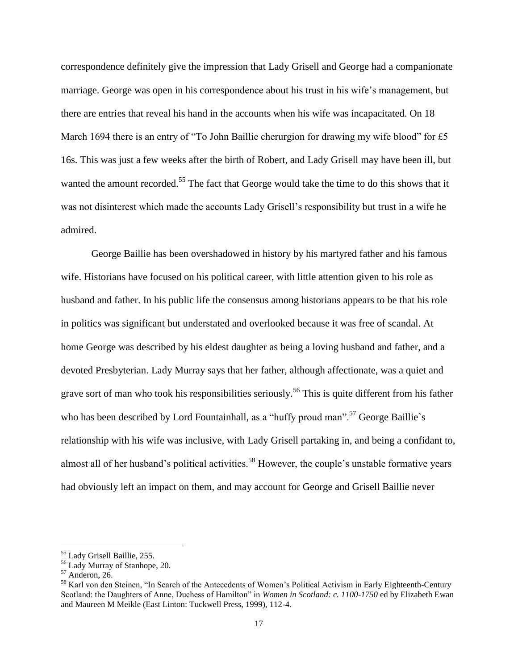correspondence definitely give the impression that Lady Grisell and George had a companionate marriage. George was open in his correspondence about his trust in his wife"s management, but there are entries that reveal his hand in the accounts when his wife was incapacitated. On 18 March 1694 there is an entry of "To John Baillie cherurgion for drawing my wife blood" for £5 16s. This was just a few weeks after the birth of Robert, and Lady Grisell may have been ill, but wanted the amount recorded.<sup>55</sup> The fact that George would take the time to do this shows that it was not disinterest which made the accounts Lady Grisell"s responsibility but trust in a wife he admired.

George Baillie has been overshadowed in history by his martyred father and his famous wife. Historians have focused on his political career, with little attention given to his role as husband and father. In his public life the consensus among historians appears to be that his role in politics was significant but understated and overlooked because it was free of scandal. At home George was described by his eldest daughter as being a loving husband and father, and a devoted Presbyterian. Lady Murray says that her father, although affectionate, was a quiet and grave sort of man who took his responsibilities seriously.<sup>56</sup> This is quite different from his father who has been described by Lord Fountainhall, as a "huffy proud man".<sup>57</sup> George Baillie's relationship with his wife was inclusive, with Lady Grisell partaking in, and being a confidant to, almost all of her husband's political activities.<sup>58</sup> However, the couple's unstable formative years had obviously left an impact on them, and may account for George and Grisell Baillie never

l

<sup>55</sup> Lady Grisell Baillie, 255.

<sup>56</sup> Lady Murray of Stanhope, 20.

<sup>57</sup> Anderon, 26.

<sup>&</sup>lt;sup>58</sup> Karl von den Steinen, "In Search of the Antecedents of Women's Political Activism in Early Eighteenth-Century Scotland: the Daughters of Anne, Duchess of Hamilton" in *Women in Scotland: c. 1100-1750* ed by Elizabeth Ewan and Maureen M Meikle (East Linton: Tuckwell Press, 1999), 112-4.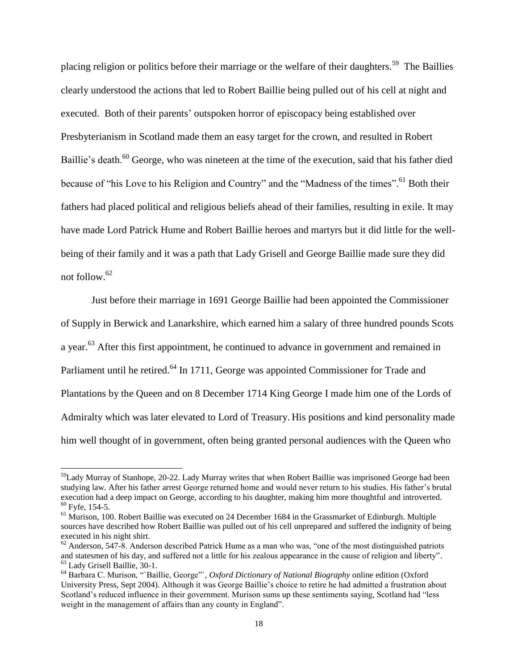placing religion or politics before their marriage or the welfare of their daughters.<sup>59</sup> The Baillies clearly understood the actions that led to Robert Baillie being pulled out of his cell at night and executed. Both of their parents' outspoken horror of episcopacy being established over Presbyterianism in Scotland made them an easy target for the crown, and resulted in Robert Baillie's death.<sup>60</sup> George, who was nineteen at the time of the execution, said that his father died because of "his Love to his Religion and Country" and the "Madness of the times".<sup>61</sup> Both their fathers had placed political and religious beliefs ahead of their families, resulting in exile. It may have made Lord Patrick Hume and Robert Baillie heroes and martyrs but it did little for the wellbeing of their family and it was a path that Lady Grisell and George Baillie made sure they did not follow.<sup>62</sup>

Just before their marriage in 1691 George Baillie had been appointed the Commissioner of Supply in Berwick and Lanarkshire, which earned him a salary of three hundred pounds Scots a year.<sup>63</sup> After this first appointment, he continued to advance in government and remained in Parliament until he retired.<sup>64</sup> In 1711, George was appointed Commissioner for Trade and Plantations by the Queen and on 8 December 1714 King George I made him one of the Lords of Admiralty which was later elevated to Lord of Treasury. His positions and kind personality made him well thought of in government, often being granted personal audiences with the Queen who

<sup>&</sup>lt;sup>59</sup>Lady Murray of Stanhope, 20-22. Lady Murray writes that when Robert Baillie was imprisoned George had been studying law. After his father arrest George returned home and would never return to his studies. His father"s brutal execution had a deep impact on George, according to his daughter, making him more thoughtful and introverted.  $60$  Fyfe, 154-5.

<sup>&</sup>lt;sup>61</sup> Murison, 100. Robert Baillie was executed on 24 December 1684 in the Grassmarket of Edinburgh. Multiple sources have described how Robert Baillie was pulled out of his cell unprepared and suffered the indignity of being executed in his night shirt.

 $62$  Anderson, 547-8. Anderson described Patrick Hume as a man who was, "one of the most distinguished patriots and statesmen of his day, and suffered not a little for his zealous appearance in the cause of religion and liberty". <sup>63</sup> Lady Grisell Baillie, 30-1.

<sup>64</sup> Barbara C. Murison, "`Baillie, George"`, *Oxford Dictionary of National Biography* online edition (Oxford University Press, Sept 2004). Although it was George Baillie"s choice to retire he had admitted a frustration about Scotland"s reduced influence in their government. Murison sums up these sentiments saying, Scotland had "less weight in the management of affairs than any county in England".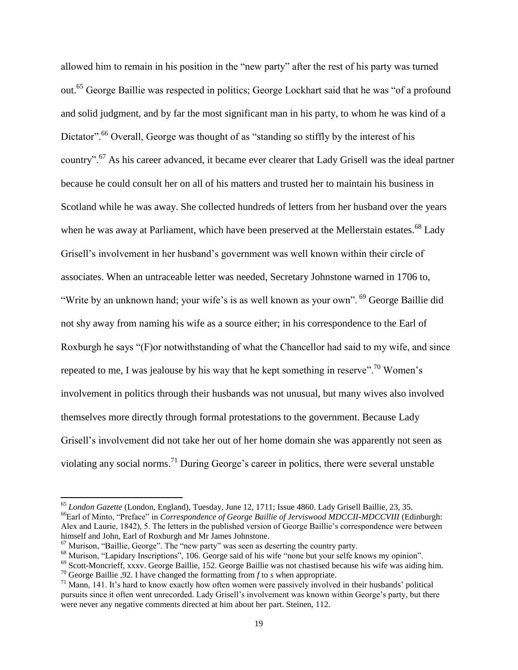allowed him to remain in his position in the "new party" after the rest of his party was turned out.<sup>65</sup> George Baillie was respected in politics; George Lockhart said that he was "of a profound and solid judgment, and by far the most significant man in his party, to whom he was kind of a Dictator".<sup>66</sup> Overall, George was thought of as "standing so stiffly by the interest of his country".<sup>67</sup> As his career advanced, it became ever clearer that Lady Grisell was the ideal partner because he could consult her on all of his matters and trusted her to maintain his business in Scotland while he was away. She collected hundreds of letters from her husband over the years when he was away at Parliament, which have been preserved at the Mellerstain estates.<sup>68</sup> Lady Grisell"s involvement in her husband"s government was well known within their circle of associates. When an untraceable letter was needed, Secretary Johnstone warned in 1706 to, "Write by an unknown hand; your wife's is as well known as your own". <sup>69</sup> George Baillie did not shy away from naming his wife as a source either; in his correspondence to the Earl of Roxburgh he says "(F)or notwithstanding of what the Chancellor had said to my wife, and since repeated to me, I was jealouse by his way that he kept something in reserve".<sup>70</sup> Women's involvement in politics through their husbands was not unusual, but many wives also involved themselves more directly through formal protestations to the government. Because Lady Grisell"s involvement did not take her out of her home domain she was apparently not seen as violating any social norms.<sup>71</sup> During George's career in politics, there were several unstable

<sup>65</sup> *London Gazette* (London, England), Tuesday, June 12, 1711; Issue 4860. Lady Grisell Baillie, 23, 35. <sup>66</sup>Earl of Minto, "Preface" in *Correspondence of George Baillie of Jerviswood MDCCII-MDCCVIII* (Edinburgh: Alex and Laurie, 1842), 5. The letters in the published version of George Baillie"s correspondence were between himself and John, Earl of Roxburgh and Mr James Johnstone.

 $<sup>67</sup>$  Murison, "Baillie, George". The "new party" was seen as deserting the country party.</sup>

<sup>&</sup>lt;sup>68</sup> Murison, "Lapidary Inscriptions", 106. George said of his wife "none but your selfe knows my opinion".

<sup>&</sup>lt;sup>69</sup> Scott-Moncrieff, xxxv. George Baillie, 152. George Baillie was not chastised because his wife was aiding him. <sup>70</sup> George Baillie ,92. I have changed the formatting from *f* to *s* when appropriate.

 $71$  Mann, 141. It's hard to know exactly how often women were passively involved in their husbands' political pursuits since it often went unrecorded. Lady Grisell"s involvement was known within George"s party, but there were never any negative comments directed at him about her part. Steinen, 112.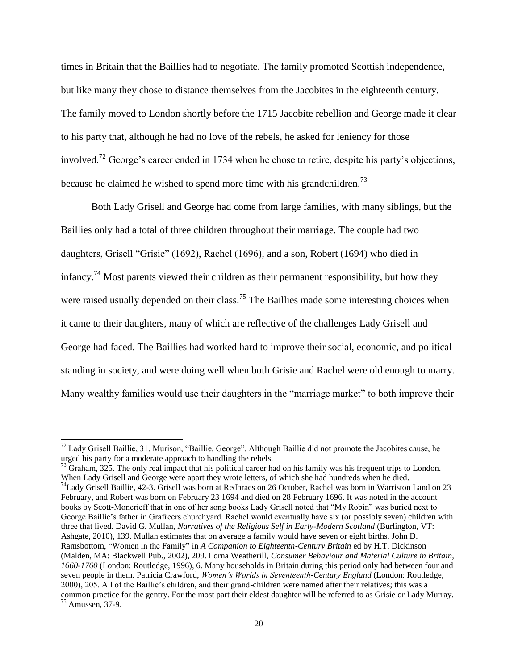times in Britain that the Baillies had to negotiate. The family promoted Scottish independence, but like many they chose to distance themselves from the Jacobites in the eighteenth century. The family moved to London shortly before the 1715 Jacobite rebellion and George made it clear to his party that, although he had no love of the rebels, he asked for leniency for those involved.<sup>72</sup> George's career ended in 1734 when he chose to retire, despite his party's objections, because he claimed he wished to spend more time with his grandchildren.<sup>73</sup>

Both Lady Grisell and George had come from large families, with many siblings, but the Baillies only had a total of three children throughout their marriage. The couple had two daughters, Grisell "Grisie" (1692), Rachel (1696), and a son, Robert (1694) who died in infancy.<sup>74</sup> Most parents viewed their children as their permanent responsibility, but how they were raised usually depended on their class.<sup>75</sup> The Baillies made some interesting choices when it came to their daughters, many of which are reflective of the challenges Lady Grisell and George had faced. The Baillies had worked hard to improve their social, economic, and political standing in society, and were doing well when both Grisie and Rachel were old enough to marry. Many wealthy families would use their daughters in the "marriage market" to both improve their

 $72$  Lady Grisell Baillie, 31. Murison, "Baillie, George". Although Baillie did not promote the Jacobites cause, he urged his party for a moderate approach to handling the rebels.

 $^{73}$  Graham, 325. The only real impact that his political career had on his family was his frequent trips to London. When Lady Grisell and George were apart they wrote letters, of which she had hundreds when he died.  $74$ Lady Grisell Baillie, 42-3. Grisell was born at Redbraes on 26 October, Rachel was born in Warriston Land on 23 February, and Robert was born on February 23 1694 and died on 28 February 1696. It was noted in the account books by Scott-Moncrieff that in one of her song books Lady Grisell noted that "My Robin" was buried next to George Baillie's father in Grafreers churchyard. Rachel would eventually have six (or possibly seven) children with three that lived. David G. Mullan, *Narratives of the Religious Self in Early-Modern Scotland* (Burlington, VT: Ashgate, 2010), 139. Mullan estimates that on average a family would have seven or eight births. John D. Ramsbottom, "Women in the Family" in *A Companion to Eighteenth-Century Britain* ed by H.T. Dickinson (Malden, MA: Blackwell Pub., 2002), 209. Lorna Weatherill, *Consumer Behaviour and Material Culture in Britain, 1660-1760* (London: Routledge, 1996), 6. Many households in Britain during this period only had between four and seven people in them. Patricia Crawford, *Women's Worlds in Seventeenth-Century England* (London: Routledge, 2000), 205. All of the Baillie"s children, and their grand-children were named after their relatives; this was a common practice for the gentry. For the most part their eldest daughter will be referred to as Grisie or Lady Murray.  $75$  Amussen, 37-9.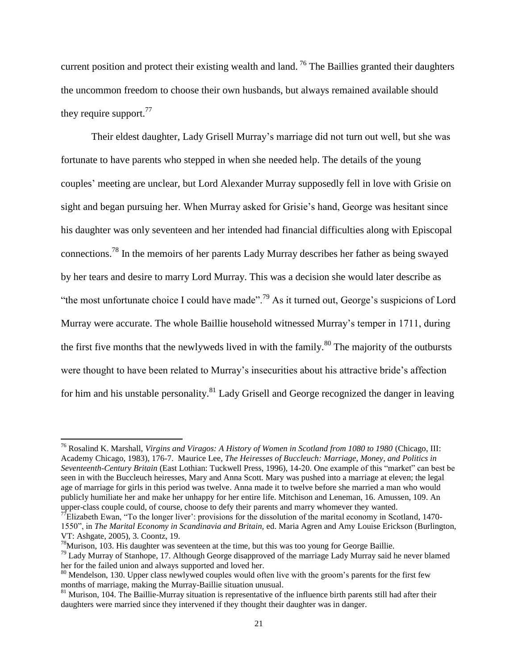current position and protect their existing wealth and land.<sup>76</sup> The Baillies granted their daughters the uncommon freedom to choose their own husbands, but always remained available should they require support. $77$ 

Their eldest daughter, Lady Grisell Murray"s marriage did not turn out well, but she was fortunate to have parents who stepped in when she needed help. The details of the young couples" meeting are unclear, but Lord Alexander Murray supposedly fell in love with Grisie on sight and began pursuing her. When Murray asked for Grisie"s hand, George was hesitant since his daughter was only seventeen and her intended had financial difficulties along with Episcopal connections.<sup>78</sup> In the memoirs of her parents Lady Murray describes her father as being swayed by her tears and desire to marry Lord Murray. This was a decision she would later describe as "the most unfortunate choice I could have made".<sup>79</sup> As it turned out, George's suspicions of Lord Murray were accurate. The whole Baillie household witnessed Murray"s temper in 1711, during the first five months that the newlyweds lived in with the family. $80$  The majority of the outbursts were thought to have been related to Murray"s insecurities about his attractive bride"s affection for him and his unstable personality.<sup>81</sup> Lady Grisell and George recognized the danger in leaving

<sup>76</sup> Rosalind K. Marshall, *Virgins and Viragos: A History of Women in Scotland from 1080 to 1980* (Chicago, III: Academy Chicago, 1983), 176-7. Maurice Lee, *The Heiresses of Buccleuch: Marriage, Money, and Politics in Seventeenth-Century Britain* (East Lothian: Tuckwell Press, 1996), 14-20. One example of this "market" can best be seen in with the Buccleuch heiresses, Mary and Anna Scott. Mary was pushed into a marriage at eleven; the legal age of marriage for girls in this period was twelve. Anna made it to twelve before she married a man who would publicly humiliate her and make her unhappy for her entire life. Mitchison and Leneman, 16. Amussen, 109. An upper-class couple could, of course, choose to defy their parents and marry whomever they wanted.

 $^{77}$ Elizabeth Ewan, "To the longer liver": provisions for the dissolution of the marital economy in Scotland, 1470-1550", in *The Marital Economy in Scandinavia and Britain,* ed. Maria Agren and Amy Louise Erickson (Burlington, VT: Ashgate, 2005), 3. Coontz, 19.

 $^{78}$ Murison, 103. His daughter was seventeen at the time, but this was too young for George Baillie.

<sup>&</sup>lt;sup>79</sup> Lady Murray of Stanhope, 17. Although George disapproved of the marriage Lady Murray said he never blamed her for the failed union and always supported and loved her.

 $80$  Mendelson, 130. Upper class newlywed couples would often live with the groom's parents for the first few months of marriage, making the Murray-Baillie situation unusual.

 $81$  Murison, 104. The Baillie-Murray situation is representative of the influence birth parents still had after their daughters were married since they intervened if they thought their daughter was in danger.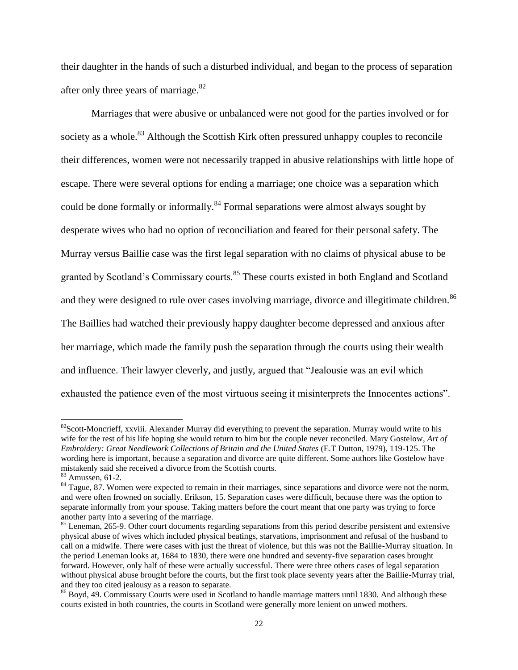their daughter in the hands of such a disturbed individual, and began to the process of separation after only three years of marriage.<sup>82</sup>

Marriages that were abusive or unbalanced were not good for the parties involved or for society as a whole.<sup>83</sup> Although the Scottish Kirk often pressured unhappy couples to reconcile their differences, women were not necessarily trapped in abusive relationships with little hope of escape. There were several options for ending a marriage; one choice was a separation which could be done formally or informally.<sup>84</sup> Formal separations were almost always sought by desperate wives who had no option of reconciliation and feared for their personal safety. The Murray versus Baillie case was the first legal separation with no claims of physical abuse to be granted by Scotland's Commissary courts.<sup>85</sup> These courts existed in both England and Scotland and they were designed to rule over cases involving marriage, divorce and illegitimate children.<sup>86</sup> The Baillies had watched their previously happy daughter become depressed and anxious after her marriage, which made the family push the separation through the courts using their wealth and influence. Their lawyer cleverly, and justly, argued that "Jealousie was an evil which exhausted the patience even of the most virtuous seeing it misinterprets the Innocentes actions".

<sup>&</sup>lt;sup>82</sup>Scott-Moncrieff, xxviii. Alexander Murray did everything to prevent the separation. Murray would write to his wife for the rest of his life hoping she would return to him but the couple never reconciled. Mary Gostelow, *Art of Embroidery: Great Needlework Collections of Britain and the United States* (E.T Dutton, 1979), 119-125. The wording here is important, because a separation and divorce are quite different. Some authors like Gostelow have mistakenly said she received a divorce from the Scottish courts.

<sup>83</sup> Amussen, 61-2.

<sup>&</sup>lt;sup>84</sup> Tague, 87. Women were expected to remain in their marriages, since separations and divorce were not the norm, and were often frowned on socially. Erikson, 15. Separation cases were difficult, because there was the option to separate informally from your spouse. Taking matters before the court meant that one party was trying to force another party into a severing of the marriage.

 $85$  Leneman, 265-9. Other court documents regarding separations from this period describe persistent and extensive physical abuse of wives which included physical beatings, starvations, imprisonment and refusal of the husband to call on a midwife. There were cases with just the threat of violence, but this was not the Baillie-Murray situation. In the period Leneman looks at, 1684 to 1830, there were one hundred and seventy-five separation cases brought forward. However, only half of these were actually successful. There were three others cases of legal separation without physical abuse brought before the courts, but the first took place seventy years after the Baillie-Murray trial, and they too cited jealousy as a reason to separate.

<sup>86</sup> Boyd, 49. Commissary Courts were used in Scotland to handle marriage matters until 1830. And although these courts existed in both countries, the courts in Scotland were generally more lenient on unwed mothers.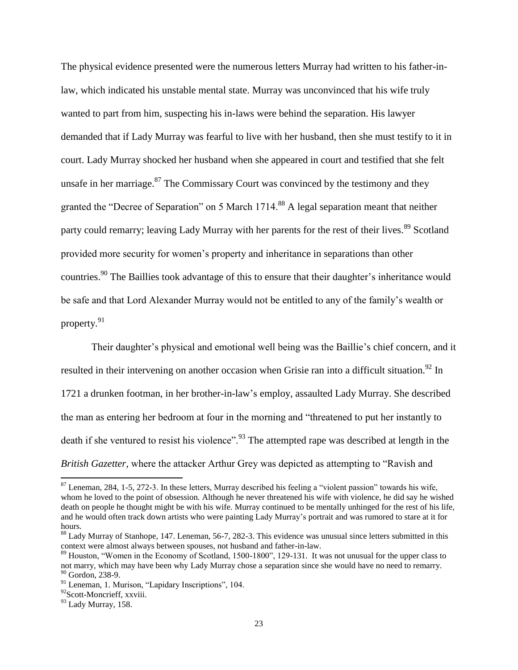The physical evidence presented were the numerous letters Murray had written to his father-inlaw, which indicated his unstable mental state. Murray was unconvinced that his wife truly wanted to part from him, suspecting his in-laws were behind the separation. His lawyer demanded that if Lady Murray was fearful to live with her husband, then she must testify to it in court. Lady Murray shocked her husband when she appeared in court and testified that she felt unsafe in her marriage. $87$  The Commissary Court was convinced by the testimony and they granted the "Decree of Separation" on 5 March 1714.<sup>88</sup> A legal separation meant that neither party could remarry; leaving Lady Murray with her parents for the rest of their lives.<sup>89</sup> Scotland provided more security for women"s property and inheritance in separations than other countries.<sup>90</sup> The Baillies took advantage of this to ensure that their daughter's inheritance would be safe and that Lord Alexander Murray would not be entitled to any of the family"s wealth or property.<sup>91</sup>

Their daughter's physical and emotional well being was the Baillie's chief concern, and it resulted in their intervening on another occasion when Grisie ran into a difficult situation.<sup>92</sup> In 1721 a drunken footman, in her brother-in-law"s employ, assaulted Lady Murray. She described the man as entering her bedroom at four in the morning and "threatened to put her instantly to death if she ventured to resist his violence".<sup>93</sup> The attempted rape was described at length in the *British Gazetter,* where the attacker Arthur Grey was depicted as attempting to "Ravish and

 $87$  Leneman, 284, 1-5, 272-3. In these letters, Murray described his feeling a "violent passion" towards his wife, whom he loved to the point of obsession. Although he never threatened his wife with violence, he did say he wished death on people he thought might be with his wife. Murray continued to be mentally unhinged for the rest of his life, and he would often track down artists who were painting Lady Murray"s portrait and was rumored to stare at it for hours.

<sup>&</sup>lt;sup>88</sup> Lady Murray of Stanhope, 147. Leneman, 56-7, 282-3. This evidence was unusual since letters submitted in this context were almost always between spouses, not husband and father-in-law.

<sup>&</sup>lt;sup>89</sup> Houston, "Women in the Economy of Scotland, 1500-1800", 129-131. It was not unusual for the upper class to not marry, which may have been why Lady Murray chose a separation since she would have no need to remarry. <sup>90</sup> Gordon, 238-9.

<sup>&</sup>lt;sup>91</sup> Leneman, 1. Murison, "Lapidary Inscriptions", 104.

<sup>&</sup>lt;sup>92</sup>Scott-Moncrieff, xxviii.

<sup>&</sup>lt;sup>93</sup> Lady Murray, 158.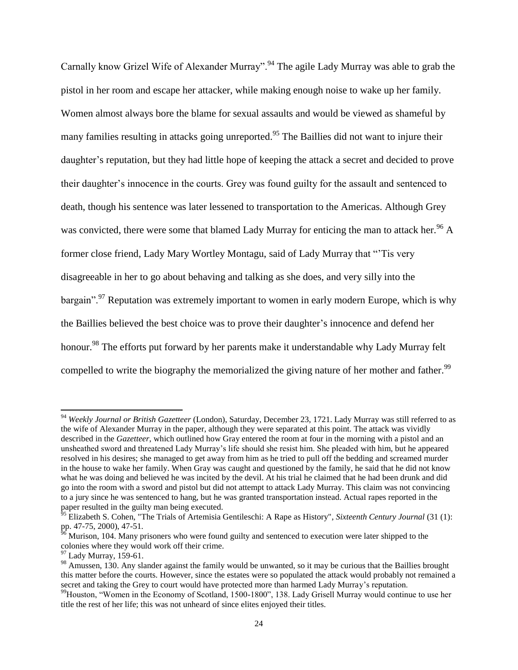Carnally know Grizel Wife of Alexander Murray".<sup>94</sup> The agile Lady Murray was able to grab the pistol in her room and escape her attacker, while making enough noise to wake up her family. Women almost always bore the blame for sexual assaults and would be viewed as shameful by many families resulting in attacks going unreported.<sup>95</sup> The Baillies did not want to injure their daughter's reputation, but they had little hope of keeping the attack a secret and decided to prove their daughter"s innocence in the courts. Grey was found guilty for the assault and sentenced to death, though his sentence was later lessened to transportation to the Americas. Although Grey was convicted, there were some that blamed Lady Murray for enticing the man to attack her.<sup>96</sup> A former close friend, Lady Mary Wortley Montagu, said of Lady Murray that ""Tis very disagreeable in her to go about behaving and talking as she does, and very silly into the bargain".<sup>97</sup> Reputation was extremely important to women in early modern Europe, which is why the Baillies believed the best choice was to prove their daughter"s innocence and defend her honour.<sup>98</sup> The efforts put forward by her parents make it understandable why Lady Murray felt compelled to write the biography the memorialized the giving nature of her mother and father.<sup>99</sup>

<sup>94</sup> *Weekly Journal or British Gazetteer* (London), Saturday, December 23, 1721. Lady Murray was still referred to as the wife of Alexander Murray in the paper, although they were separated at this point. The attack was vividly described in the *Gazetteer*, which outlined how Gray entered the room at four in the morning with a pistol and an unsheathed sword and threatened Lady Murray"s life should she resist him. She pleaded with him, but he appeared resolved in his desires; she managed to get away from him as he tried to pull off the bedding and screamed murder in the house to wake her family. When Gray was caught and questioned by the family, he said that he did not know what he was doing and believed he was incited by the devil. At his trial he claimed that he had been drunk and did go into the room with a sword and pistol but did not attempt to attack Lady Murray. This claim was not convincing to a jury since he was sentenced to hang, but he was granted transportation instead. Actual rapes reported in the paper resulted in the guilty man being executed.

<sup>&</sup>lt;sup>95</sup> Elizabeth S. Cohen, "The Trials of Artemisia Gentileschi: A Rape as History", *Sixteenth Century Journal* (31 (1): pp. 47-75, 2000), 47-51.

Murison, 104. Many prisoners who were found guilty and sentenced to execution were later shipped to the colonies where they would work off their crime.

 $97$  Lady Murray, 159-61.

<sup>&</sup>lt;sup>98</sup> Amussen, 130. Any slander against the family would be unwanted, so it may be curious that the Baillies brought this matter before the courts. However, since the estates were so populated the attack would probably not remained a secret and taking the Grey to court would have protected more than harmed Lady Murray"s reputation.

<sup>&</sup>lt;sup>99</sup>Houston, "Women in the Economy of Scotland, 1500-1800", 138. Lady Grisell Murray would continue to use her title the rest of her life; this was not unheard of since elites enjoyed their titles.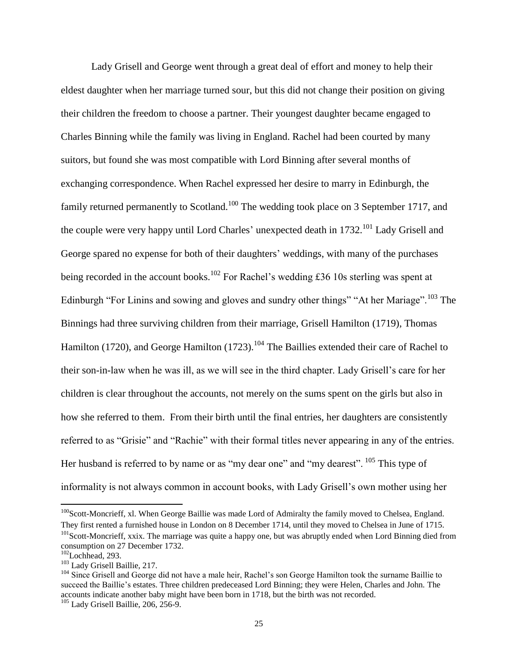Lady Grisell and George went through a great deal of effort and money to help their eldest daughter when her marriage turned sour, but this did not change their position on giving their children the freedom to choose a partner. Their youngest daughter became engaged to Charles Binning while the family was living in England. Rachel had been courted by many suitors, but found she was most compatible with Lord Binning after several months of exchanging correspondence. When Rachel expressed her desire to marry in Edinburgh, the family returned permanently to Scotland.<sup>100</sup> The wedding took place on 3 September 1717, and the couple were very happy until Lord Charles' unexpected death in  $1732$ <sup> $101$ </sup> Lady Grisell and George spared no expense for both of their daughters' weddings, with many of the purchases being recorded in the account books.<sup>102</sup> For Rachel's wedding £36 10s sterling was spent at Edinburgh "For Linins and sowing and gloves and sundry other things" "At her Mariage".<sup>103</sup> The Binnings had three surviving children from their marriage, Grisell Hamilton (1719), Thomas Hamilton (1720), and George Hamilton (1723).<sup>104</sup> The Baillies extended their care of Rachel to their son-in-law when he was ill, as we will see in the third chapter. Lady Grisell"s care for her children is clear throughout the accounts, not merely on the sums spent on the girls but also in how she referred to them. From their birth until the final entries, her daughters are consistently referred to as "Grisie" and "Rachie" with their formal titles never appearing in any of the entries. Her husband is referred to by name or as "my dear one" and "my dearest". <sup>105</sup> This type of informality is not always common in account books, with Lady Grisell"s own mother using her

 $100$ Scott-Moncrieff, xl. When George Baillie was made Lord of Admiralty the family moved to Chelsea, England. They first rented a furnished house in London on 8 December 1714, until they moved to Chelsea in June of 1715.

<sup>&</sup>lt;sup>101</sup>Scott-Moncrieff, xxix. The marriage was quite a happy one, but was abruptly ended when Lord Binning died from consumption on 27 December 1732.

 $102$ Lochhead, 293.

<sup>103</sup> Lady Grisell Baillie, 217.

<sup>&</sup>lt;sup>104</sup> Since Grisell and George did not have a male heir, Rachel's son George Hamilton took the surname Baillie to succeed the Baillie's estates. Three children predeceased Lord Binning; they were Helen, Charles and John. The accounts indicate another baby might have been born in 1718, but the birth was not recorded.

<sup>&</sup>lt;sup>105</sup> Lady Grisell Baillie, 206, 256-9.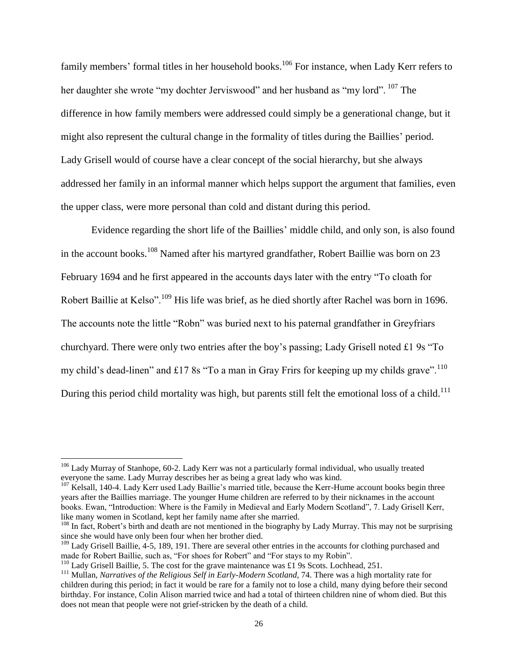family members' formal titles in her household books.<sup>106</sup> For instance, when Lady Kerr refers to her daughter she wrote "my dochter Jerviswood" and her husband as "my lord". <sup>107</sup> The difference in how family members were addressed could simply be a generational change, but it might also represent the cultural change in the formality of titles during the Baillies" period. Lady Grisell would of course have a clear concept of the social hierarchy, but she always addressed her family in an informal manner which helps support the argument that families, even the upper class, were more personal than cold and distant during this period.

Evidence regarding the short life of the Baillies" middle child, and only son, is also found in the account books.<sup>108</sup> Named after his martyred grandfather, Robert Baillie was born on 23 February 1694 and he first appeared in the accounts days later with the entry "To cloath for Robert Baillie at Kelso".<sup>109</sup> His life was brief, as he died shortly after Rachel was born in 1696. The accounts note the little "Robn" was buried next to his paternal grandfather in Greyfriars churchyard. There were only two entries after the boy"s passing; Lady Grisell noted £1 9s "To my child's dead-linen" and £17 8s "To a man in Gray Frirs for keeping up my childs grave".<sup>110</sup> During this period child mortality was high, but parents still felt the emotional loss of a child.<sup>111</sup>

l

<sup>&</sup>lt;sup>106</sup> Lady Murray of Stanhope, 60-2. Lady Kerr was not a particularly formal individual, who usually treated everyone the same. Lady Murray describes her as being a great lady who was kind.

<sup>&</sup>lt;sup>107</sup> Kelsall, 140-4. Lady Kerr used Lady Baillie's married title, because the Kerr-Hume account books begin three years after the Baillies marriage. The younger Hume children are referred to by their nicknames in the account books. Ewan, "Introduction: Where is the Family in Medieval and Early Modern Scotland", 7. Lady Grisell Kerr, like many women in Scotland, kept her family name after she married.

<sup>&</sup>lt;sup>108</sup> In fact, Robert's birth and death are not mentioned in the biography by Lady Murray. This may not be surprising since she would have only been four when her brother died.

 $109$  Lady Grisell Baillie, 4-5, 189, 191. There are several other entries in the accounts for clothing purchased and made for Robert Baillie, such as, "For shoes for Robert" and "For stays to my Robin".

<sup>&</sup>lt;sup>110</sup> Lady Grisell Baillie, 5. The cost for the grave maintenance was £1 9s Scots. Lochhead, 251.

<sup>&</sup>lt;sup>111</sup> Mullan, *Narratives of the Religious Self in Early-Modern Scotland*, 74. There was a high mortality rate for children during this period; in fact it would be rare for a family not to lose a child, many dying before their second birthday. For instance, Colin Alison married twice and had a total of thirteen children nine of whom died. But this does not mean that people were not grief-stricken by the death of a child.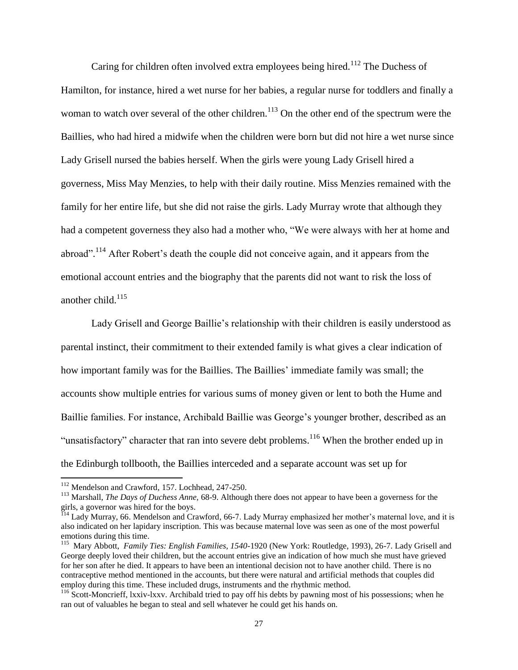Caring for children often involved extra employees being hired.<sup>112</sup> The Duchess of Hamilton, for instance, hired a wet nurse for her babies, a regular nurse for toddlers and finally a woman to watch over several of the other children.<sup>113</sup> On the other end of the spectrum were the Baillies, who had hired a midwife when the children were born but did not hire a wet nurse since Lady Grisell nursed the babies herself. When the girls were young Lady Grisell hired a governess, Miss May Menzies, to help with their daily routine. Miss Menzies remained with the family for her entire life, but she did not raise the girls. Lady Murray wrote that although they had a competent governess they also had a mother who, "We were always with her at home and abroad".<sup>114</sup> After Robert's death the couple did not conceive again, and it appears from the emotional account entries and the biography that the parents did not want to risk the loss of another child. $115$ 

Lady Grisell and George Baillie's relationship with their children is easily understood as parental instinct, their commitment to their extended family is what gives a clear indication of how important family was for the Baillies. The Baillies' immediate family was small; the accounts show multiple entries for various sums of money given or lent to both the Hume and Baillie families. For instance, Archibald Baillie was George's younger brother, described as an "unsatisfactory" character that ran into severe debt problems.<sup>116</sup> When the brother ended up in the Edinburgh tollbooth, the Baillies interceded and a separate account was set up for

<sup>112</sup> Mendelson and Crawford*,* 157. Lochhead, 247-250.

<sup>113</sup> Marshall, *The Days of Duchess Anne,* 68-9. Although there does not appear to have been a governess for the girls, a governor was hired for the boys.

<sup>114</sup> Lady Murray, 66. Mendelson and Crawford*,* 66-7. Lady Murray emphasized her mother"s maternal love, and it is also indicated on her lapidary inscription. This was because maternal love was seen as one of the most powerful emotions during this time.

<sup>115</sup> Mary Abbott, *Family Ties: English Families, 1540-*1920 (New York: Routledge, 1993), 26-7. Lady Grisell and George deeply loved their children, but the account entries give an indication of how much she must have grieved for her son after he died. It appears to have been an intentional decision not to have another child. There is no contraceptive method mentioned in the accounts, but there were natural and artificial methods that couples did employ during this time. These included drugs, instruments and the rhythmic method.

<sup>&</sup>lt;sup>116</sup> Scott-Moncrieff, lxxiv-lxxv. Archibald tried to pay off his debts by pawning most of his possessions; when he ran out of valuables he began to steal and sell whatever he could get his hands on.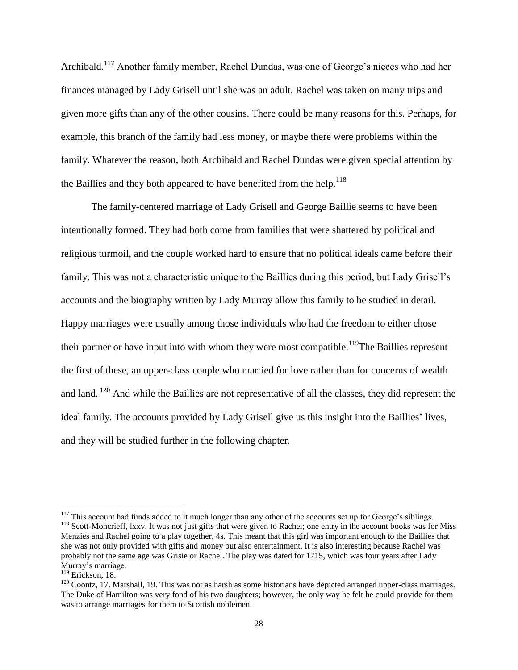Archibald.<sup>117</sup> Another family member, Rachel Dundas, was one of George's nieces who had her finances managed by Lady Grisell until she was an adult. Rachel was taken on many trips and given more gifts than any of the other cousins. There could be many reasons for this. Perhaps, for example, this branch of the family had less money, or maybe there were problems within the family. Whatever the reason, both Archibald and Rachel Dundas were given special attention by the Baillies and they both appeared to have benefited from the help.<sup>118</sup>

The family-centered marriage of Lady Grisell and George Baillie seems to have been intentionally formed. They had both come from families that were shattered by political and religious turmoil, and the couple worked hard to ensure that no political ideals came before their family. This was not a characteristic unique to the Baillies during this period, but Lady Grisell's accounts and the biography written by Lady Murray allow this family to be studied in detail. Happy marriages were usually among those individuals who had the freedom to either chose their partner or have input into with whom they were most compatible.<sup>119</sup>The Baillies represent the first of these, an upper-class couple who married for love rather than for concerns of wealth and land. <sup>120</sup> And while the Baillies are not representative of all the classes, they did represent the ideal family. The accounts provided by Lady Grisell give us this insight into the Baillies' lives, and they will be studied further in the following chapter.

<sup>&</sup>lt;sup>117</sup> This account had funds added to it much longer than any other of the accounts set up for George's siblings.

<sup>&</sup>lt;sup>118</sup> Scott-Moncrieff, lxxv. It was not just gifts that were given to Rachel; one entry in the account books was for Miss Menzies and Rachel going to a play together, 4s. This meant that this girl was important enough to the Baillies that she was not only provided with gifts and money but also entertainment. It is also interesting because Rachel was probably not the same age was Grisie or Rachel. The play was dated for 1715, which was four years after Lady Murray"s marriage.

 $119$  Erickson, 18.

 $120$  Coontz, 17. Marshall, 19. This was not as harsh as some historians have depicted arranged upper-class marriages. The Duke of Hamilton was very fond of his two daughters; however, the only way he felt he could provide for them was to arrange marriages for them to Scottish noblemen.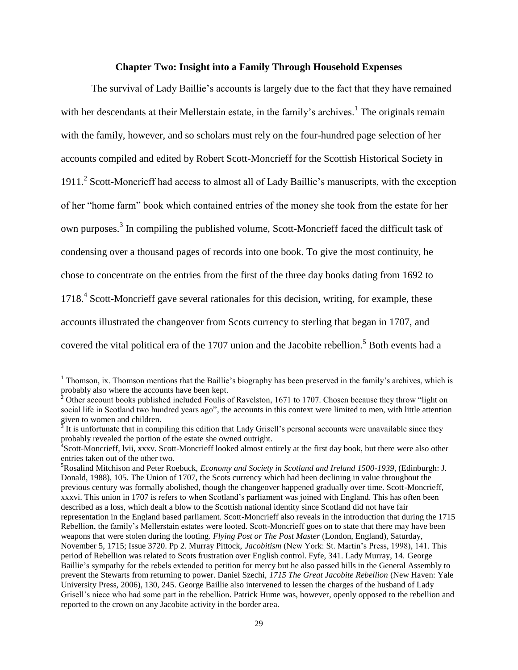### **Chapter Two: Insight into a Family Through Household Expenses**

The survival of Lady Baillie"s accounts is largely due to the fact that they have remained with her descendants at their Mellerstain estate, in the family's archives.<sup>1</sup> The originals remain with the family, however, and so scholars must rely on the four-hundred page selection of her accounts compiled and edited by Robert Scott-Moncrieff for the Scottish Historical Society in 1911.<sup>2</sup> Scott-Moncrieff had access to almost all of Lady Baillie's manuscripts, with the exception of her "home farm" book which contained entries of the money she took from the estate for her own purposes.<sup>3</sup> In compiling the published volume, Scott-Moncrieff faced the difficult task of condensing over a thousand pages of records into one book. To give the most continuity, he chose to concentrate on the entries from the first of the three day books dating from 1692 to 1718.<sup>4</sup> Scott-Moncrieff gave several rationales for this decision, writing, for example, these accounts illustrated the changeover from Scots currency to sterling that began in 1707, and covered the vital political era of the 1707 union and the Jacobite rebellion.<sup>5</sup> Both events had a

<sup>&</sup>lt;sup>1</sup> Thomson, ix. Thomson mentions that the Baillie's biography has been preserved in the family's archives, which is probably also where the accounts have been kept.

 $2^{\circ}$  Other account books published included Foulis of Ravelston, 1671 to 1707. Chosen because they throw "light on social life in Scotland two hundred years ago", the accounts in this context were limited to men, with little attention given to women and children.

 $3$  It is unfortunate that in compiling this edition that Lady Grisell's personal accounts were unavailable since they probably revealed the portion of the estate she owned outright.

<sup>&</sup>lt;sup>4</sup> Scott-Moncrieff, Ivii, xxxv. Scott-Moncrieff looked almost entirely at the first day book, but there were also other entries taken out of the other two.

<sup>5</sup>Rosalind Mitchison and Peter Roebuck, *Economy and Society in Scotland and Ireland 1500-1939,* (Edinburgh: J. Donald, 1988), 105. The Union of 1707, the Scots currency which had been declining in value throughout the previous century was formally abolished, though the changeover happened gradually over time. Scott-Moncrieff, xxxvi. This union in 1707 is refers to when Scotland"s parliament was joined with England. This has often been described as a loss, which dealt a blow to the Scottish national identity since Scotland did not have fair representation in the England based parliament. Scott-Moncrieff also reveals in the introduction that during the 1715 Rebellion, the family"s Mellerstain estates were looted. Scott-Moncrieff goes on to state that there may have been weapons that were stolen during the looting. *Flying Post or The Post Master* (London, England), Saturday, November 5, 1715; Issue 3720. Pp 2. Murray Pittock, *Jacobitism* (New York: St. Martin"s Press, 1998), 141. This period of Rebellion was related to Scots frustration over English control. Fyfe, 341. Lady Murray, 14. George Baillie"s sympathy for the rebels extended to petition for mercy but he also passed bills in the General Assembly to prevent the Stewarts from returning to power. Daniel Szechi, *1715 The Great Jacobite Rebellion* (New Haven: Yale University Press, 2006), 130, 245. George Baillie also intervened to lessen the charges of the husband of Lady Grisell"s niece who had some part in the rebellion. Patrick Hume was, however, openly opposed to the rebellion and reported to the crown on any Jacobite activity in the border area.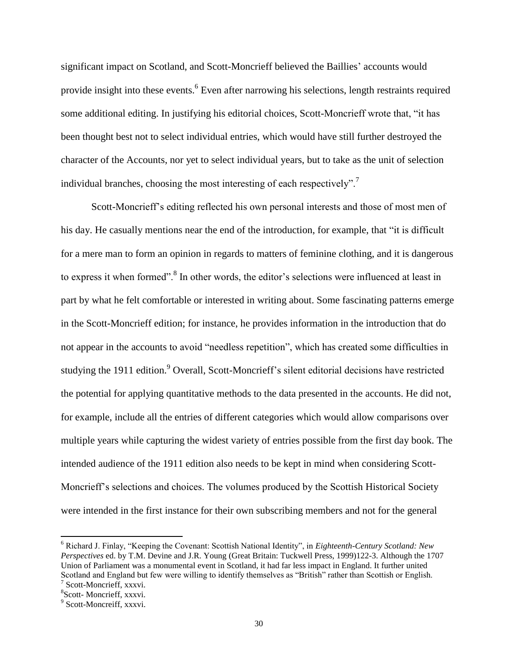significant impact on Scotland, and Scott-Moncrieff believed the Baillies' accounts would provide insight into these events.<sup>6</sup> Even after narrowing his selections, length restraints required some additional editing. In justifying his editorial choices, Scott-Moncrieff wrote that, "it has been thought best not to select individual entries, which would have still further destroyed the character of the Accounts, nor yet to select individual years, but to take as the unit of selection individual branches, choosing the most interesting of each respectively".<sup>7</sup>

Scott-Moncrieff"s editing reflected his own personal interests and those of most men of his day. He casually mentions near the end of the introduction, for example, that "it is difficult for a mere man to form an opinion in regards to matters of feminine clothing, and it is dangerous to express it when formed".<sup>8</sup> In other words, the editor's selections were influenced at least in part by what he felt comfortable or interested in writing about. Some fascinating patterns emerge in the Scott-Moncrieff edition; for instance, he provides information in the introduction that do not appear in the accounts to avoid "needless repetition", which has created some difficulties in studying the 1911 edition.<sup>9</sup> Overall, Scott-Moncrieff's silent editorial decisions have restricted the potential for applying quantitative methods to the data presented in the accounts. He did not, for example, include all the entries of different categories which would allow comparisons over multiple years while capturing the widest variety of entries possible from the first day book. The intended audience of the 1911 edition also needs to be kept in mind when considering Scott-Moncrieff"s selections and choices. The volumes produced by the Scottish Historical Society were intended in the first instance for their own subscribing members and not for the general

<sup>6</sup> Richard J. Finlay, "Keeping the Covenant: Scottish National Identity", in *Eighteenth-Century Scotland: New Perspectives* ed. by T.M. Devine and J.R. Young (Great Britain: Tuckwell Press, 1999)122-3. Although the 1707 Union of Parliament was a monumental event in Scotland, it had far less impact in England. It further united Scotland and England but few were willing to identify themselves as "British" rather than Scottish or English. 7 Scott-Moncrieff, xxxvi.

<sup>8</sup> Scott- Moncrieff, xxxvi.

<sup>&</sup>lt;sup>9</sup> Scott-Moncreiff, xxxvi.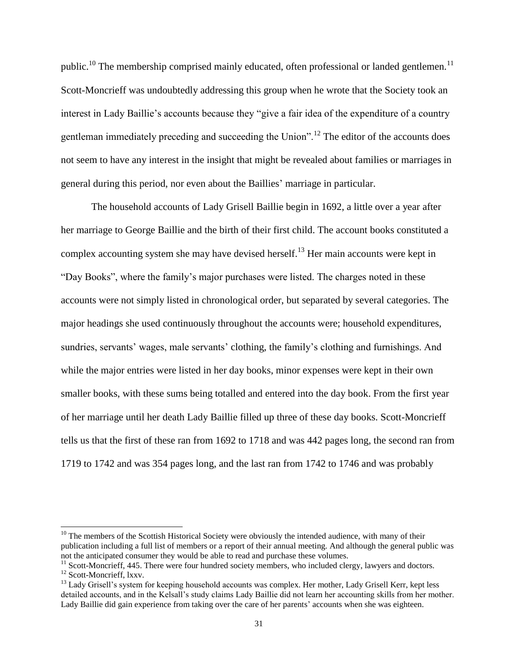public.<sup>10</sup> The membership comprised mainly educated, often professional or landed gentlemen.<sup>11</sup> Scott-Moncrieff was undoubtedly addressing this group when he wrote that the Society took an interest in Lady Baillie's accounts because they "give a fair idea of the expenditure of a country gentleman immediately preceding and succeeding the Union".<sup>12</sup> The editor of the accounts does not seem to have any interest in the insight that might be revealed about families or marriages in general during this period, nor even about the Baillies" marriage in particular.

The household accounts of Lady Grisell Baillie begin in 1692, a little over a year after her marriage to George Baillie and the birth of their first child. The account books constituted a complex accounting system she may have devised herself.<sup>13</sup> Her main accounts were kept in "Day Books", where the family"s major purchases were listed. The charges noted in these accounts were not simply listed in chronological order, but separated by several categories. The major headings she used continuously throughout the accounts were; household expenditures, sundries, servants' wages, male servants' clothing, the family's clothing and furnishings. And while the major entries were listed in her day books, minor expenses were kept in their own smaller books, with these sums being totalled and entered into the day book. From the first year of her marriage until her death Lady Baillie filled up three of these day books. Scott-Moncrieff tells us that the first of these ran from 1692 to 1718 and was 442 pages long, the second ran from 1719 to 1742 and was 354 pages long, and the last ran from 1742 to 1746 and was probably

 $10$  The members of the Scottish Historical Society were obviously the intended audience, with many of their publication including a full list of members or a report of their annual meeting. And although the general public was not the anticipated consumer they would be able to read and purchase these volumes.

<sup>&</sup>lt;sup>11</sup> Scott-Moncrieff, 445. There were four hundred society members, who included clergy, lawyers and doctors.

<sup>&</sup>lt;sup>12</sup> Scott-Moncrieff, lxxv.

<sup>&</sup>lt;sup>13</sup> Lady Grisell's system for keeping household accounts was complex. Her mother, Lady Grisell Kerr, kept less detailed accounts, and in the Kelsall"s study claims Lady Baillie did not learn her accounting skills from her mother. Lady Baillie did gain experience from taking over the care of her parents" accounts when she was eighteen.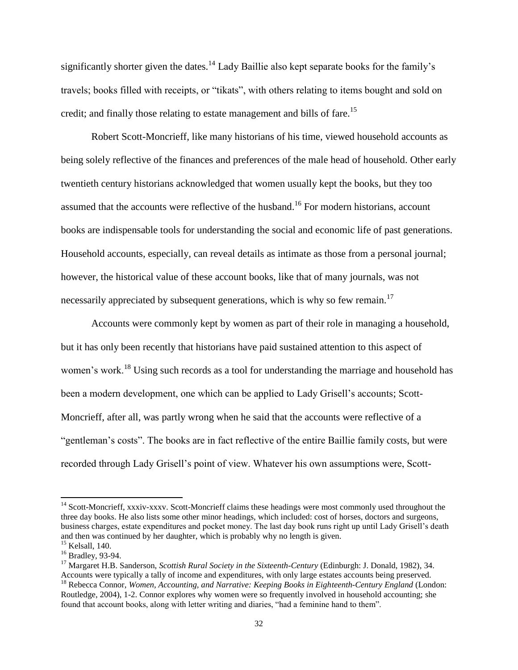significantly shorter given the dates.<sup>14</sup> Lady Baillie also kept separate books for the family's travels; books filled with receipts, or "tikats", with others relating to items bought and sold on credit; and finally those relating to estate management and bills of fare.<sup>15</sup>

Robert Scott-Moncrieff, like many historians of his time, viewed household accounts as being solely reflective of the finances and preferences of the male head of household. Other early twentieth century historians acknowledged that women usually kept the books, but they too assumed that the accounts were reflective of the husband.<sup>16</sup> For modern historians, account books are indispensable tools for understanding the social and economic life of past generations. Household accounts, especially, can reveal details as intimate as those from a personal journal; however, the historical value of these account books, like that of many journals, was not necessarily appreciated by subsequent generations, which is why so few remain.<sup>17</sup>

Accounts were commonly kept by women as part of their role in managing a household, but it has only been recently that historians have paid sustained attention to this aspect of women's work.<sup>18</sup> Using such records as a tool for understanding the marriage and household has been a modern development, one which can be applied to Lady Grisell"s accounts; Scott-Moncrieff, after all, was partly wrong when he said that the accounts were reflective of a "gentleman"s costs". The books are in fact reflective of the entire Baillie family costs, but were recorded through Lady Grisell"s point of view. Whatever his own assumptions were, Scott-

<sup>&</sup>lt;sup>14</sup> Scott-Moncrieff, xxxiv-xxxv. Scott-Moncrieff claims these headings were most commonly used throughout the three day books. He also lists some other minor headings, which included: cost of horses, doctors and surgeons, business charges, estate expenditures and pocket money. The last day book runs right up until Lady Grisell"s death and then was continued by her daughter, which is probably why no length is given.

 $15$  Kelsall, 140.

<sup>&</sup>lt;sup>16</sup> Bradley, 93-94.

<sup>17</sup> Margaret H.B. Sanderson, *Scottish Rural Society in the Sixteenth-Century* (Edinburgh: J. Donald, 1982)*,* 34. Accounts were typically a tally of income and expenditures, with only large estates accounts being preserved. <sup>18</sup> Rebecca Connor, *Women, Accounting, and Narrative: Keeping Books in Eighteenth-Century England (London:* Routledge, 2004), 1-2. Connor explores why women were so frequently involved in household accounting; she found that account books, along with letter writing and diaries, "had a feminine hand to them".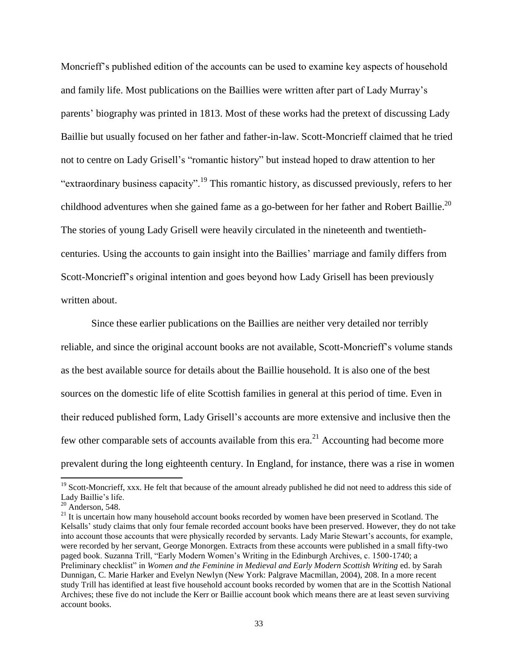Moncrieff"s published edition of the accounts can be used to examine key aspects of household and family life. Most publications on the Baillies were written after part of Lady Murray"s parents" biography was printed in 1813. Most of these works had the pretext of discussing Lady Baillie but usually focused on her father and father-in-law. Scott-Moncrieff claimed that he tried not to centre on Lady Grisell"s "romantic history" but instead hoped to draw attention to her "extraordinary business capacity".<sup>19</sup> This romantic history, as discussed previously, refers to her childhood adventures when she gained fame as a go-between for her father and Robert Baillie.<sup>20</sup> The stories of young Lady Grisell were heavily circulated in the nineteenth and twentiethcenturies. Using the accounts to gain insight into the Baillies" marriage and family differs from Scott-Moncrieff"s original intention and goes beyond how Lady Grisell has been previously written about.

Since these earlier publications on the Baillies are neither very detailed nor terribly reliable, and since the original account books are not available, Scott-Moncrieff"s volume stands as the best available source for details about the Baillie household. It is also one of the best sources on the domestic life of elite Scottish families in general at this period of time. Even in their reduced published form, Lady Grisell"s accounts are more extensive and inclusive then the few other comparable sets of accounts available from this  $era.^{21}$  Accounting had become more prevalent during the long eighteenth century. In England, for instance, there was a rise in women

<sup>&</sup>lt;sup>19</sup> Scott-Moncrieff, xxx. He felt that because of the amount already published he did not need to address this side of Lady Baillie"s life.

 $20$  Anderson, 548.

<sup>&</sup>lt;sup>21</sup> It is uncertain how many household account books recorded by women have been preserved in Scotland. The Kelsalls' study claims that only four female recorded account books have been preserved. However, they do not take into account those accounts that were physically recorded by servants. Lady Marie Stewart"s accounts, for example, were recorded by her servant, George Monorgen. Extracts from these accounts were published in a small fifty-two paged book. Suzanna Trill, "Early Modern Women"s Writing in the Edinburgh Archives, c. 1500-1740; a Preliminary checklist" in *Women and the Feminine in Medieval and Early Modern Scottish Writing* ed. by Sarah Dunnigan, C. Marie Harker and Evelyn Newlyn (New York: Palgrave Macmillan, 2004), 208. In a more recent study Trill has identified at least five household account books recorded by women that are in the Scottish National Archives; these five do not include the Kerr or Baillie account book which means there are at least seven surviving account books.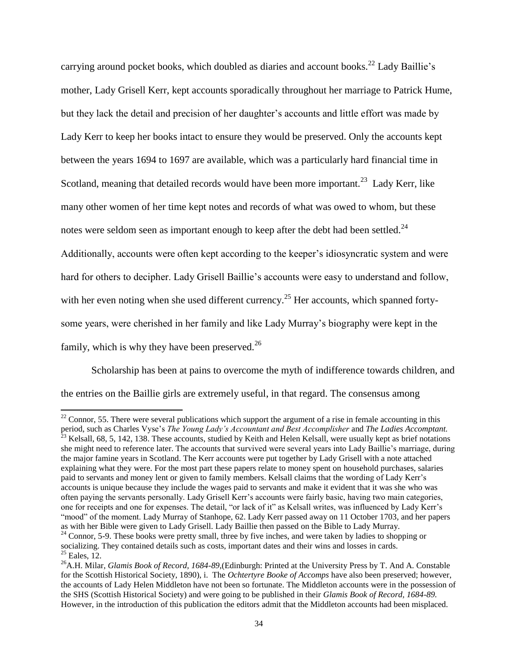carrying around pocket books, which doubled as diaries and account books.<sup>22</sup> Lady Baillie's mother, Lady Grisell Kerr, kept accounts sporadically throughout her marriage to Patrick Hume, but they lack the detail and precision of her daughter's accounts and little effort was made by Lady Kerr to keep her books intact to ensure they would be preserved. Only the accounts kept between the years 1694 to 1697 are available, which was a particularly hard financial time in Scotland, meaning that detailed records would have been more important.<sup>23</sup> Lady Kerr, like many other women of her time kept notes and records of what was owed to whom, but these notes were seldom seen as important enough to keep after the debt had been settled.<sup>24</sup> Additionally, accounts were often kept according to the keeper's idiosyncratic system and were hard for others to decipher. Lady Grisell Baillie's accounts were easy to understand and follow, with her even noting when she used different currency.<sup>25</sup> Her accounts, which spanned fortysome years, were cherished in her family and like Lady Murray"s biography were kept in the family, which is why they have been preserved. $^{26}$ 

Scholarship has been at pains to overcome the myth of indifference towards children, and the entries on the Baillie girls are extremely useful, in that regard. The consensus among

 $^{22}$  Connor, 55. There were several publications which support the argument of a rise in female accounting in this period, such as Charles Vyse's *The Young Lady's Accountant and Best Accomplisher* and *The Ladies Accomptant.*<sup>23</sup> Kehell 69.5, 1:12, 1:26. The Young Lady's Accountant and Best Accomplisher and *The Ladies Accomptant*.  $3$  Kelsall, 68, 5, 142, 138. These accounts, studied by Keith and Helen Kelsall, were usually kept as brief notations she might need to reference later. The accounts that survived were several years into Lady Baillie"s marriage, during the major famine years in Scotland. The Kerr accounts were put together by Lady Grisell with a note attached explaining what they were. For the most part these papers relate to money spent on household purchases, salaries paid to servants and money lent or given to family members. Kelsall claims that the wording of Lady Kerr"s accounts is unique because they include the wages paid to servants and make it evident that it was she who was often paying the servants personally. Lady Grisell Kerr"s accounts were fairly basic, having two main categories, one for receipts and one for expenses. The detail, "or lack of it" as Kelsall writes, was influenced by Lady Kerr"s "mood" of the moment. Lady Murray of Stanhope, 62. Lady Kerr passed away on 11 October 1703, and her papers as with her Bible were given to Lady Grisell. Lady Baillie then passed on the Bible to Lady Murray.

<sup>&</sup>lt;sup>24</sup> Connor, 5-9. These books were pretty small, three by five inches, and were taken by ladies to shopping or socializing. They contained details such as costs, important dates and their wins and losses in cards.  $25$  Eales, 12.

<sup>26</sup>A.H. Milar, *Glamis Book of Record, 1684-89*,(Edinburgh: Printed at the University Press by T. And A. Constable for the Scottish Historical Society, 1890), i. The *Ochtertyre Booke of Accomps* have also been preserved; however, the accounts of Lady Helen Middleton have not been so fortunate. The Middleton accounts were in the possession of the SHS (Scottish Historical Society) and were going to be published in their *Glamis Book of Record, 1684-89.*  However, in the introduction of this publication the editors admit that the Middleton accounts had been misplaced.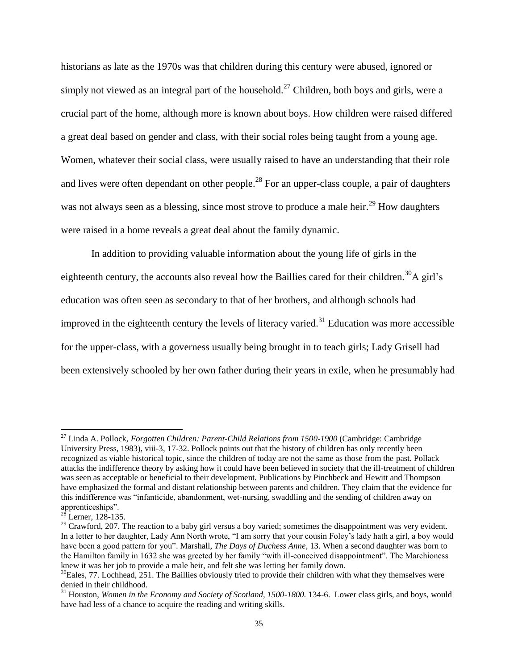historians as late as the 1970s was that children during this century were abused, ignored or simply not viewed as an integral part of the household.<sup>27</sup> Children, both boys and girls, were a crucial part of the home, although more is known about boys. How children were raised differed a great deal based on gender and class, with their social roles being taught from a young age. Women, whatever their social class, were usually raised to have an understanding that their role and lives were often dependant on other people.<sup>28</sup> For an upper-class couple, a pair of daughters was not always seen as a blessing, since most strove to produce a male heir.<sup>29</sup> How daughters were raised in a home reveals a great deal about the family dynamic.

In addition to providing valuable information about the young life of girls in the eighteenth century, the accounts also reveal how the Baillies cared for their children.<sup>30</sup>A girl's education was often seen as secondary to that of her brothers, and although schools had improved in the eighteenth century the levels of literacy varied.<sup>31</sup> Education was more accessible for the upper-class, with a governess usually being brought in to teach girls; Lady Grisell had been extensively schooled by her own father during their years in exile, when he presumably had

<sup>27</sup> Linda A. Pollock, *Forgotten Children: Parent-Child Relations from 1500-1900* (Cambridge: Cambridge University Press, 1983), viii-3, 17-32. Pollock points out that the history of children has only recently been recognized as viable historical topic, since the children of today are not the same as those from the past. Pollack attacks the indifference theory by asking how it could have been believed in society that the ill-treatment of children was seen as acceptable or beneficial to their development. Publications by Pinchbeck and Hewitt and Thompson have emphasized the formal and distant relationship between parents and children. They claim that the evidence for this indifference was "infanticide, abandonment, wet-nursing, swaddling and the sending of children away on apprenticeships".

 $28$  Lerner, 128-135.

 $29$  Crawford, 207. The reaction to a baby girl versus a boy varied; sometimes the disappointment was very evident. In a letter to her daughter, Lady Ann North wrote, "I am sorry that your cousin Foley"s lady hath a girl, a boy would have been a good pattern for you". Marshall, *The Days of Duchess Anne*, 13. When a second daughter was born to the Hamilton family in 1632 she was greeted by her family "with ill-conceived disappointment". The Marchioness knew it was her job to provide a male heir, and felt she was letting her family down.

<sup>&</sup>lt;sup>30</sup>Eales, 77. Lochhead, 251. The Baillies obviously tried to provide their children with what they themselves were denied in their childhood.

<sup>&</sup>lt;sup>31</sup> Houston, *Women in the Economy and Society of Scotland, 1500-1800*. 134-6. Lower class girls, and boys, would have had less of a chance to acquire the reading and writing skills.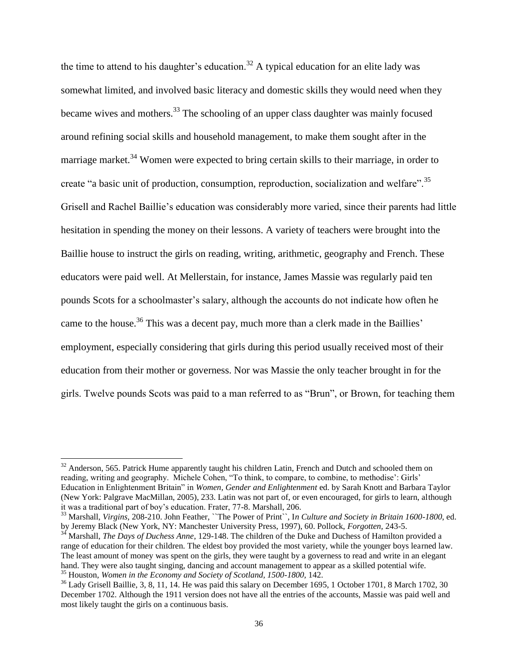the time to attend to his daughter's education.<sup>32</sup> A typical education for an elite lady was somewhat limited, and involved basic literacy and domestic skills they would need when they became wives and mothers.<sup>33</sup> The schooling of an upper class daughter was mainly focused around refining social skills and household management, to make them sought after in the marriage market.<sup>34</sup> Women were expected to bring certain skills to their marriage, in order to create "a basic unit of production, consumption, reproduction, socialization and welfare".<sup>35</sup> Grisell and Rachel Baillie"s education was considerably more varied, since their parents had little hesitation in spending the money on their lessons. A variety of teachers were brought into the Baillie house to instruct the girls on reading, writing, arithmetic, geography and French. These educators were paid well. At Mellerstain, for instance, James Massie was regularly paid ten pounds Scots for a schoolmaster"s salary, although the accounts do not indicate how often he came to the house.<sup>36</sup> This was a decent pay, much more than a clerk made in the Baillies' employment, especially considering that girls during this period usually received most of their education from their mother or governess. Nor was Massie the only teacher brought in for the girls. Twelve pounds Scots was paid to a man referred to as "Brun", or Brown, for teaching them

l

 $32$  Anderson, 565. Patrick Hume apparently taught his children Latin, French and Dutch and schooled them on reading, writing and geography. Michele Cohen, "To think, to compare, to combine, to methodise': Girls' Education in Enlightenment Britain" in *Women, Gender and Enlightenment* ed. by Sarah Knott and Barbara Taylor (New York: Palgrave MacMillan, 2005), 233. Latin was not part of, or even encouraged, for girls to learn, although it was a traditional part of boy"s education. Frater, 77-8. Marshall, 206.

<sup>33</sup> Marshall, *Virgins,* 208-210. John Feather, ``The Power of Print``, I*n Culture and Society in Britain 1600-1800*, ed. by Jeremy Black (New York, NY: Manchester University Press, 1997), 60. Pollock, *Forgotten,* 243-5.

<sup>&</sup>lt;sup>34</sup> Marshall, *The Days of Duchess Anne*, 129-148. The children of the Duke and Duchess of Hamilton provided a range of education for their children. The eldest boy provided the most variety, while the younger boys learned law. The least amount of money was spent on the girls, they were taught by a governess to read and write in an elegant hand. They were also taught singing, dancing and account management to appear as a skilled potential wife. <sup>35</sup> Houston, *Women in the Economy and Society of Scotland, 1500-1800,* 142.

<sup>36</sup> Lady Grisell Baillie, 3, 8, 11, 14. He was paid this salary on December 1695, 1 October 1701, 8 March 1702, 30 December 1702. Although the 1911 version does not have all the entries of the accounts, Massie was paid well and most likely taught the girls on a continuous basis.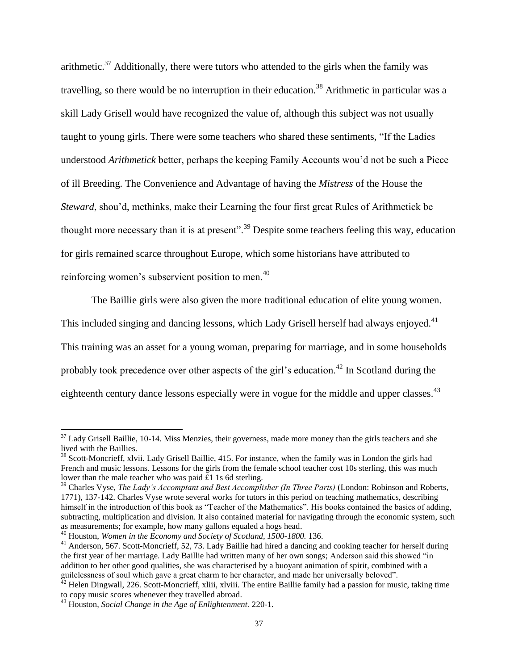arithmetic.<sup>37</sup> Additionally, there were tutors who attended to the girls when the family was travelling, so there would be no interruption in their education.<sup>38</sup> Arithmetic in particular was a skill Lady Grisell would have recognized the value of, although this subject was not usually taught to young girls. There were some teachers who shared these sentiments, "If the Ladies understood *Arithmetick* better, perhaps the keeping Family Accounts wou"d not be such a Piece of ill Breeding. The Convenience and Advantage of having the *Mistress* of the House the *Steward*, shou'd, methinks, make their Learning the four first great Rules of Arithmetick be thought more necessary than it is at present".<sup>39</sup> Despite some teachers feeling this way, education for girls remained scarce throughout Europe, which some historians have attributed to reinforcing women's subservient position to men.<sup>40</sup>

The Baillie girls were also given the more traditional education of elite young women. This included singing and dancing lessons, which Lady Grisell herself had always enjoyed.<sup>41</sup> This training was an asset for a young woman, preparing for marriage, and in some households probably took precedence over other aspects of the girl's education.<sup>42</sup> In Scotland during the eighteenth century dance lessons especially were in vogue for the middle and upper classes.<sup>43</sup>

 $37$  Lady Grisell Baillie, 10-14. Miss Menzies, their governess, made more money than the girls teachers and she lived with the Baillies.

<sup>&</sup>lt;sup>38</sup> Scott-Moncrieff, xlvii. Lady Grisell Baillie, 415. For instance, when the family was in London the girls had French and music lessons. Lessons for the girls from the female school teacher cost 10s sterling, this was much lower than the male teacher who was paid £1 1s 6d sterling.

<sup>39</sup> Charles Vyse, *The Lady's Accomptant and Best Accomplisher (In Three Parts)* (London: Robinson and Roberts, 1771), 137-142. Charles Vyse wrote several works for tutors in this period on teaching mathematics, describing himself in the introduction of this book as "Teacher of the Mathematics". His books contained the basics of adding, subtracting, multiplication and division. It also contained material for navigating through the economic system, such as measurements; for example, how many gallons equaled a hogs head.

<sup>40</sup> Houston, *Women in the Economy and Society of Scotland, 1500-1800.* 136.

<sup>&</sup>lt;sup>41</sup> Anderson, 567. Scott-Moncrieff, 52, 73. Lady Baillie had hired a dancing and cooking teacher for herself during the first year of her marriage. Lady Baillie had written many of her own songs; Anderson said this showed "in addition to her other good qualities, she was characterised by a buoyant animation of spirit, combined with a guilelessness of soul which gave a great charm to her character, and made her universally beloved".

 $^{42}$  Helen Dingwall, 226. Scott-Moncrieff, xliii, xlviii. The entire Baillie family had a passion for music, taking time to copy music scores whenever they travelled abroad.

<sup>43</sup> Houston, *Social Change in the Age of Enlightenment.* 220-1.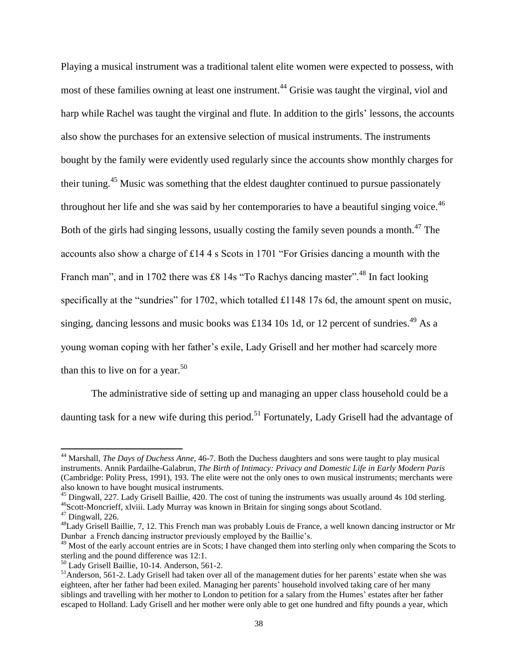Playing a musical instrument was a traditional talent elite women were expected to possess, with most of these families owning at least one instrument.<sup>44</sup> Grisie was taught the virginal, viol and harp while Rachel was taught the virginal and flute. In addition to the girls' lessons, the accounts also show the purchases for an extensive selection of musical instruments. The instruments bought by the family were evidently used regularly since the accounts show monthly charges for their tuning.<sup>45</sup> Music was something that the eldest daughter continued to pursue passionately throughout her life and she was said by her contemporaries to have a beautiful singing voice.  $46$ Both of the girls had singing lessons, usually costing the family seven pounds a month.<sup>47</sup> The accounts also show a charge of £14 4 s Scots in 1701 "For Grisies dancing a mounth with the Franch man", and in 1702 there was £8 14s "To Rachys dancing master".<sup>48</sup> In fact looking specifically at the "sundries" for 1702, which totalled £1148 17s 6d, the amount spent on music, singing, dancing lessons and music books was £134 10s 1d, or 12 percent of sundries.<sup>49</sup> As a young woman coping with her father"s exile, Lady Grisell and her mother had scarcely more than this to live on for a year.<sup>50</sup>

The administrative side of setting up and managing an upper class household could be a daunting task for a new wife during this period.<sup>51</sup> Fortunately, Lady Grisell had the advantage of

<sup>44</sup> Marshall, *The Days of Duchess Anne*, 46-7. Both the Duchess daughters and sons were taught to play musical instruments. Annik Pardailhe-Galabrun, *The Birth of Intimacy: Privacy and Domestic Life in Early Modern Paris*  (Cambridge: Polity Press, 1991), 193. The elite were not the only ones to own musical instruments; merchants were also known to have bought musical instruments.

<sup>&</sup>lt;sup>45</sup> Dingwall, 227. Lady Grisell Baillie, 420. The cost of tuning the instruments was usually around 4s 10d sterling. <sup>46</sup>Scott-Moncrieff, xlviii. Lady Murray was known in Britain for singing songs about Scotland.

<sup>47</sup> Dingwall, 226.

<sup>&</sup>lt;sup>48</sup>Lady Grisell Baillie, 7, 12. This French man was probably Louis de France, a well known dancing instructor or Mr Dunbar a French dancing instructor previously employed by the Baillie"s.

 $49$  Most of the early account entries are in Scots; I have changed them into sterling only when comparing the Scots to sterling and the pound difference was 12:1.

<sup>50</sup> Lady Grisell Baillie, 10-14. Anderson, 561-2.

 $<sup>51</sup>$ Anderson, 561-2. Lady Grisell had taken over all of the management duties for her parents' estate when she was</sup> eighteen, after her father had been exiled. Managing her parents" household involved taking care of her many siblings and travelling with her mother to London to petition for a salary from the Humes" estates after her father escaped to Holland. Lady Grisell and her mother were only able to get one hundred and fifty pounds a year, which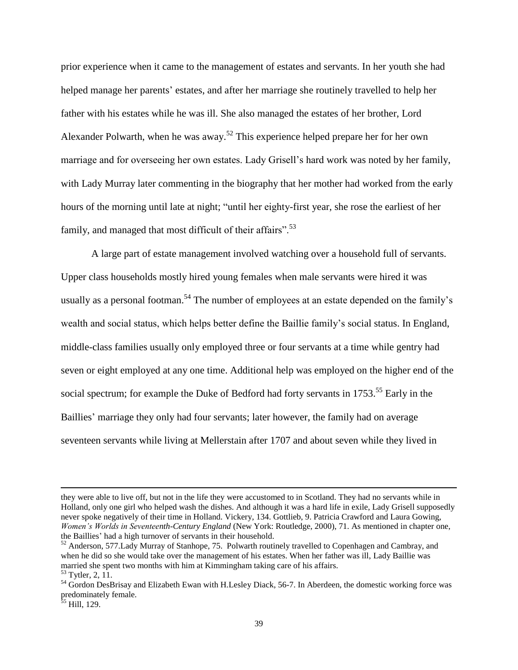prior experience when it came to the management of estates and servants. In her youth she had helped manage her parents' estates, and after her marriage she routinely travelled to help her father with his estates while he was ill. She also managed the estates of her brother, Lord Alexander Polwarth, when he was away.<sup>52</sup> This experience helped prepare her for her own marriage and for overseeing her own estates. Lady Grisell"s hard work was noted by her family, with Lady Murray later commenting in the biography that her mother had worked from the early hours of the morning until late at night; "until her eighty-first year, she rose the earliest of her family, and managed that most difficult of their affairs".<sup>53</sup>

A large part of estate management involved watching over a household full of servants. Upper class households mostly hired young females when male servants were hired it was usually as a personal footman.<sup>54</sup> The number of employees at an estate depended on the family's wealth and social status, which helps better define the Baillie family"s social status. In England, middle-class families usually only employed three or four servants at a time while gentry had seven or eight employed at any one time. Additional help was employed on the higher end of the social spectrum; for example the Duke of Bedford had forty servants in 1753.<sup>55</sup> Early in the Baillies' marriage they only had four servants; later however, the family had on average seventeen servants while living at Mellerstain after 1707 and about seven while they lived in

they were able to live off, but not in the life they were accustomed to in Scotland. They had no servants while in Holland, only one girl who helped wash the dishes. And although it was a hard life in exile, Lady Grisell supposedly never spoke negatively of their time in Holland. Vickery, 134. Gottlieb, 9. Patricia Crawford and Laura Gowing, *Women's Worlds in Seventeenth-Century England* (New York: Routledge, 2000), 71. As mentioned in chapter one, the Baillies" had a high turnover of servants in their household.

 $52$  Anderson, 577. Lady Murray of Stanhope, 75. Polwarth routinely travelled to Copenhagen and Cambray, and when he did so she would take over the management of his estates. When her father was ill, Lady Baillie was married she spent two months with him at Kimmingham taking care of his affairs. <sup>53</sup> Tytler, 2, 11.

<sup>&</sup>lt;sup>54</sup> Gordon DesBrisay and Elizabeth Ewan with H.Lesley Diack, 56-7. In Aberdeen, the domestic working force was predominately female.

<sup>&</sup>lt;sup>35</sup> Hill, 129.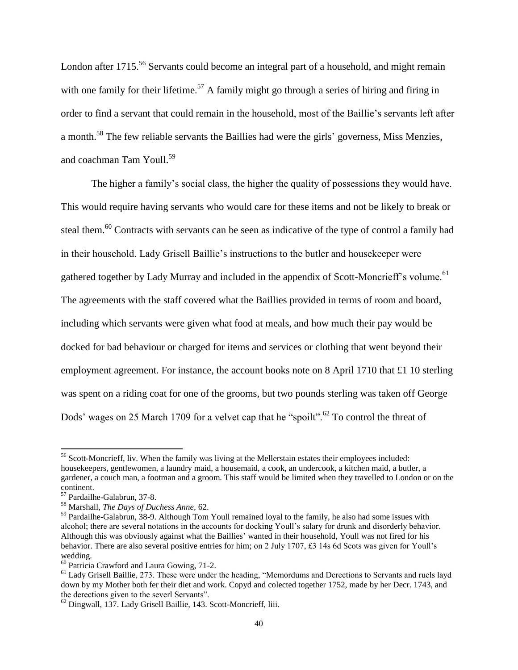London after 1715<sup>56</sup> Servants could become an integral part of a household, and might remain with one family for their lifetime.<sup>57</sup> A family might go through a series of hiring and firing in order to find a servant that could remain in the household, most of the Baillie"s servants left after a month.<sup>58</sup> The few reliable servants the Baillies had were the girls' governess, Miss Menzies, and coachman Tam Youll.<sup>59</sup>

The higher a family's social class, the higher the quality of possessions they would have. This would require having servants who would care for these items and not be likely to break or steal them.<sup>60</sup> Contracts with servants can be seen as indicative of the type of control a family had in their household. Lady Grisell Baillie"s instructions to the butler and housekeeper were gathered together by Lady Murray and included in the appendix of Scott-Moncrieff's volume.<sup>61</sup> The agreements with the staff covered what the Baillies provided in terms of room and board, including which servants were given what food at meals, and how much their pay would be docked for bad behaviour or charged for items and services or clothing that went beyond their employment agreement. For instance, the account books note on 8 April 1710 that £1 10 sterling was spent on a riding coat for one of the grooms, but two pounds sterling was taken off George Dods' wages on 25 March 1709 for a velvet cap that he "spoilt".<sup>62</sup> To control the threat of

 $56$  Scott-Moncrieff, liv. When the family was living at the Mellerstain estates their employees included: housekeepers, gentlewomen, a laundry maid, a housemaid, a cook, an undercook, a kitchen maid, a butler, a gardener, a couch man, a footman and a groom. This staff would be limited when they travelled to London or on the continent.

<sup>57</sup> Pardailhe-Galabrun, 37-8.

<sup>58</sup> Marshall, *The Days of Duchess Anne,* 62.

<sup>&</sup>lt;sup>59</sup> Pardailhe-Galabrun, 38-9. Although Tom Youll remained loyal to the family, he also had some issues with alcohol; there are several notations in the accounts for docking Youll"s salary for drunk and disorderly behavior. Although this was obviously against what the Baillies" wanted in their household, Youll was not fired for his behavior. There are also several positive entries for him; on 2 July 1707, £3 14s 6d Scots was given for Youll's wedding.

<sup>60</sup> Patricia Crawford and Laura Gowing, 71-2.

 $<sup>61</sup>$  Lady Grisell Baillie, 273. These were under the heading, "Memordums and Derections to Servants and ruels layd</sup> down by my Mother both fer their diet and work. Copyd and colected together 1752, made by her Decr. 1743, and the derections given to the severl Servants".

<sup>62</sup> Dingwall, 137. Lady Grisell Baillie, 143. Scott-Moncrieff, liii.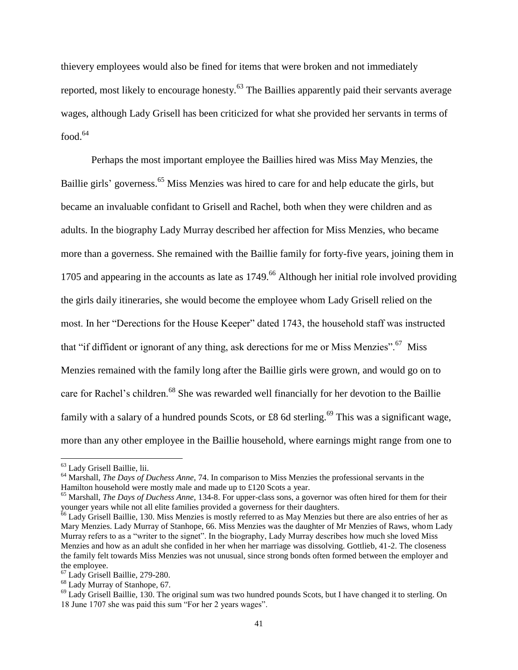thievery employees would also be fined for items that were broken and not immediately reported, most likely to encourage honesty.<sup>63</sup> The Baillies apparently paid their servants average wages, although Lady Grisell has been criticized for what she provided her servants in terms of  $food.<sup>64</sup>$ 

Perhaps the most important employee the Baillies hired was Miss May Menzies, the Baillie girls' governess.<sup>65</sup> Miss Menzies was hired to care for and help educate the girls, but became an invaluable confidant to Grisell and Rachel, both when they were children and as adults. In the biography Lady Murray described her affection for Miss Menzies, who became more than a governess. She remained with the Baillie family for forty-five years, joining them in 1705 and appearing in the accounts as late as 1749.<sup>66</sup> Although her initial role involved providing the girls daily itineraries, she would become the employee whom Lady Grisell relied on the most. In her "Derections for the House Keeper" dated 1743, the household staff was instructed that "if diffident or ignorant of any thing, ask derections for me or Miss Menzies".  $67$  Miss Menzies remained with the family long after the Baillie girls were grown, and would go on to care for Rachel's children.<sup>68</sup> She was rewarded well financially for her devotion to the Baillie family with a salary of a hundred pounds Scots, or £8 6d sterling.<sup>69</sup> This was a significant wage, more than any other employee in the Baillie household, where earnings might range from one to

l

<sup>63</sup> Lady Grisell Baillie, lii.

<sup>64</sup> Marshall, *The Days of Duchess Anne,* 74. In comparison to Miss Menzies the professional servants in the Hamilton household were mostly male and made up to £120 Scots a year.

<sup>65</sup> Marshall, *The Days of Duchess Anne,* 134-8. For upper-class sons, a governor was often hired for them for their younger years while not all elite families provided a governess for their daughters.

<sup>&</sup>lt;sup>66</sup> Lady Grisell Baillie, 130. Miss Menzies is mostly referred to as May Menzies but there are also entries of her as Mary Menzies. Lady Murray of Stanhope, 66. Miss Menzies was the daughter of Mr Menzies of Raws, whom Lady Murray refers to as a "writer to the signet". In the biography, Lady Murray describes how much she loved Miss Menzies and how as an adult she confided in her when her marriage was dissolving. Gottlieb, 41-2. The closeness the family felt towards Miss Menzies was not unusual, since strong bonds often formed between the employer and the employee.

<sup>67</sup> Lady Grisell Baillie, 279-280.

<sup>68</sup> Lady Murray of Stanhope, 67.

 $^{69}$  Lady Grisell Baillie, 130. The original sum was two hundred pounds Scots, but I have changed it to sterling. On 18 June 1707 she was paid this sum "For her 2 years wages".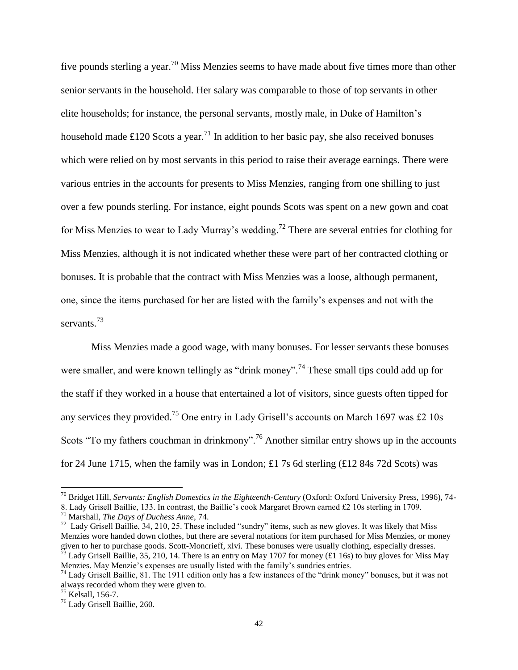five pounds sterling a year.<sup>70</sup> Miss Menzies seems to have made about five times more than other senior servants in the household. Her salary was comparable to those of top servants in other elite households; for instance, the personal servants, mostly male, in Duke of Hamilton"s household made £120 Scots a year.<sup>71</sup> In addition to her basic pay, she also received bonuses which were relied on by most servants in this period to raise their average earnings. There were various entries in the accounts for presents to Miss Menzies, ranging from one shilling to just over a few pounds sterling. For instance, eight pounds Scots was spent on a new gown and coat for Miss Menzies to wear to Lady Murray's wedding.<sup>72</sup> There are several entries for clothing for Miss Menzies, although it is not indicated whether these were part of her contracted clothing or bonuses. It is probable that the contract with Miss Menzies was a loose, although permanent, one, since the items purchased for her are listed with the family"s expenses and not with the servants.<sup>73</sup>

Miss Menzies made a good wage, with many bonuses. For lesser servants these bonuses were smaller, and were known tellingly as "drink money".<sup>74</sup> These small tips could add up for the staff if they worked in a house that entertained a lot of visitors, since guests often tipped for any services they provided.<sup>75</sup> One entry in Lady Grisell's accounts on March 1697 was £2 10s Scots "To my fathers couchman in drinkmony".<sup>76</sup> Another similar entry shows up in the accounts for 24 June 1715, when the family was in London; £1 7s 6d sterling (£12 84s 72d Scots) was

<sup>70</sup> Bridget Hill, *Servants: English Domestics in the Eighteenth-Century* (Oxford: Oxford University Press, 1996), 74-

<sup>8.</sup> Lady Grisell Baillie, 133. In contrast, the Baillie"s cook Margaret Brown earned £2 10s sterling in 1709.

<sup>71</sup> Marshall, *The Days of Duchess Anne,* 74.

 $^{72}$  Lady Grisell Baillie, 34, 210, 25. These included "sundry" items, such as new gloves. It was likely that Miss Menzies wore handed down clothes, but there are several notations for item purchased for Miss Menzies, or money given to her to purchase goods. Scott-Moncrieff, xlvi. These bonuses were usually clothing, especially dresses. <sup>73</sup> Lady Grisell Baillie, 35, 210, 14. There is an entry on May 1707 for money (£1 16s) to buy gloves for Miss May

Menzies. May Menzie's expenses are usually listed with the family's sundries entries.

<sup>&</sup>lt;sup>74</sup> Lady Grisell Baillie, 81. The 1911 edition only has a few instances of the "drink money" bonuses, but it was not always recorded whom they were given to.

<sup>75</sup> Kelsall, 156-7.

<sup>76</sup> Lady Grisell Baillie, 260.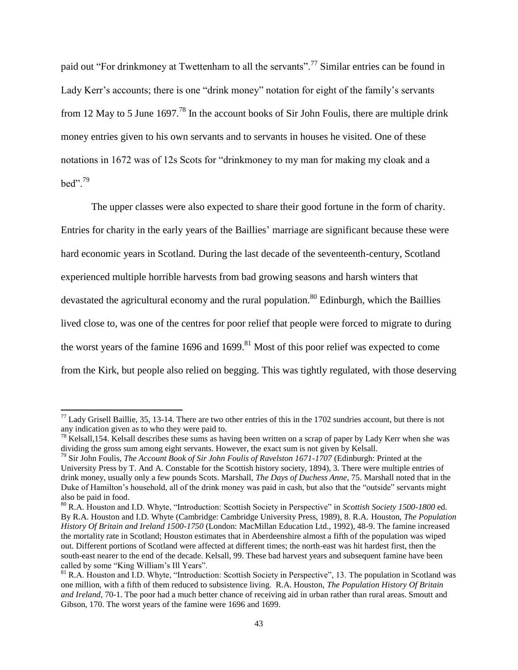paid out "For drinkmoney at Twettenham to all the servants".<sup>77</sup> Similar entries can be found in Lady Kerr's accounts; there is one "drink money" notation for eight of the family's servants from 12 May to 5 June  $1697<sup>78</sup>$  In the account books of Sir John Foulis, there are multiple drink money entries given to his own servants and to servants in houses he visited. One of these notations in 1672 was of 12s Scots for "drinkmoney to my man for making my cloak and a  $\text{hed}^{3,79}$ 

The upper classes were also expected to share their good fortune in the form of charity. Entries for charity in the early years of the Baillies" marriage are significant because these were hard economic years in Scotland. During the last decade of the seventeenth-century, Scotland experienced multiple horrible harvests from bad growing seasons and harsh winters that devastated the agricultural economy and the rural population.<sup>80</sup> Edinburgh, which the Baillies lived close to, was one of the centres for poor relief that people were forced to migrate to during the worst years of the famine 1696 and 1699.<sup>81</sup> Most of this poor relief was expected to come from the Kirk, but people also relied on begging. This was tightly regulated, with those deserving

 $^{77}$  Lady Grisell Baillie, 35, 13-14. There are two other entries of this in the 1702 sundries account, but there is not any indication given as to who they were paid to.

 $^{78}$  Kelsall,154. Kelsall describes these sums as having been written on a scrap of paper by Lady Kerr when she was dividing the gross sum among eight servants. However, the exact sum is not given by Kelsall.

<sup>79</sup> Sir John Foulis, *The Account Book of Sir John Foulis of Ravelston 1671-1707* (Edinburgh: Printed at the University Press by T. And A. Constable for the Scottish history society, 1894), 3. There were multiple entries of drink money, usually only a few pounds Scots. Marshall, *The Days of Duchess Anne,* 75. Marshall noted that in the Duke of Hamilton"s household, all of the drink money was paid in cash, but also that the "outside" servants might also be paid in food.

<sup>80</sup> R.A. Houston and I.D. Whyte, "Introduction: Scottish Society in Perspective" in *Scottish Society 1500-1800* ed. By R.A. Houston and I.D. Whyte (Cambridge: Cambridge University Press, 1989), 8. R.A. Houston, *The Population History Of Britain and Ireland 1500-1750* (London: MacMillan Education Ltd., 1992), 48-9. The famine increased the mortality rate in Scotland; Houston estimates that in Aberdeenshire almost a fifth of the population was wiped out. Different portions of Scotland were affected at different times; the north-east was hit hardest first, then the south-east nearer to the end of the decade. Kelsall, 99. These bad harvest years and subsequent famine have been called by some "King William"s Ill Years".

<sup>&</sup>lt;sup>81</sup> R.A. Houston and I.D. Whyte, "Introduction: Scottish Society in Perspective", 13. The population in Scotland was one million, with a fifth of them reduced to subsistence living. R.A. Houston, *The Population History Of Britain and Ireland,* 70-1. The poor had a much better chance of receiving aid in urban rather than rural areas. Smoutt and Gibson, 170. The worst years of the famine were 1696 and 1699.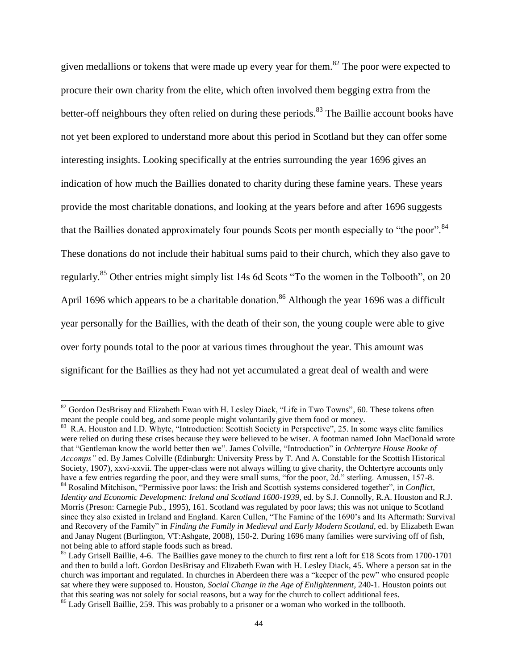given medallions or tokens that were made up every year for them.<sup>82</sup> The poor were expected to procure their own charity from the elite, which often involved them begging extra from the better-off neighbours they often relied on during these periods.<sup>83</sup> The Baillie account books have not yet been explored to understand more about this period in Scotland but they can offer some interesting insights. Looking specifically at the entries surrounding the year 1696 gives an indication of how much the Baillies donated to charity during these famine years. These years provide the most charitable donations, and looking at the years before and after 1696 suggests that the Baillies donated approximately four pounds Scots per month especially to "the poor".<sup>84</sup> These donations do not include their habitual sums paid to their church, which they also gave to regularly.<sup>85</sup> Other entries might simply list 14s 6d Scots "To the women in the Tolbooth", on 20 April 1696 which appears to be a charitable donation.<sup>86</sup> Although the year 1696 was a difficult year personally for the Baillies, with the death of their son, the young couple were able to give over forty pounds total to the poor at various times throughout the year. This amount was significant for the Baillies as they had not yet accumulated a great deal of wealth and were

l

<sup>83</sup> R.A. Houston and I.D. Whyte, "Introduction: Scottish Society in Perspective", 25. In some ways elite families were relied on during these crises because they were believed to be wiser. A footman named John MacDonald wrote that "Gentleman know the world better then we". James Colville, "Introduction" in *Ochtertyre House Booke of Accomps"* ed. By James Colville (Edinburgh: University Press by T. And A. Constable for the Scottish Historical Society, 1907), xxvi-xxvii. The upper-class were not always willing to give charity, the Ochtertyre accounts only have a few entries regarding the poor, and they were small sums, "for the poor, 2d." sterling. Amussen, 157-8.

<sup>82</sup> Gordon DesBrisay and Elizabeth Ewan with H. Lesley Diack, "Life in Two Towns"*,* 60. These tokens often meant the people could beg, and some people might voluntarily give them food or money.

<sup>84</sup> Rosalind Mitchison, "Permissive poor laws: the Irish and Scottish systems considered together"*,* in *Conflict, Identity and Economic Development: Ireland and Scotland 1600-1939*, ed. by S.J. Connolly, R.A. Houston and R.J. Morris (Preson: Carnegie Pub., 1995), 161. Scotland was regulated by poor laws; this was not unique to Scotland since they also existed in Ireland and England. Karen Cullen, "The Famine of the 1690's and Its Aftermath: Survival and Recovery of the Family" in *Finding the Family in Medieval and Early Modern Scotland*, ed. by Elizabeth Ewan and Janay Nugent (Burlington, VT:Ashgate, 2008), 150-2. During 1696 many families were surviving off of fish, not being able to afford staple foods such as bread.

<sup>&</sup>lt;sup>85</sup> Lady Grisell Baillie, 4-6. The Baillies gave money to the church to first rent a loft for £18 Scots from 1700-1701 and then to build a loft. Gordon DesBrisay and Elizabeth Ewan with H. Lesley Diack, 45. Where a person sat in the church was important and regulated. In churches in Aberdeen there was a "keeper of the pew" who ensured people sat where they were supposed to. Houston, *Social Change in the Age of Enlightenment*, 240-1. Houston points out that this seating was not solely for social reasons, but a way for the church to collect additional fees.

<sup>&</sup>lt;sup>86</sup> Lady Grisell Baillie, 259. This was probably to a prisoner or a woman who worked in the tollbooth.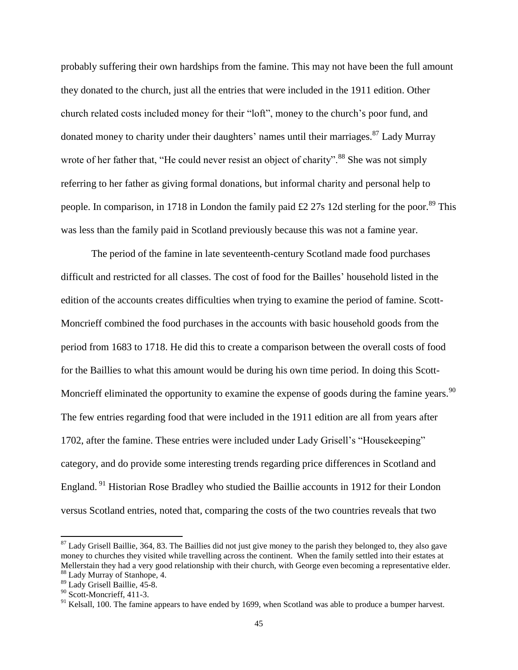probably suffering their own hardships from the famine. This may not have been the full amount they donated to the church, just all the entries that were included in the 1911 edition. Other church related costs included money for their "loft", money to the church"s poor fund, and donated money to charity under their daughters' names until their marriages.<sup>87</sup> Lady Murray wrote of her father that, "He could never resist an object of charity".<sup>88</sup> She was not simply referring to her father as giving formal donations, but informal charity and personal help to people. In comparison, in 1718 in London the family paid £2 27s 12d sterling for the poor.<sup>89</sup> This was less than the family paid in Scotland previously because this was not a famine year.

The period of the famine in late seventeenth-century Scotland made food purchases difficult and restricted for all classes. The cost of food for the Bailles" household listed in the edition of the accounts creates difficulties when trying to examine the period of famine. Scott-Moncrieff combined the food purchases in the accounts with basic household goods from the period from 1683 to 1718. He did this to create a comparison between the overall costs of food for the Baillies to what this amount would be during his own time period. In doing this Scott-Moncrieff eliminated the opportunity to examine the expense of goods during the famine years.<sup>90</sup> The few entries regarding food that were included in the 1911 edition are all from years after 1702, after the famine. These entries were included under Lady Grisell"s "Housekeeping" category, and do provide some interesting trends regarding price differences in Scotland and England.<sup>91</sup> Historian Rose Bradley who studied the Baillie accounts in 1912 for their London versus Scotland entries, noted that, comparing the costs of the two countries reveals that two

 $87$  Lady Grisell Baillie, 364, 83. The Baillies did not just give money to the parish they belonged to, they also gave money to churches they visited while travelling across the continent. When the family settled into their estates at Mellerstain they had a very good relationship with their church, with George even becoming a representative elder. <sup>88</sup> Lady Murray of Stanhope, 4.

<sup>89</sup> Lady Grisell Baillie, 45-8.

 $90$  Scott-Moncrieff, 411-3.

<sup>&</sup>lt;sup>91</sup> Kelsall, 100. The famine appears to have ended by 1699, when Scotland was able to produce a bumper harvest.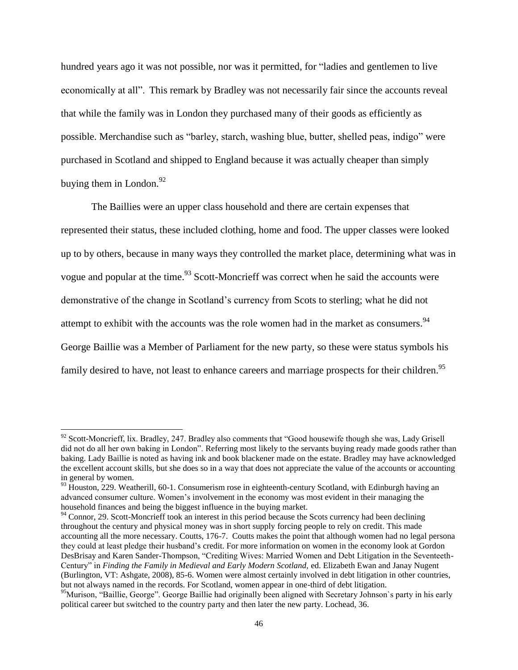hundred years ago it was not possible, nor was it permitted, for "ladies and gentlemen to live economically at all". This remark by Bradley was not necessarily fair since the accounts reveal that while the family was in London they purchased many of their goods as efficiently as possible. Merchandise such as "barley, starch, washing blue, butter, shelled peas, indigo" were purchased in Scotland and shipped to England because it was actually cheaper than simply buying them in London. $92$ 

The Baillies were an upper class household and there are certain expenses that represented their status, these included clothing, home and food. The upper classes were looked up to by others, because in many ways they controlled the market place, determining what was in vogue and popular at the time.<sup>93</sup> Scott-Moncrieff was correct when he said the accounts were demonstrative of the change in Scotland"s currency from Scots to sterling; what he did not attempt to exhibit with the accounts was the role women had in the market as consumers.<sup>94</sup> George Baillie was a Member of Parliament for the new party, so these were status symbols his family desired to have, not least to enhance careers and marriage prospects for their children.<sup>95</sup>

 $92$  Scott-Moncrieff, lix. Bradley, 247. Bradley also comments that "Good housewife though she was, Lady Grisell did not do all her own baking in London". Referring most likely to the servants buying ready made goods rather than baking. Lady Baillie is noted as having ink and book blackener made on the estate. Bradley may have acknowledged the excellent account skills, but she does so in a way that does not appreciate the value of the accounts or accounting in general by women.

<sup>&</sup>lt;sup>93</sup> Houston, 229. Weatherill, 60-1. Consumerism rose in eighteenth-century Scotland, with Edinburgh having an advanced consumer culture. Women"s involvement in the economy was most evident in their managing the household finances and being the biggest influence in the buying market.

<sup>&</sup>lt;sup>94</sup> Connor, 29. Scott-Moncrieff took an interest in this period because the Scots currency had been declining throughout the century and physical money was in short supply forcing people to rely on credit. This made accounting all the more necessary. Coutts, 176-7. Coutts makes the point that although women had no legal persona they could at least pledge their husband"s credit. For more information on women in the economy look at Gordon DesBrisay and Karen Sander-Thompson, "Crediting Wives: Married Women and Debt Litigation in the Seventeeth-Century" in *Finding the Family in Medieval and Early Modern Scotland,* ed. Elizabeth Ewan and Janay Nugent (Burlington, VT: Ashgate, 2008), 85-6. Women were almost certainly involved in debt litigation in other countries, but not always named in the records. For Scotland, women appear in one-third of debt litigation.

<sup>&</sup>lt;sup>95</sup>Murison, "Baillie, George". George Baillie had originally been aligned with Secretary Johnson's party in his early political career but switched to the country party and then later the new party. Lochead, 36.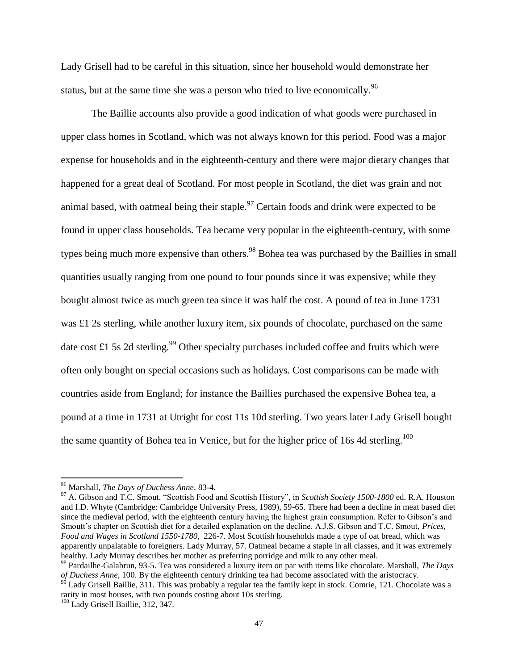Lady Grisell had to be careful in this situation, since her household would demonstrate her status, but at the same time she was a person who tried to live economically.<sup>96</sup>

The Baillie accounts also provide a good indication of what goods were purchased in upper class homes in Scotland, which was not always known for this period. Food was a major expense for households and in the eighteenth-century and there were major dietary changes that happened for a great deal of Scotland. For most people in Scotland, the diet was grain and not animal based, with oatmeal being their staple.<sup>97</sup> Certain foods and drink were expected to be found in upper class households. Tea became very popular in the eighteenth-century, with some types being much more expensive than others.<sup>98</sup> Bohea tea was purchased by the Baillies in small quantities usually ranging from one pound to four pounds since it was expensive; while they bought almost twice as much green tea since it was half the cost. A pound of tea in June 1731 was £1 2s sterling, while another luxury item, six pounds of chocolate, purchased on the same date cost £1 5s 2d sterling.<sup>99</sup> Other specialty purchases included coffee and fruits which were often only bought on special occasions such as holidays. Cost comparisons can be made with countries aside from England; for instance the Baillies purchased the expensive Bohea tea, a pound at a time in 1731 at Utright for cost 11s 10d sterling. Two years later Lady Grisell bought the same quantity of Bohea tea in Venice, but for the higher price of 16s 4d sterling.<sup>100</sup>

<sup>96</sup> Marshall, *The Days of Duchess Anne,* 83-4.

<sup>97</sup> A. Gibson and T.C. Smout, "Scottish Food and Scottish History", in *Scottish Society 1500-1800* ed. R.A. Houston and I.D. Whyte (Cambridge: Cambridge University Press, 1989), 59-65. There had been a decline in meat based diet since the medieval period, with the eighteenth century having the highest grain consumption. Refer to Gibson's and Smoutt's chapter on Scottish diet for a detailed explanation on the decline. A.J.S. Gibson and T.C. Smout, *Prices*, *Food and Wages in Scotland 1550-1780,* 226-7. Most Scottish households made a type of oat bread, which was apparently unpalatable to foreigners. Lady Murray, 57. Oatmeal became a staple in all classes, and it was extremely healthy. Lady Murray describes her mother as preferring porridge and milk to any other meal.

<sup>98</sup> Pardailhe-Galabrun, 93-5. Tea was considered a luxury item on par with items like chocolate. Marshall, *The Days of Duchess Anne,* 100. By the eighteenth century drinking tea had become associated with the aristocracy.

<sup>&</sup>lt;sup>99</sup> Lady Grisell Baillie, 311. This was probably a regular tea the family kept in stock. Comrie, 121. Chocolate was a rarity in most houses, with two pounds costing about 10s sterling.

<sup>&</sup>lt;sup>100</sup> Lady Grisell Baillie, 312, 347.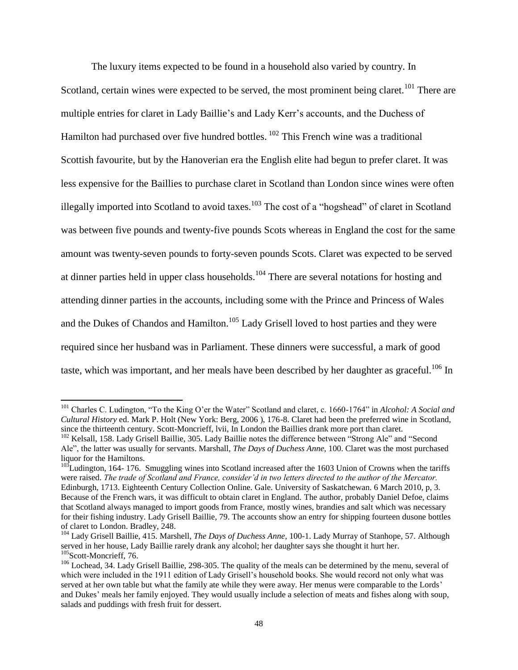The luxury items expected to be found in a household also varied by country. In Scotland, certain wines were expected to be served, the most prominent being claret.<sup>101</sup> There are multiple entries for claret in Lady Baillie"s and Lady Kerr"s accounts, and the Duchess of Hamilton had purchased over five hundred bottles. <sup>102</sup> This French wine was a traditional Scottish favourite, but by the Hanoverian era the English elite had begun to prefer claret. It was less expensive for the Baillies to purchase claret in Scotland than London since wines were often illegally imported into Scotland to avoid taxes.<sup>103</sup> The cost of a "hogshead" of claret in Scotland was between five pounds and twenty-five pounds Scots whereas in England the cost for the same amount was twenty-seven pounds to forty-seven pounds Scots. Claret was expected to be served at dinner parties held in upper class households.<sup>104</sup> There are several notations for hosting and attending dinner parties in the accounts, including some with the Prince and Princess of Wales and the Dukes of Chandos and Hamilton.<sup>105</sup> Lady Grisell loved to host parties and they were required since her husband was in Parliament. These dinners were successful, a mark of good taste, which was important, and her meals have been described by her daughter as graceful.<sup>106</sup> In

l

<sup>101</sup> Charles C. Ludington, "To the King O"er the Water" Scotland and claret, c. 1660-1764" in *Alcohol: A Social and Cultural History* ed. Mark P. Holt (New York: Berg, 2006 ), 176-8. Claret had been the preferred wine in Scotland, since the thirteenth century. Scott-Moncrieff, lvii, In London the Baillies drank more port than claret.

<sup>&</sup>lt;sup>102</sup> Kelsall, 158. Lady Grisell Baillie, 305. Lady Baillie notes the difference between "Strong Ale" and "Second Ale", the latter was usually for servants. Marshall, *The Days of Duchess Anne,* 100. Claret was the most purchased liquor for the Hamiltons.

 $103$ Ludington, 164- 176. Smuggling wines into Scotland increased after the 1603 Union of Crowns when the tariffs were raised. *The trade of Scotland and France, consider'd in two letters directed to the author of the Mercator.*  Edinburgh, 1713. Eighteenth Century Collection Online. Gale. University of Saskatchewan. 6 March 2010, p, 3. Because of the French wars, it was difficult to obtain claret in England. The author, probably Daniel Defoe, claims that Scotland always managed to import goods from France, mostly wines, brandies and salt which was necessary for their fishing industry. Lady Grisell Baillie, 79. The accounts show an entry for shipping fourteen dusone bottles of claret to London. Bradley, 248.

<sup>104</sup> Lady Grisell Baillie, 415. Marshell, *The Days of Duchess Anne,* 100-1. Lady Murray of Stanhope, 57. Although served in her house, Lady Baillie rarely drank any alcohol; her daughter says she thought it hurt her. <sup>105</sup>Scott-Moncrieff, 76.

<sup>&</sup>lt;sup>106</sup> Lochead, 34. Lady Grisell Baillie, 298-305. The quality of the meals can be determined by the menu, several of which were included in the 1911 edition of Lady Grisell"s household books. She would record not only what was served at her own table but what the family ate while they were away. Her menus were comparable to the Lords' and Dukes' meals her family enjoyed. They would usually include a selection of meats and fishes along with soup, salads and puddings with fresh fruit for dessert.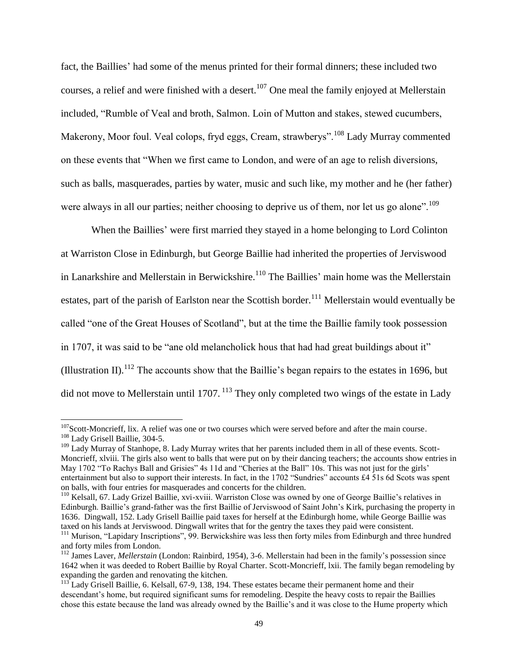fact, the Baillies' had some of the menus printed for their formal dinners; these included two courses, a relief and were finished with a desert.<sup>107</sup> One meal the family enjoyed at Mellerstain included, "Rumble of Veal and broth, Salmon. Loin of Mutton and stakes, stewed cucumbers, Makerony, Moor foul. Veal colops, fryd eggs, Cream, strawberys".<sup>108</sup> Lady Murray commented on these events that "When we first came to London, and were of an age to relish diversions, such as balls, masquerades, parties by water, music and such like, my mother and he (her father) were always in all our parties; neither choosing to deprive us of them, nor let us go alone".<sup>109</sup>

When the Baillies' were first married they stayed in a home belonging to Lord Colinton at Warriston Close in Edinburgh, but George Baillie had inherited the properties of Jerviswood in Lanarkshire and Mellerstain in Berwickshire.<sup>110</sup> The Baillies' main home was the Mellerstain estates, part of the parish of Earlston near the Scottish border.<sup>111</sup> Mellerstain would eventually be called "one of the Great Houses of Scotland", but at the time the Baillie family took possession in 1707, it was said to be "ane old melancholick hous that had had great buildings about it" (Illustration II).<sup>112</sup> The accounts show that the Baillie's began repairs to the estates in 1696, but did not move to Mellerstain until  $1707$ . <sup>113</sup> They only completed two wings of the estate in Lady

<sup>&</sup>lt;sup>107</sup>Scott-Moncrieff, lix. A relief was one or two courses which were served before and after the main course. <sup>108</sup> Lady Grisell Baillie, 304-5.

<sup>&</sup>lt;sup>109</sup> Lady Murray of Stanhope, 8. Lady Murray writes that her parents included them in all of these events. Scott-Moncrieff, xlviii. The girls also went to balls that were put on by their dancing teachers; the accounts show entries in May 1702 "To Rachys Ball and Grisies" 4s 11d and "Cheries at the Ball" 10s. This was not just for the girls" entertainment but also to support their interests. In fact, in the 1702 "Sundries" accounts £4 51s 6d Scots was spent on balls, with four entries for masquerades and concerts for the children.

<sup>&</sup>lt;sup>110</sup> Kelsall, 67. Lady Grizel Baillie, xvi-xviii. Warriston Close was owned by one of George Baillie's relatives in Edinburgh. Baillie"s grand-father was the first Baillie of Jerviswood of Saint John"s Kirk, purchasing the property in 1636. Dingwall, 152. Lady Grisell Baillie paid taxes for herself at the Edinburgh home, while George Baillie was taxed on his lands at Jerviswood. Dingwall writes that for the gentry the taxes they paid were consistent.

<sup>&</sup>lt;sup>111</sup> Murison, "Lapidary Inscriptions", 99. Berwickshire was less then forty miles from Edinburgh and three hundred and forty miles from London.

<sup>&</sup>lt;sup>112</sup> James Laver, *Mellerstain* (London: Rainbird, 1954), 3-6. Mellerstain had been in the family's possession since 1642 when it was deeded to Robert Baillie by Royal Charter. Scott-Moncrieff, lxii. The family began remodeling by expanding the garden and renovating the kitchen.

 $113$  Lady Grisell Baillie, 6. Kelsall, 67-9, 138, 194. These estates became their permanent home and their descendant's home, but required significant sums for remodeling. Despite the heavy costs to repair the Baillies chose this estate because the land was already owned by the Baillie"s and it was close to the Hume property which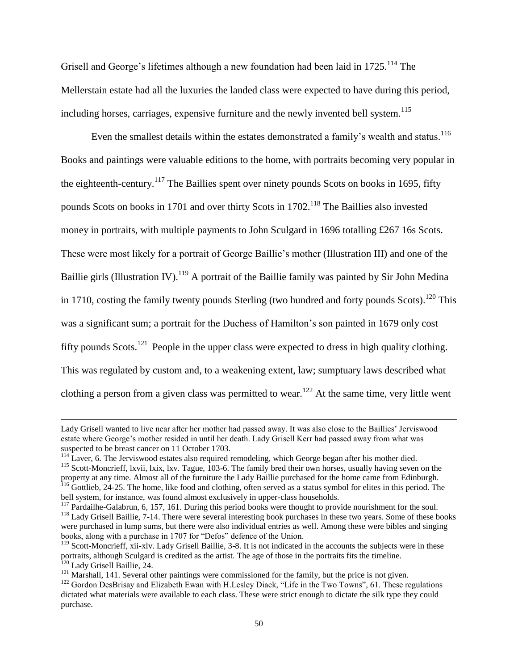Grisell and George's lifetimes although a new foundation had been laid in  $1725$ <sup> $114$ </sup> The Mellerstain estate had all the luxuries the landed class were expected to have during this period, including horses, carriages, expensive furniture and the newly invented bell system.<sup>115</sup>

Even the smallest details within the estates demonstrated a family's wealth and status.<sup>116</sup> Books and paintings were valuable editions to the home, with portraits becoming very popular in the eighteenth-century.<sup>117</sup> The Baillies spent over ninety pounds Scots on books in 1695, fifty pounds Scots on books in 1701 and over thirty Scots in 1702.<sup>118</sup> The Baillies also invested money in portraits, with multiple payments to John Sculgard in 1696 totalling £267 16s Scots. These were most likely for a portrait of George Baillie"s mother (Illustration III) and one of the Baillie girls (Illustration IV).<sup>119</sup> A portrait of the Baillie family was painted by Sir John Medina in 1710, costing the family twenty pounds Sterling (two hundred and forty pounds Scots).<sup>120</sup> This was a significant sum; a portrait for the Duchess of Hamilton's son painted in 1679 only cost fifty pounds Scots.<sup>121</sup> People in the upper class were expected to dress in high quality clothing. This was regulated by custom and, to a weakening extent, law; sumptuary laws described what clothing a person from a given class was permitted to wear.<sup>122</sup> At the same time, very little went

Lady Grisell wanted to live near after her mother had passed away. It was also close to the Baillies" Jerviswood estate where George"s mother resided in until her death. Lady Grisell Kerr had passed away from what was suspected to be breast cancer on 11 October 1703.

<sup>&</sup>lt;sup>114</sup> Laver, 6. The Jerviswood estates also required remodeling, which George began after his mother died. <sup>115</sup> Scott-Moncrieff, lxvii, lxix, lxv. Tague, 103-6. The family bred their own horses, usually having seven on the

property at any time. Almost all of the furniture the Lady Baillie purchased for the home came from Edinburgh. <sup>116</sup> Gottlieb, 24-25. The home, like food and clothing, often served as a status symbol for elites in this period. The bell system, for instance, was found almost exclusively in upper-class households.

<sup>&</sup>lt;sup>117</sup> Pardailhe-Galabrun, 6, 157, 161. During this period books were thought to provide nourishment for the soul. <sup>118</sup> Lady Grisell Baillie, 7-14. There were several interesting book purchases in these two years. Some of these books were purchased in lump sums, but there were also individual entries as well. Among these were bibles and singing

books, along with a purchase in 1707 for "Defos" defence of the Union.

 $119$  Scott-Moncrieff, xii-xlv. Lady Grisell Baillie, 3-8. It is not indicated in the accounts the subjects were in these portraits, although Sculgard is credited as the artist. The age of those in the portraits fits the timeline. <sup>120</sup> Lady Grisell Baillie, 24.

<sup>&</sup>lt;sup>121</sup> Marshall, 141. Several other paintings were commissioned for the family, but the price is not given.

<sup>&</sup>lt;sup>122</sup> Gordon DesBrisay and Elizabeth Ewan with H.Lesley Diack, "Life in the Two Towns", 61. These regulations dictated what materials were available to each class. These were strict enough to dictate the silk type they could purchase.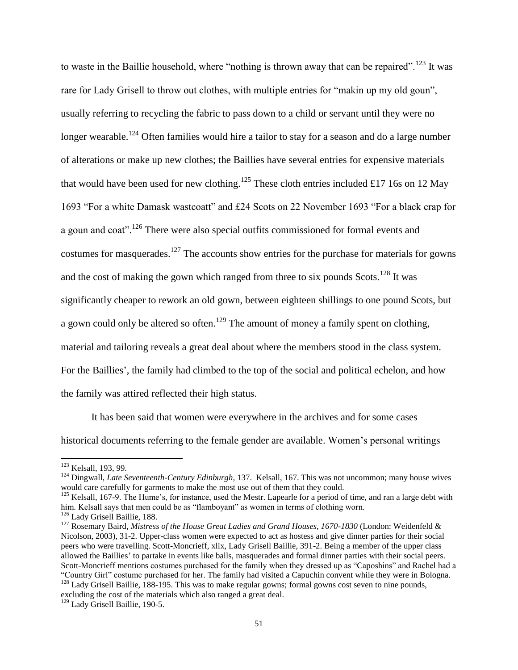to waste in the Baillie household, where "nothing is thrown away that can be repaired".<sup>123</sup> It was rare for Lady Grisell to throw out clothes, with multiple entries for "makin up my old goun", usually referring to recycling the fabric to pass down to a child or servant until they were no longer wearable.<sup>124</sup> Often families would hire a tailor to stay for a season and do a large number of alterations or make up new clothes; the Baillies have several entries for expensive materials that would have been used for new clothing.<sup>125</sup> These cloth entries included £17 16s on 12 May 1693 "For a white Damask wastcoatt" and £24 Scots on 22 November 1693 "For a black crap for a goun and coat".<sup>126</sup> There were also special outfits commissioned for formal events and costumes for masquerades.<sup>127</sup> The accounts show entries for the purchase for materials for gowns and the cost of making the gown which ranged from three to six pounds  $S\text{cots}^{128}$  It was significantly cheaper to rework an old gown, between eighteen shillings to one pound Scots, but a gown could only be altered so often.<sup>129</sup> The amount of money a family spent on clothing, material and tailoring reveals a great deal about where the members stood in the class system. For the Baillies', the family had climbed to the top of the social and political echelon, and how the family was attired reflected their high status.

It has been said that women were everywhere in the archives and for some cases historical documents referring to the female gender are available. Women"s personal writings

l

<sup>&</sup>lt;sup>123</sup> Kelsall, 193, 99.

<sup>124</sup> Dingwall, *Late Seventeenth-Century Edinburgh,* 137. Kelsall, 167. This was not uncommon; many house wives would care carefully for garments to make the most use out of them that they could.

<sup>&</sup>lt;sup>125</sup> Kelsall, 167-9. The Hume's, for instance, used the Mestr. Lapearle for a period of time, and ran a large debt with him. Kelsall says that men could be as "flamboyant" as women in terms of clothing worn.

<sup>126</sup> Lady Grisell Baillie, 188.

<sup>&</sup>lt;sup>127</sup> Rosemary Baird, *Mistress of the House Great Ladies and Grand Houses, 1670-1830* (London: Weidenfeld & Nicolson, 2003), 31-2. Upper-class women were expected to act as hostess and give dinner parties for their social peers who were travelling. Scott-Moncrieff, xlix, Lady Grisell Baillie, 391-2. Being a member of the upper class allowed the Baillies" to partake in events like balls, masquerades and formal dinner parties with their social peers. Scott-Moncrieff mentions costumes purchased for the family when they dressed up as "Caposhins" and Rachel had a "Country Girl" costume purchased for her. The family had visited a Capuchin convent while they were in Bologna. <sup>128</sup> Lady Grisell Baillie, 188-195. This was to make regular gowns; formal gowns cost seven to nine pounds,

excluding the cost of the materials which also ranged a great deal.

<sup>129</sup> Lady Grisell Baillie, 190-5.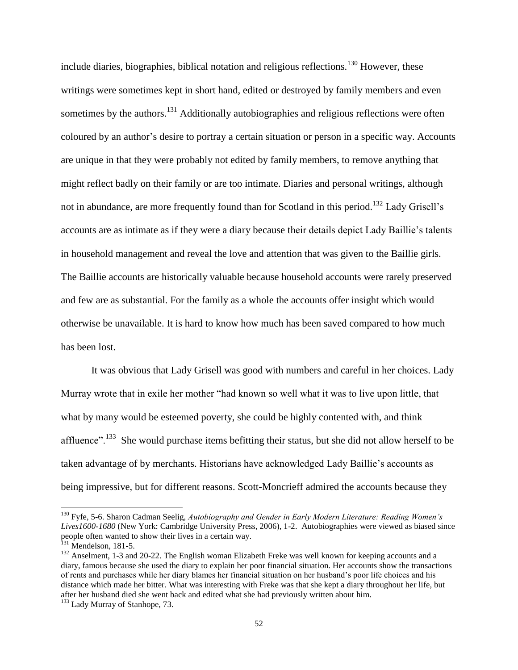include diaries, biographies, biblical notation and religious reflections.<sup>130</sup> However, these writings were sometimes kept in short hand, edited or destroyed by family members and even sometimes by the authors.<sup>131</sup> Additionally autobiographies and religious reflections were often coloured by an author"s desire to portray a certain situation or person in a specific way. Accounts are unique in that they were probably not edited by family members, to remove anything that might reflect badly on their family or are too intimate. Diaries and personal writings, although not in abundance, are more frequently found than for Scotland in this period.<sup>132</sup> Lady Grisell's accounts are as intimate as if they were a diary because their details depict Lady Baillie"s talents in household management and reveal the love and attention that was given to the Baillie girls. The Baillie accounts are historically valuable because household accounts were rarely preserved and few are as substantial. For the family as a whole the accounts offer insight which would otherwise be unavailable. It is hard to know how much has been saved compared to how much has been lost.

It was obvious that Lady Grisell was good with numbers and careful in her choices. Lady Murray wrote that in exile her mother "had known so well what it was to live upon little, that what by many would be esteemed poverty, she could be highly contented with, and think affluence".<sup>133</sup> She would purchase items befitting their status, but she did not allow herself to be taken advantage of by merchants. Historians have acknowledged Lady Baillie"s accounts as being impressive, but for different reasons. Scott-Moncrieff admired the accounts because they

<sup>130</sup> Fyfe, 5-6. Sharon Cadman Seelig, *Autobiography and Gender in Early Modern Literature: Reading Women's Lives1600-1680* (New York: Cambridge University Press, 2006), 1-2. Autobiographies were viewed as biased since people often wanted to show their lives in a certain way.

 $^{131}$  Mendelson, 181-5.

<sup>&</sup>lt;sup>132</sup> Anselment, 1-3 and 20-22. The English woman Elizabeth Freke was well known for keeping accounts and a diary, famous because she used the diary to explain her poor financial situation. Her accounts show the transactions of rents and purchases while her diary blames her financial situation on her husband"s poor life choices and his distance which made her bitter. What was interesting with Freke was that she kept a diary throughout her life, but after her husband died she went back and edited what she had previously written about him.

<sup>&</sup>lt;sup>133</sup> Lady Murray of Stanhope, 73.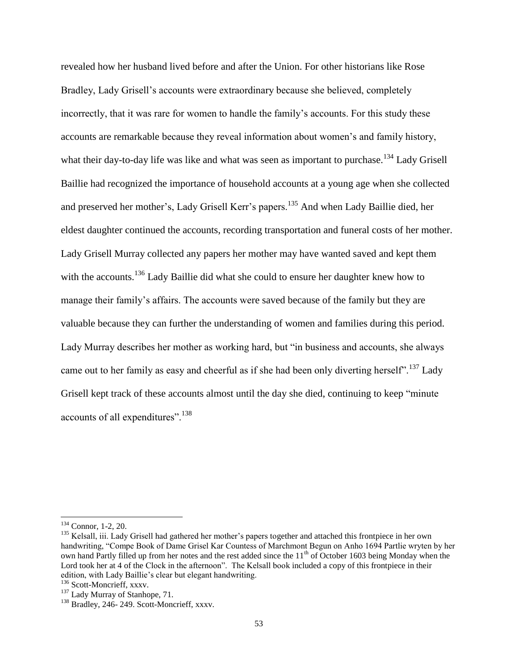revealed how her husband lived before and after the Union. For other historians like Rose Bradley, Lady Grisell"s accounts were extraordinary because she believed, completely incorrectly, that it was rare for women to handle the family"s accounts. For this study these accounts are remarkable because they reveal information about women"s and family history, what their day-to-day life was like and what was seen as important to purchase.<sup>134</sup> Lady Grisell Baillie had recognized the importance of household accounts at a young age when she collected and preserved her mother's, Lady Grisell Kerr's papers.<sup>135</sup> And when Lady Baillie died, her eldest daughter continued the accounts, recording transportation and funeral costs of her mother. Lady Grisell Murray collected any papers her mother may have wanted saved and kept them with the accounts.<sup>136</sup> Lady Baillie did what she could to ensure her daughter knew how to manage their family"s affairs. The accounts were saved because of the family but they are valuable because they can further the understanding of women and families during this period. Lady Murray describes her mother as working hard, but "in business and accounts, she always came out to her family as easy and cheerful as if she had been only diverting herself".<sup>137</sup> Lady Grisell kept track of these accounts almost until the day she died, continuing to keep "minute accounts of all expenditures".<sup>138</sup>

<sup>134</sup> Connor, 1-2, 20.

<sup>&</sup>lt;sup>135</sup> Kelsall, iii. Lady Grisell had gathered her mother's papers together and attached this frontpiece in her own handwriting, "Compe Book of Dame Grisel Kar Countess of Marchmont Begun on Anho 1694 Partlie wryten by her own hand Partly filled up from her notes and the rest added since the 11<sup>th</sup> of October 1603 being Monday when the Lord took her at 4 of the Clock in the afternoon". The Kelsall book included a copy of this frontpiece in their edition, with Lady Baillie"s clear but elegant handwriting.

<sup>136</sup> Scott-Moncrieff, xxxv.

<sup>&</sup>lt;sup>137</sup> Lady Murray of Stanhope, 71.

<sup>&</sup>lt;sup>138</sup> Bradley, 246- 249. Scott-Moncrieff, xxxv.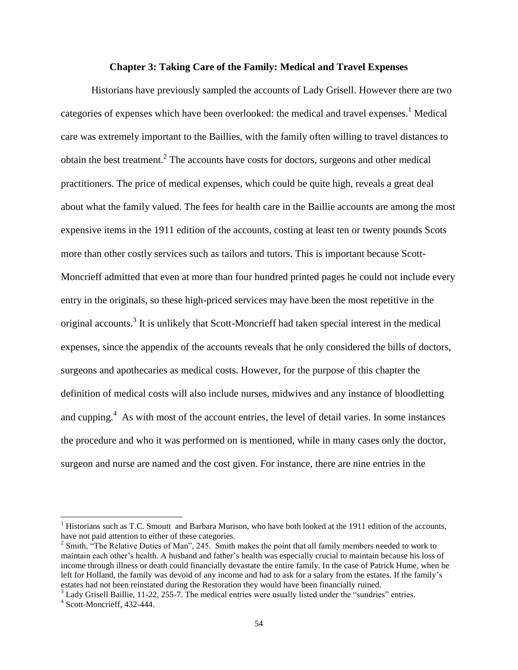## **Chapter 3: Taking Care of the Family: Medical and Travel Expenses**

Historians have previously sampled the accounts of Lady Grisell. However there are two categories of expenses which have been overlooked: the medical and travel expenses.<sup>1</sup> Medical care was extremely important to the Baillies, with the family often willing to travel distances to obtain the best treatment.<sup>2</sup> The accounts have costs for doctors, surgeons and other medical practitioners. The price of medical expenses, which could be quite high, reveals a great deal about what the family valued. The fees for health care in the Baillie accounts are among the most expensive items in the 1911 edition of the accounts, costing at least ten or twenty pounds Scots more than other costly services such as tailors and tutors. This is important because Scott-Moncrieff admitted that even at more than four hundred printed pages he could not include every entry in the originals, so these high-priced services may have been the most repetitive in the original accounts.<sup>3</sup> It is unlikely that Scott-Moncrieff had taken special interest in the medical expenses, since the appendix of the accounts reveals that he only considered the bills of doctors, surgeons and apothecaries as medical costs. However, for the purpose of this chapter the definition of medical costs will also include nurses, midwives and any instance of bloodletting and cupping. $4$  As with most of the account entries, the level of detail varies. In some instances the procedure and who it was performed on is mentioned, while in many cases only the doctor, surgeon and nurse are named and the cost given. For instance, there are nine entries in the

<sup>3</sup> Lady Grisell Baillie, 11-22, 255-7. The medical entries were usually listed under the "sundries" entries.

 $<sup>1</sup>$  Historians such as T.C. Smoutt and Barbara Murison, who have both looked at the 1911 edition of the accounts,</sup> have not paid attention to either of these categories.

<sup>&</sup>lt;sup>2</sup> Smith,  $\cdot$ <sup>2</sup>The Relative Duties of Man", 245. Smith makes the point that all family members needed to work to maintain each other"s health. A husband and father"s health was especially crucial to maintain because his loss of income through illness or death could financially devastate the entire family. In the case of Patrick Hume, when he left for Holland, the family was devoid of any income and had to ask for a salary from the estates. If the family"s estates had not been reinstated during the Restoration they would have been financially ruined.

<sup>4</sup> Scott-Moncrieff, 432-444.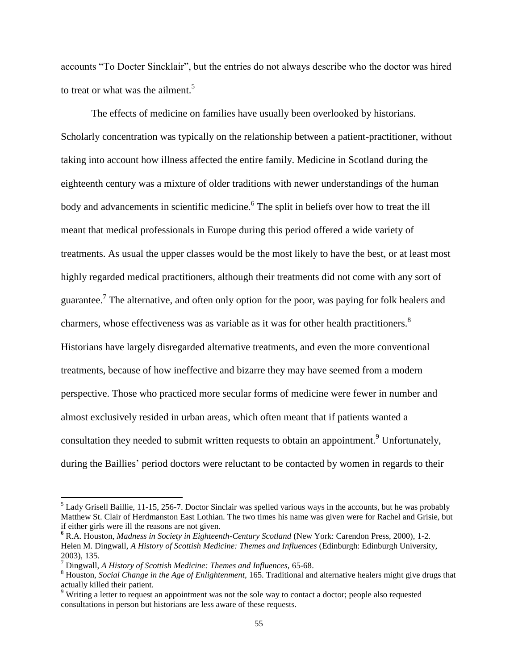accounts "To Docter Sincklair", but the entries do not always describe who the doctor was hired to treat or what was the ailment.<sup>5</sup>

The effects of medicine on families have usually been overlooked by historians. Scholarly concentration was typically on the relationship between a patient-practitioner, without taking into account how illness affected the entire family. Medicine in Scotland during the eighteenth century was a mixture of older traditions with newer understandings of the human body and advancements in scientific medicine.<sup>6</sup> The split in beliefs over how to treat the ill meant that medical professionals in Europe during this period offered a wide variety of treatments. As usual the upper classes would be the most likely to have the best, or at least most highly regarded medical practitioners, although their treatments did not come with any sort of guarantee.<sup>7</sup> The alternative, and often only option for the poor, was paying for folk healers and charmers, whose effectiveness was as variable as it was for other health practitioners.<sup>8</sup> Historians have largely disregarded alternative treatments, and even the more conventional treatments, because of how ineffective and bizarre they may have seemed from a modern perspective. Those who practiced more secular forms of medicine were fewer in number and almost exclusively resided in urban areas, which often meant that if patients wanted a consultation they needed to submit written requests to obtain an appointment.<sup>9</sup> Unfortunately, during the Baillies' period doctors were reluctant to be contacted by women in regards to their

 $<sup>5</sup>$  Lady Grisell Baillie, 11-15, 256-7. Doctor Sinclair was spelled various ways in the accounts, but he was probably</sup> Matthew St. Clair of Herdmanston East Lothian. The two times his name was given were for Rachel and Grisie, but if either girls were ill the reasons are not given.

**<sup>6</sup>** R.A. Houston, *Madness in Society in Eighteenth-Century Scotland* (New York: Carendon Press, 2000), 1-2. Helen M. Dingwall, *A History of Scottish Medicine: Themes and Influences* (Edinburgh: Edinburgh University, 2003)*,* 135.

<sup>7</sup> Dingwall, *A History of Scottish Medicine: Themes and Influences,* 65-68.

<sup>8</sup> Houston, *Social Change in the Age of Enlightenment,* 165. Traditional and alternative healers might give drugs that actually killed their patient.

<sup>&</sup>lt;sup>9</sup> Writing a letter to request an appointment was not the sole way to contact a doctor; people also requested consultations in person but historians are less aware of these requests.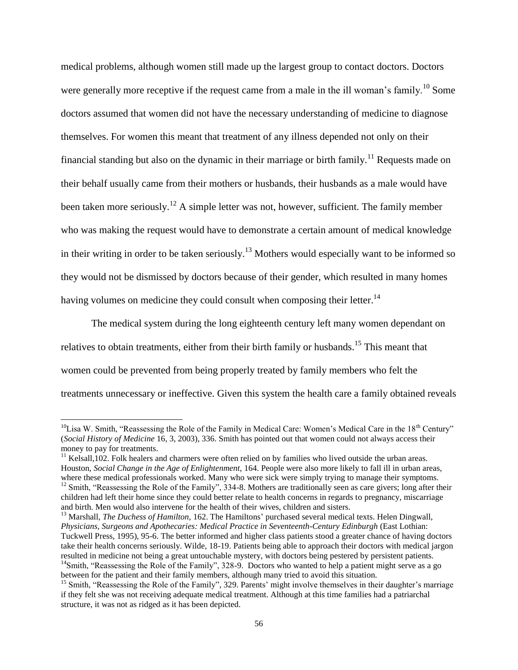medical problems, although women still made up the largest group to contact doctors. Doctors were generally more receptive if the request came from a male in the ill woman's family.<sup>10</sup> Some doctors assumed that women did not have the necessary understanding of medicine to diagnose themselves. For women this meant that treatment of any illness depended not only on their financial standing but also on the dynamic in their marriage or birth family.<sup>11</sup> Requests made on their behalf usually came from their mothers or husbands, their husbands as a male would have been taken more seriously.<sup>12</sup> A simple letter was not, however, sufficient. The family member who was making the request would have to demonstrate a certain amount of medical knowledge in their writing in order to be taken seriously.<sup>13</sup> Mothers would especially want to be informed so they would not be dismissed by doctors because of their gender, which resulted in many homes having volumes on medicine they could consult when composing their letter.<sup>14</sup>

The medical system during the long eighteenth century left many women dependant on relatives to obtain treatments, either from their birth family or husbands.<sup>15</sup> This meant that women could be prevented from being properly treated by family members who felt the treatments unnecessary or ineffective. Given this system the health care a family obtained reveals

 $10$ Lisa W. Smith, "Reassessing the Role of the Family in Medical Care: Women's Medical Care in the 18<sup>th</sup> Century" (*Social History of Medicine* 16, 3, 2003), 336. Smith has pointed out that women could not always access their money to pay for treatments.

 $11$  Kelsall,102. Folk healers and charmers were often relied on by families who lived outside the urban areas. Houston, *Social Change in the Age of Enlightenment,* 164. People were also more likely to fall ill in urban areas, where these medical professionals worked. Many who were sick were simply trying to manage their symptoms. <sup>12</sup> Smith, "Reassessing the Role of the Family", 334-8. Mothers are traditionally seen as care givers; long after their children had left their home since they could better relate to health concerns in regards to pregnancy, miscarriage and birth. Men would also intervene for the health of their wives, children and sisters.

<sup>&</sup>lt;sup>13</sup> Marshall, *The Duchess of Hamilton*, 162. The Hamiltons' purchased several medical texts. Helen Dingwall, *Physicians, Surgeons and Apothecaries: Medical Practice in Seventeenth-Century Edinburgh* (East Lothian: Tuckwell Press, 1995), 95-6. The better informed and higher class patients stood a greater chance of having doctors take their health concerns seriously. Wilde, 18-19. Patients being able to approach their doctors with medical jargon resulted in medicine not being a great untouchable mystery, with doctors being pestered by persistent patients. <sup>14</sup>Smith, "Reassessing the Role of the Family", 328-9. Doctors who wanted to help a patient might serve as a go between for the patient and their family members, although many tried to avoid this situation.

<sup>&</sup>lt;sup>15</sup> Smith, "Reassessing the Role of the Family", 329. Parents' might involve themselves in their daughter's marriage if they felt she was not receiving adequate medical treatment. Although at this time families had a patriarchal structure, it was not as ridged as it has been depicted.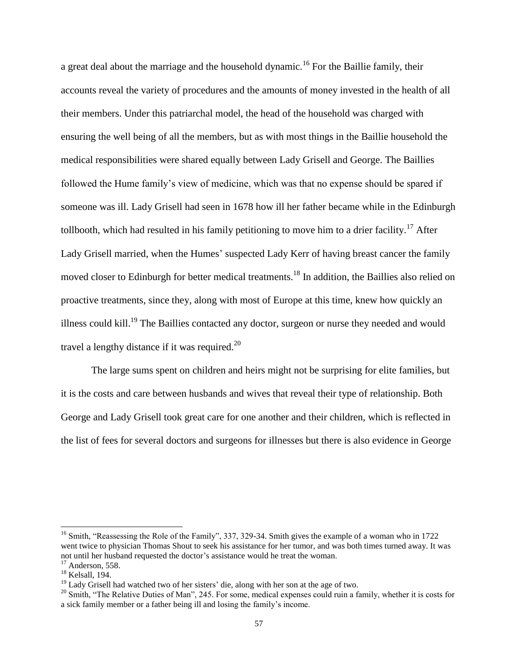a great deal about the marriage and the household dynamic.<sup>16</sup> For the Baillie family, their accounts reveal the variety of procedures and the amounts of money invested in the health of all their members. Under this patriarchal model, the head of the household was charged with ensuring the well being of all the members, but as with most things in the Baillie household the medical responsibilities were shared equally between Lady Grisell and George. The Baillies followed the Hume family"s view of medicine, which was that no expense should be spared if someone was ill. Lady Grisell had seen in 1678 how ill her father became while in the Edinburgh tollbooth, which had resulted in his family petitioning to move him to a drier facility.<sup>17</sup> After Lady Grisell married, when the Humes' suspected Lady Kerr of having breast cancer the family moved closer to Edinburgh for better medical treatments.<sup>18</sup> In addition, the Baillies also relied on proactive treatments, since they, along with most of Europe at this time, knew how quickly an illness could kill.<sup>19</sup> The Baillies contacted any doctor, surgeon or nurse they needed and would travel a lengthy distance if it was required.<sup>20</sup>

The large sums spent on children and heirs might not be surprising for elite families, but it is the costs and care between husbands and wives that reveal their type of relationship. Both George and Lady Grisell took great care for one another and their children, which is reflected in the list of fees for several doctors and surgeons for illnesses but there is also evidence in George

<sup>&</sup>lt;sup>16</sup> Smith, "Reassessing the Role of the Family", 337, 329-34. Smith gives the example of a woman who in 1722 went twice to physician Thomas Shout to seek his assistance for her tumor, and was both times turned away. It was not until her husband requested the doctor's assistance would he treat the woman.

<sup>&</sup>lt;sup>17</sup> Anderson, 558.

<sup>&</sup>lt;sup>18</sup> Kelsall, 194.

 $19$  Lady Grisell had watched two of her sisters' die, along with her son at the age of two.

<sup>&</sup>lt;sup>20</sup> Smith, "The Relative Duties of Man", 245. For some, medical expenses could ruin a family, whether it is costs for a sick family member or a father being ill and losing the family"s income.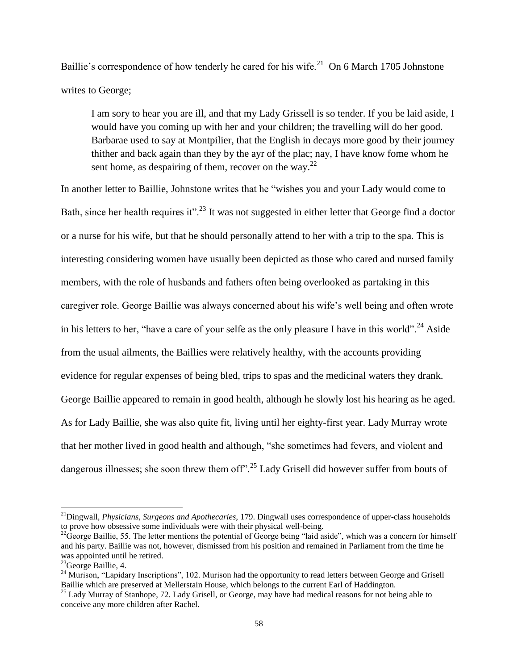Baillie's correspondence of how tenderly he cared for his wife.<sup>21</sup> On 6 March 1705 Johnstone writes to George;

I am sory to hear you are ill, and that my Lady Grissell is so tender. If you be laid aside, I would have you coming up with her and your children; the travelling will do her good. Barbarae used to say at Montpilier, that the English in decays more good by their journey thither and back again than they by the ayr of the plac; nay, I have know fome whom he sent home, as despairing of them, recover on the way. $^{22}$ 

In another letter to Baillie, Johnstone writes that he "wishes you and your Lady would come to Bath, since her health requires it".<sup>23</sup> It was not suggested in either letter that George find a doctor or a nurse for his wife, but that he should personally attend to her with a trip to the spa. This is interesting considering women have usually been depicted as those who cared and nursed family members, with the role of husbands and fathers often being overlooked as partaking in this caregiver role. George Baillie was always concerned about his wife's well being and often wrote in his letters to her, "have a care of your selfe as the only pleasure I have in this world".<sup>24</sup> Aside from the usual ailments, the Baillies were relatively healthy, with the accounts providing evidence for regular expenses of being bled, trips to spas and the medicinal waters they drank. George Baillie appeared to remain in good health, although he slowly lost his hearing as he aged. As for Lady Baillie, she was also quite fit, living until her eighty-first year. Lady Murray wrote that her mother lived in good health and although, "she sometimes had fevers, and violent and dangerous illnesses; she soon threw them off".<sup>25</sup> Lady Grisell did however suffer from bouts of

<sup>21</sup>Dingwall, *Physicians, Surgeons and Apothecaries,* 179. Dingwall uses correspondence of upper-class households to prove how obsessive some individuals were with their physical well-being.

 $^{22}$ George Baillie, 55. The letter mentions the potential of George being "laid aside", which was a concern for himself and his party. Baillie was not, however, dismissed from his position and remained in Parliament from the time he was appointed until he retired.

<sup>&</sup>lt;sup>23</sup>George Baillie, 4.

<sup>&</sup>lt;sup>24</sup> Murison, "Lapidary Inscriptions", 102. Murison had the opportunity to read letters between George and Grisell Baillie which are preserved at Mellerstain House, which belongs to the current Earl of Haddington.

<sup>&</sup>lt;sup>25</sup> Lady Murray of Stanhope, 72. Lady Grisell, or George, may have had medical reasons for not being able to conceive any more children after Rachel.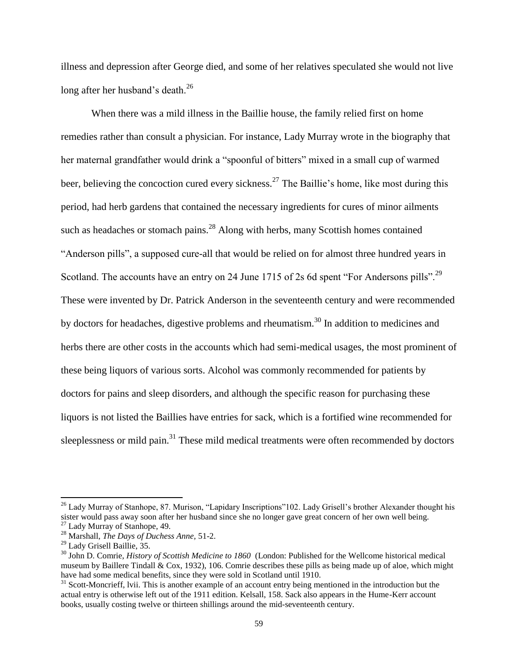illness and depression after George died, and some of her relatives speculated she would not live long after her husband's death.<sup>26</sup>

When there was a mild illness in the Baillie house, the family relied first on home remedies rather than consult a physician. For instance, Lady Murray wrote in the biography that her maternal grandfather would drink a "spoonful of bitters" mixed in a small cup of warmed beer, believing the concoction cured every sickness.<sup>27</sup> The Baillie's home, like most during this period, had herb gardens that contained the necessary ingredients for cures of minor ailments such as headaches or stomach pains. $^{28}$  Along with herbs, many Scottish homes contained "Anderson pills", a supposed cure-all that would be relied on for almost three hundred years in Scotland. The accounts have an entry on 24 June 1715 of 2s 6d spent "For Andersons pills".<sup>29</sup> These were invented by Dr. Patrick Anderson in the seventeenth century and were recommended by doctors for headaches, digestive problems and rheumatism.<sup>30</sup> In addition to medicines and herbs there are other costs in the accounts which had semi-medical usages, the most prominent of these being liquors of various sorts. Alcohol was commonly recommended for patients by doctors for pains and sleep disorders, and although the specific reason for purchasing these liquors is not listed the Baillies have entries for sack, which is a fortified wine recommended for sleeplessness or mild pain.<sup>31</sup> These mild medical treatments were often recommended by doctors

<sup>&</sup>lt;sup>26</sup> Lady Murray of Stanhope, 87. Murison, "Lapidary Inscriptions"102. Lady Grisell's brother Alexander thought his sister would pass away soon after her husband since she no longer gave great concern of her own well being.

<sup>27</sup> Lady Murray of Stanhope, 49.

<sup>28</sup> Marshall, *The Days of Duchess Anne,* 51-2.

<sup>29</sup> Lady Grisell Baillie, 35.

<sup>30</sup> John D. Comrie, *History of Scottish Medicine to 1860* (London: Published for the Wellcome historical medical museum by Baillere Tindall & Cox, 1932), 106. Comrie describes these pills as being made up of aloe, which might have had some medical benefits, since they were sold in Scotland until 1910.

 $31$  Scott-Moncrieff, lvii. This is another example of an account entry being mentioned in the introduction but the actual entry is otherwise left out of the 1911 edition. Kelsall, 158. Sack also appears in the Hume-Kerr account books, usually costing twelve or thirteen shillings around the mid-seventeenth century.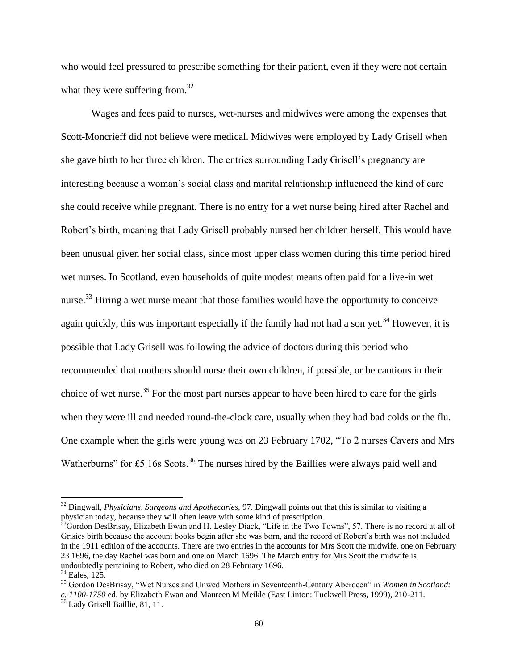who would feel pressured to prescribe something for their patient, even if they were not certain what they were suffering from.<sup>32</sup>

Wages and fees paid to nurses, wet-nurses and midwives were among the expenses that Scott-Moncrieff did not believe were medical. Midwives were employed by Lady Grisell when she gave birth to her three children. The entries surrounding Lady Grisell"s pregnancy are interesting because a woman"s social class and marital relationship influenced the kind of care she could receive while pregnant. There is no entry for a wet nurse being hired after Rachel and Robert"s birth, meaning that Lady Grisell probably nursed her children herself. This would have been unusual given her social class, since most upper class women during this time period hired wet nurses. In Scotland, even households of quite modest means often paid for a live-in wet nurse.<sup>33</sup> Hiring a wet nurse meant that those families would have the opportunity to conceive again quickly, this was important especially if the family had not had a son yet.<sup>34</sup> However, it is possible that Lady Grisell was following the advice of doctors during this period who recommended that mothers should nurse their own children, if possible, or be cautious in their choice of wet nurse.<sup>35</sup> For the most part nurses appear to have been hired to care for the girls when they were ill and needed round-the-clock care, usually when they had bad colds or the flu. One example when the girls were young was on 23 February 1702, "To 2 nurses Cavers and Mrs Watherburns" for £5 16s Scots.<sup>36</sup> The nurses hired by the Baillies were always paid well and

<sup>32</sup> Dingwall, *Physicians, Surgeons and Apothecaries,* 97. Dingwall points out that this is similar to visiting a physician today, because they will often leave with some kind of prescription.

<sup>&</sup>lt;sup>3</sup>Gordon DesBrisay, Elizabeth Ewan and H. Lesley Diack, "Life in the Two Towns", 57. There is no record at all of Grisies birth because the account books begin after she was born, and the record of Robert's birth was not included in the 1911 edition of the accounts. There are two entries in the accounts for Mrs Scott the midwife, one on February 23 1696, the day Rachel was born and one on March 1696. The March entry for Mrs Scott the midwife is undoubtedly pertaining to Robert, who died on 28 February 1696.

 $34$  Eales, 125.

<sup>35</sup> Gordon DesBrisay, "Wet Nurses and Unwed Mothers in Seventeenth-Century Aberdeen" in *Women in Scotland: c. 1100-1750* ed. by Elizabeth Ewan and Maureen M Meikle (East Linton: Tuckwell Press, 1999), 210-211.

<sup>36</sup> Lady Grisell Baillie, 81, 11.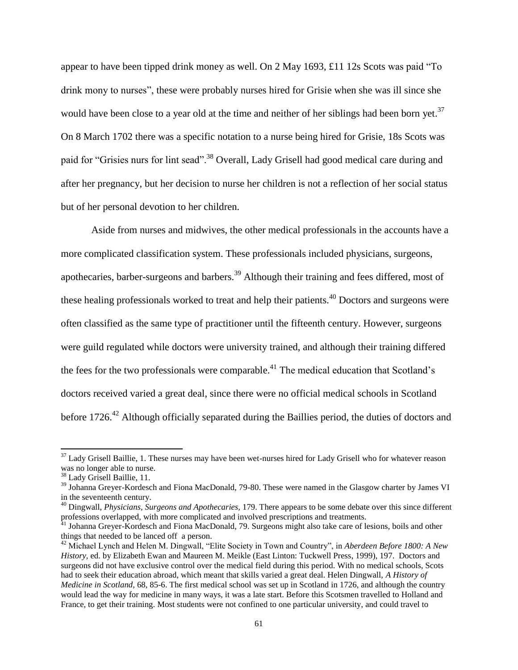appear to have been tipped drink money as well. On 2 May 1693, £11 12s Scots was paid "To drink mony to nurses", these were probably nurses hired for Grisie when she was ill since she would have been close to a year old at the time and neither of her siblings had been born yet.<sup>37</sup> On 8 March 1702 there was a specific notation to a nurse being hired for Grisie, 18s Scots was paid for "Grisies nurs for lint sead".<sup>38</sup> Overall, Lady Grisell had good medical care during and after her pregnancy, but her decision to nurse her children is not a reflection of her social status but of her personal devotion to her children.

Aside from nurses and midwives, the other medical professionals in the accounts have a more complicated classification system. These professionals included physicians, surgeons, apothecaries, barber-surgeons and barbers.<sup>39</sup> Although their training and fees differed, most of these healing professionals worked to treat and help their patients.<sup>40</sup> Doctors and surgeons were often classified as the same type of practitioner until the fifteenth century. However, surgeons were guild regulated while doctors were university trained, and although their training differed the fees for the two professionals were comparable.<sup>41</sup> The medical education that Scotland's doctors received varied a great deal, since there were no official medical schools in Scotland before 1726.<sup>42</sup> Although officially separated during the Baillies period, the duties of doctors and

 $37$  Lady Grisell Baillie, 1. These nurses may have been wet-nurses hired for Lady Grisell who for whatever reason was no longer able to nurse.

<sup>38</sup> Lady Grisell Baillie, 11.

<sup>&</sup>lt;sup>39</sup> Johanna Greyer-Kordesch and Fiona MacDonald, 79-80. These were named in the Glasgow charter by James VI in the seventeenth century.

<sup>40</sup> Dingwall, *Physicians, Surgeons and Apothecaries,* 179. There appears to be some debate over this since different professions overlapped, with more complicated and involved prescriptions and treatments.

<sup>&</sup>lt;sup>41</sup> Johanna Greyer-Kordesch and Fiona MacDonald, 79. Surgeons might also take care of lesions, boils and other things that needed to be lanced off a person.

<sup>42</sup> Michael Lynch and Helen M. Dingwall, "Elite Society in Town and Country", in *Aberdeen Before 1800: A New History,* ed. by Elizabeth Ewan and Maureen M. Meikle (East Linton: Tuckwell Press, 1999), 197. Doctors and surgeons did not have exclusive control over the medical field during this period. With no medical schools, Scots had to seek their education abroad, which meant that skills varied a great deal. Helen Dingwall, *A History of Medicine in Scotland,* 68, 85-6. The first medical school was set up in Scotland in 1726, and although the country would lead the way for medicine in many ways, it was a late start. Before this Scotsmen travelled to Holland and France, to get their training. Most students were not confined to one particular university, and could travel to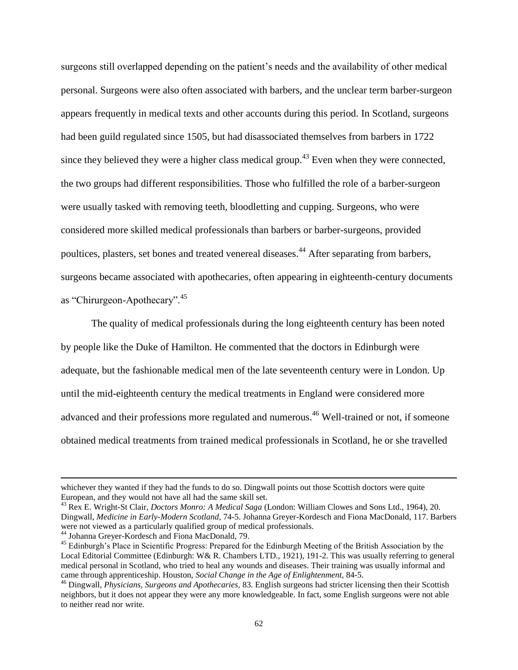surgeons still overlapped depending on the patient"s needs and the availability of other medical personal. Surgeons were also often associated with barbers, and the unclear term barber-surgeon appears frequently in medical texts and other accounts during this period. In Scotland, surgeons had been guild regulated since 1505, but had disassociated themselves from barbers in 1722 since they believed they were a higher class medical group.<sup>43</sup> Even when they were connected, the two groups had different responsibilities. Those who fulfilled the role of a barber-surgeon were usually tasked with removing teeth, bloodletting and cupping. Surgeons, who were considered more skilled medical professionals than barbers or barber-surgeons, provided poultices, plasters, set bones and treated venereal diseases.<sup>44</sup> After separating from barbers, surgeons became associated with apothecaries, often appearing in eighteenth-century documents as "Chirurgeon-Apothecary".<sup>45</sup>

The quality of medical professionals during the long eighteenth century has been noted by people like the Duke of Hamilton. He commented that the doctors in Edinburgh were adequate, but the fashionable medical men of the late seventeenth century were in London. Up until the mid-eighteenth century the medical treatments in England were considered more advanced and their professions more regulated and numerous.<sup>46</sup> Well-trained or not, if someone obtained medical treatments from trained medical professionals in Scotland, he or she travelled

whichever they wanted if they had the funds to do so. Dingwall points out those Scottish doctors were quite European, and they would not have all had the same skill set.

<sup>43</sup> Rex E. Wright-St Clair, *Doctors Monro: A Medical Saga* (London: William Clowes and Sons Ltd., 1964), 20. Dingwall, *Medicine in Early-Modern Scotland,* 74-5. Johanna Greyer-Kordesch and Fiona MacDonald, 117. Barbers were not viewed as a particularly qualified group of medical professionals.

<sup>44</sup> Johanna Greyer-Kordesch and Fiona MacDonald, 79.

<sup>&</sup>lt;sup>45</sup> Edinburgh's Place in Scientific Progress: Prepared for the Edinburgh Meeting of the British Association by the Local Editorial Committee (Edinburgh: W& R. Chambers LTD., 1921), 191-2. This was usually referring to general medical personal in Scotland, who tried to heal any wounds and diseases. Their training was usually informal and came through apprenticeship. Houston, *Social Change in the Age of Enlightenment,* 84-5.

<sup>46</sup> Dingwall, *Physicians, Surgeons and Apothecaries,* 83. English surgeons had stricter licensing then their Scottish neighbors, but it does not appear they were any more knowledgeable. In fact, some English surgeons were not able to neither read nor write.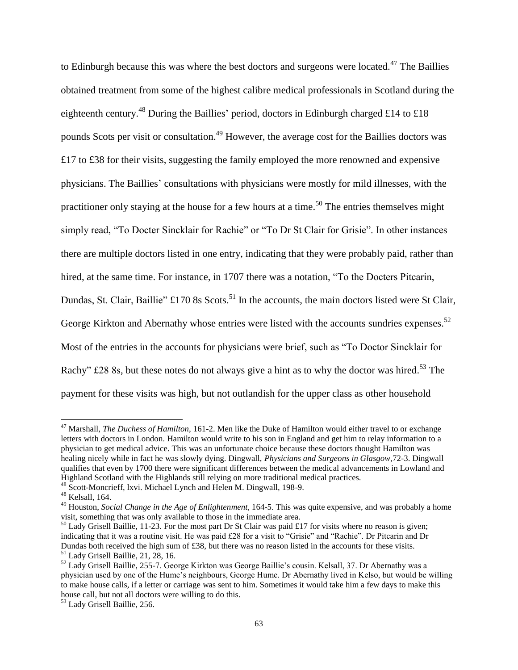to Edinburgh because this was where the best doctors and surgeons were located.<sup>47</sup> The Baillies obtained treatment from some of the highest calibre medical professionals in Scotland during the eighteenth century.<sup>48</sup> During the Baillies' period, doctors in Edinburgh charged £14 to £18 pounds Scots per visit or consultation.<sup>49</sup> However, the average cost for the Baillies doctors was £17 to £38 for their visits, suggesting the family employed the more renowned and expensive physicians. The Baillies" consultations with physicians were mostly for mild illnesses, with the practitioner only staying at the house for a few hours at a time.<sup>50</sup> The entries themselves might simply read, "To Docter Sincklair for Rachie" or "To Dr St Clair for Grisie". In other instances there are multiple doctors listed in one entry, indicating that they were probably paid, rather than hired, at the same time. For instance, in 1707 there was a notation, "To the Docters Pitcarin, Dundas, St. Clair, Baillie"  $\text{\pounds}170$  8s Scots.<sup>51</sup> In the accounts, the main doctors listed were St Clair, George Kirkton and Abernathy whose entries were listed with the accounts sundries expenses.<sup>52</sup> Most of the entries in the accounts for physicians were brief, such as "To Doctor Sincklair for Rachy" £28 8s, but these notes do not always give a hint as to why the doctor was hired.<sup>53</sup> The payment for these visits was high, but not outlandish for the upper class as other household

<sup>&</sup>lt;sup>47</sup> Marshall, *The Duchess of Hamilton*, 161-2. Men like the Duke of Hamilton would either travel to or exchange letters with doctors in London. Hamilton would write to his son in England and get him to relay information to a physician to get medical advice. This was an unfortunate choice because these doctors thought Hamilton was healing nicely while in fact he was slowly dying. Dingwall, *Physicians and Surgeons in Glasgow,*72-3. Dingwall qualifies that even by 1700 there were significant differences between the medical advancements in Lowland and Highland Scotland with the Highlands still relying on more traditional medical practices.

<sup>48</sup> Scott-Moncrieff, lxvi. Michael Lynch and Helen M. Dingwall, 198-9.

<sup>48</sup> Kelsall, 164.

<sup>&</sup>lt;sup>49</sup> Houston, *Social Change in the Age of Enlightenment*, 164-5. This was quite expensive, and was probably a home visit, something that was only available to those in the immediate area.

 $50$  Lady Grisell Baillie, 11-23. For the most part Dr St Clair was paid £17 for visits where no reason is given; indicating that it was a routine visit. He was paid £28 for a visit to "Grisie" and "Rachie". Dr Pitcarin and Dr Dundas both received the high sum of £38, but there was no reason listed in the accounts for these visits. <sup>51</sup> Lady Grisell Baillie, 21, 28, 16.

<sup>&</sup>lt;sup>52</sup> Lady Grisell Baillie, 255-7. George Kirkton was George Baillie's cousin. Kelsall, 37. Dr Abernathy was a physician used by one of the Hume"s neighbours, George Hume. Dr Abernathy lived in Kelso, but would be willing to make house calls, if a letter or carriage was sent to him. Sometimes it would take him a few days to make this house call, but not all doctors were willing to do this.

<sup>53</sup> Lady Grisell Baillie, 256.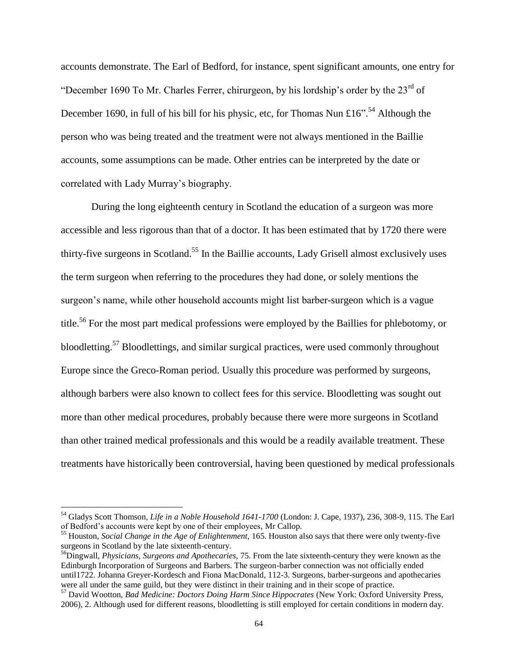accounts demonstrate. The Earl of Bedford, for instance, spent significant amounts, one entry for "December 1690 To Mr. Charles Ferrer, chirurgeon, by his lordship's order by the  $23<sup>rd</sup>$  of December 1690, in full of his bill for his physic, etc, for Thomas Nun £16".<sup>54</sup> Although the person who was being treated and the treatment were not always mentioned in the Baillie accounts, some assumptions can be made. Other entries can be interpreted by the date or correlated with Lady Murray"s biography.

During the long eighteenth century in Scotland the education of a surgeon was more accessible and less rigorous than that of a doctor. It has been estimated that by 1720 there were thirty-five surgeons in Scotland.<sup>55</sup> In the Baillie accounts, Lady Grisell almost exclusively uses the term surgeon when referring to the procedures they had done, or solely mentions the surgeon's name, while other household accounts might list barber-surgeon which is a vague title.<sup>56</sup> For the most part medical professions were employed by the Baillies for phlebotomy, or bloodletting.<sup>57</sup> Bloodlettings, and similar surgical practices, were used commonly throughout Europe since the Greco-Roman period. Usually this procedure was performed by surgeons, although barbers were also known to collect fees for this service. Bloodletting was sought out more than other medical procedures, probably because there were more surgeons in Scotland than other trained medical professionals and this would be a readily available treatment. These treatments have historically been controversial, having been questioned by medical professionals

<sup>54</sup> Gladys Scott Thomson, *Life in a Noble Household 1641-1700* (London: J. Cape, 1937), 236, 308-9, 115. The Earl of Bedford"s accounts were kept by one of their employees, Mr Callop.

<sup>55</sup> Houston, *Social Change in the Age of Enlightenment,* 165. Houston also says that there were only twenty-five surgeons in Scotland by the late sixteenth-century.

<sup>56</sup>Dingwall, *Physicians, Surgeons and Apothecaries,* 75. From the late sixteenth-century they were known as the Edinburgh Incorporation of Surgeons and Barbers. The surgeon-barber connection was not officially ended until1722. Johanna Greyer-Kordesch and Fiona MacDonald, 112-3. Surgeons, barber-surgeons and apothecaries were all under the same guild, but they were distinct in their training and in their scope of practice.

<sup>57</sup> David Wootton, *Bad Medicine: Doctors Doing Harm Since Hippocrates* (New York: Oxford University Press, 2006), 2. Although used for different reasons, bloodletting is still employed for certain conditions in modern day.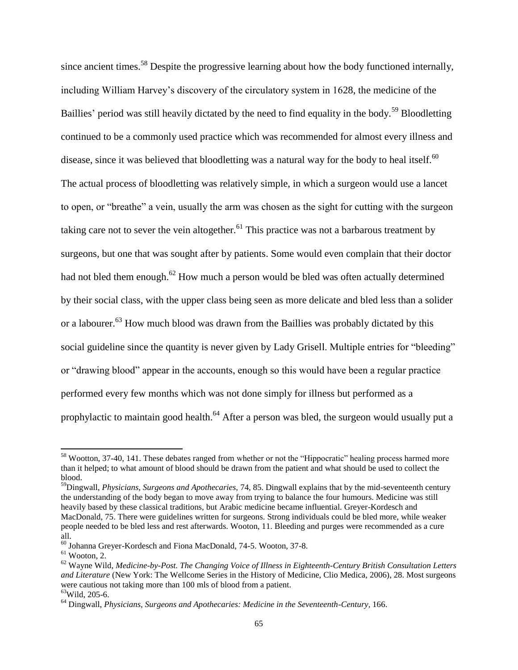since ancient times.<sup>58</sup> Despite the progressive learning about how the body functioned internally. including William Harvey"s discovery of the circulatory system in 1628, the medicine of the Baillies' period was still heavily dictated by the need to find equality in the body.<sup>59</sup> Bloodletting continued to be a commonly used practice which was recommended for almost every illness and disease, since it was believed that bloodletting was a natural way for the body to heal itself.<sup>60</sup> The actual process of bloodletting was relatively simple, in which a surgeon would use a lancet to open, or "breathe" a vein, usually the arm was chosen as the sight for cutting with the surgeon taking care not to sever the vein altogether.<sup>61</sup> This practice was not a barbarous treatment by surgeons, but one that was sought after by patients. Some would even complain that their doctor had not bled them enough.<sup>62</sup> How much a person would be bled was often actually determined by their social class, with the upper class being seen as more delicate and bled less than a solider or a labourer.<sup>63</sup> How much blood was drawn from the Baillies was probably dictated by this social guideline since the quantity is never given by Lady Grisell. Multiple entries for "bleeding" or "drawing blood" appear in the accounts, enough so this would have been a regular practice performed every few months which was not done simply for illness but performed as a prophylactic to maintain good health.<sup>64</sup> After a person was bled, the surgeon would usually put a

<sup>&</sup>lt;sup>58</sup> Wootton, 37-40, 141. These debates ranged from whether or not the "Hippocratic" healing process harmed more than it helped; to what amount of blood should be drawn from the patient and what should be used to collect the blood.

<sup>59</sup>Dingwall, *Physicians, Surgeons and Apothecaries,* 74, 85. Dingwall explains that by the mid-seventeenth century the understanding of the body began to move away from trying to balance the four humours. Medicine was still heavily based by these classical traditions, but Arabic medicine became influential. Greyer-Kordesch and MacDonald, 75. There were guidelines written for surgeons. Strong individuals could be bled more, while weaker people needed to be bled less and rest afterwards. Wooton, 11. Bleeding and purges were recommended as a cure all.

<sup>60</sup> Johanna Greyer-Kordesch and Fiona MacDonald, 74-5. Wooton, 37-8.

 $61$  Wooton, 2.

<sup>62</sup> Wayne Wild, *Medicine-by-Post. The Changing Voice of Illness in Eighteenth-Century British Consultation Letters and Literature* (New York: The Wellcome Series in the History of Medicine, Clio Medica, 2006), 28. Most surgeons were cautious not taking more than 100 mls of blood from a patient.

<sup>63</sup>Wild, 205-6.

<sup>64</sup> Dingwall, *Physicians, Surgeons and Apothecaries: Medicine in the Seventeenth-Century,* 166.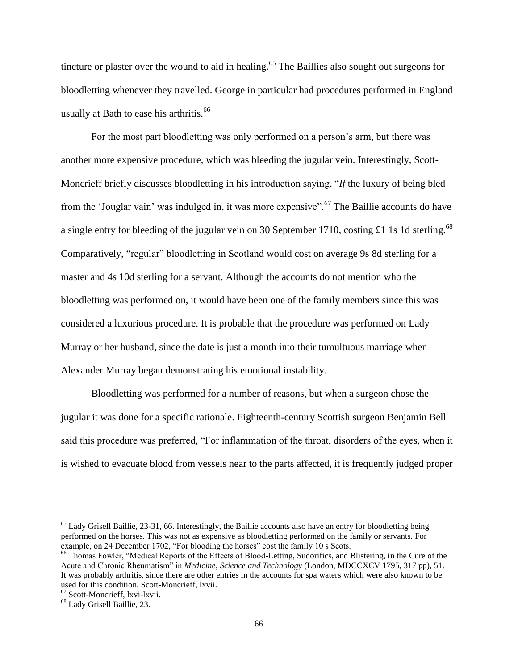tincture or plaster over the wound to aid in healing.<sup>65</sup> The Baillies also sought out surgeons for bloodletting whenever they travelled. George in particular had procedures performed in England usually at Bath to ease his arthritis.<sup>66</sup>

For the most part bloodletting was only performed on a person"s arm, but there was another more expensive procedure, which was bleeding the jugular vein. Interestingly, Scott-Moncrieff briefly discusses bloodletting in his introduction saying, "*If* the luxury of being bled from the 'Jouglar vain' was indulged in, it was more expensive".<sup>67</sup> The Baillie accounts do have a single entry for bleeding of the jugular vein on 30 September 1710, costing £1 1s 1d sterling.<sup>68</sup> Comparatively, "regular" bloodletting in Scotland would cost on average 9s 8d sterling for a master and 4s 10d sterling for a servant. Although the accounts do not mention who the bloodletting was performed on, it would have been one of the family members since this was considered a luxurious procedure. It is probable that the procedure was performed on Lady Murray or her husband, since the date is just a month into their tumultuous marriage when Alexander Murray began demonstrating his emotional instability.

Bloodletting was performed for a number of reasons, but when a surgeon chose the jugular it was done for a specific rationale. Eighteenth-century Scottish surgeon Benjamin Bell said this procedure was preferred, "For inflammation of the throat, disorders of the eyes, when it is wished to evacuate blood from vessels near to the parts affected, it is frequently judged proper

 $65$  Lady Grisell Baillie, 23-31, 66. Interestingly, the Baillie accounts also have an entry for bloodletting being performed on the horses. This was not as expensive as bloodletting performed on the family or servants. For example, on 24 December 1702, "For blooding the horses" cost the family 10 s Scots.

<sup>&</sup>lt;sup>66</sup> Thomas Fowler, "Medical Reports of the Effects of Blood-Letting, Sudorifics, and Blistering, in the Cure of the Acute and Chronic Rheumatism" in *Medicine, Science and Technology* (London, MDCCXCV 1795, 317 pp), 51. It was probably arthritis, since there are other entries in the accounts for spa waters which were also known to be used for this condition. Scott-Moncrieff, lxvii.

<sup>67</sup> Scott-Moncrieff, lxvi-lxvii.

<sup>68</sup> Lady Grisell Baillie, 23.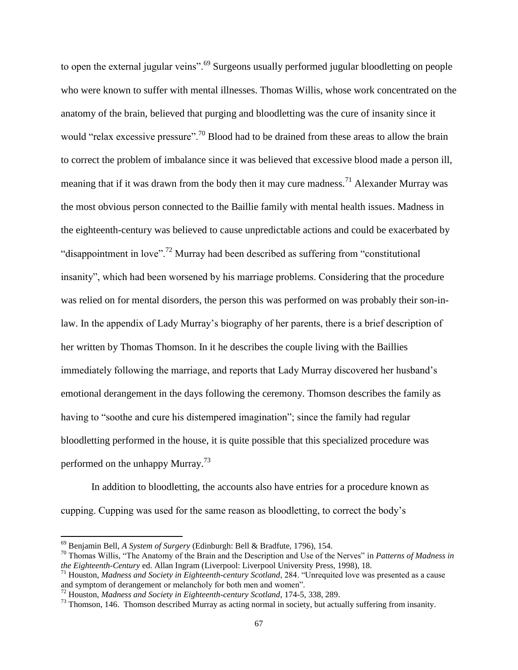to open the external jugular veins".<sup>69</sup> Surgeons usually performed jugular bloodletting on people who were known to suffer with mental illnesses. Thomas Willis, whose work concentrated on the anatomy of the brain, believed that purging and bloodletting was the cure of insanity since it would "relax excessive pressure".<sup>70</sup> Blood had to be drained from these areas to allow the brain to correct the problem of imbalance since it was believed that excessive blood made a person ill, meaning that if it was drawn from the body then it may cure madness.<sup>71</sup> Alexander Murray was the most obvious person connected to the Baillie family with mental health issues. Madness in the eighteenth-century was believed to cause unpredictable actions and could be exacerbated by "disappointment in love".<sup>72</sup> Murray had been described as suffering from "constitutional" insanity", which had been worsened by his marriage problems. Considering that the procedure was relied on for mental disorders, the person this was performed on was probably their son-inlaw. In the appendix of Lady Murray's biography of her parents, there is a brief description of her written by Thomas Thomson. In it he describes the couple living with the Baillies immediately following the marriage, and reports that Lady Murray discovered her husband"s emotional derangement in the days following the ceremony. Thomson describes the family as having to "soothe and cure his distempered imagination"; since the family had regular bloodletting performed in the house, it is quite possible that this specialized procedure was performed on the unhappy Murray.<sup>73</sup>

In addition to bloodletting, the accounts also have entries for a procedure known as cupping. Cupping was used for the same reason as bloodletting, to correct the body"s

<sup>69</sup> Benjamin Bell, *A System of Surgery* (Edinburgh: Bell & Bradfute, 1796), 154.

<sup>70</sup> Thomas Willis, "The Anatomy of the Brain and the Description and Use of the Nerves" in *Patterns of Madness in the Eighteenth-Century* ed. Allan Ingram (Liverpool: Liverpool University Press, 1998), 18.

<sup>71</sup> Houston, *Madness and Society in Eighteenth-century Scotland*, 284. "Unrequited love was presented as a cause and symptom of derangement or melancholy for both men and women".

<sup>72</sup> Houston, *Madness and Society in Eighteenth-century Scotland*, 174-5, 338, 289.

 $^{73}$  Thomson, 146. Thomson described Murray as acting normal in society, but actually suffering from insanity.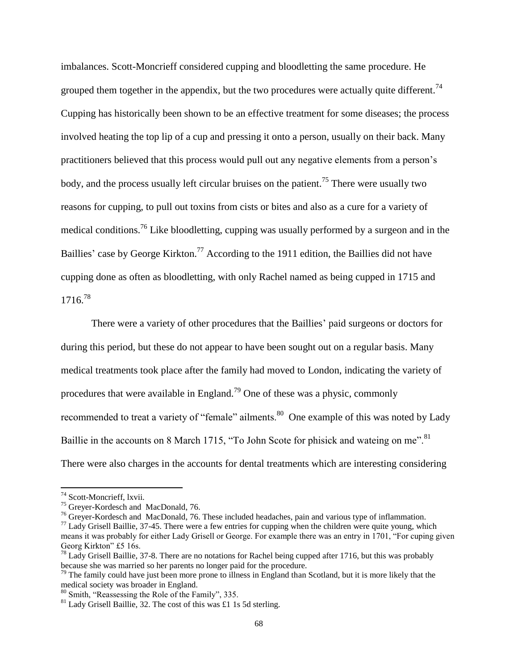imbalances. Scott-Moncrieff considered cupping and bloodletting the same procedure. He grouped them together in the appendix, but the two procedures were actually quite different.<sup>74</sup> Cupping has historically been shown to be an effective treatment for some diseases; the process involved heating the top lip of a cup and pressing it onto a person, usually on their back. Many practitioners believed that this process would pull out any negative elements from a person"s body, and the process usually left circular bruises on the patient.<sup>75</sup> There were usually two reasons for cupping, to pull out toxins from cists or bites and also as a cure for a variety of medical conditions.<sup>76</sup> Like bloodletting, cupping was usually performed by a surgeon and in the Baillies' case by George Kirkton.<sup>77</sup> According to the 1911 edition, the Baillies did not have cupping done as often as bloodletting, with only Rachel named as being cupped in 1715 and 1716.<sup>78</sup>

There were a variety of other procedures that the Baillies' paid surgeons or doctors for during this period, but these do not appear to have been sought out on a regular basis. Many medical treatments took place after the family had moved to London, indicating the variety of procedures that were available in England.<sup>79</sup> One of these was a physic, commonly recommended to treat a variety of "female" ailments.<sup>80</sup> One example of this was noted by Lady Baillie in the accounts on 8 March 1715, "To John Scote for phisick and wateing on me".<sup>81</sup> There were also charges in the accounts for dental treatments which are interesting considering

 $\overline{a}$ 

<sup>&</sup>lt;sup>74</sup> Scott-Moncrieff, lxvii.

<sup>&</sup>lt;sup>75</sup> Greyer-Kordesch and MacDonald, 76.

<sup>&</sup>lt;sup>76</sup> Grever-Kordesch and MacDonald, 76. These included headaches, pain and various type of inflammation.

 $77$  Lady Grisell Baillie, 37-45. There were a few entries for cupping when the children were quite young, which means it was probably for either Lady Grisell or George. For example there was an entry in 1701, "For cuping given Georg Kirkton" £5 16s.

 $^{78}$  Lady Grisell Baillie, 37-8. There are no notations for Rachel being cupped after 1716, but this was probably because she was married so her parents no longer paid for the procedure.

 $79$  The family could have just been more prone to illness in England than Scotland, but it is more likely that the medical society was broader in England.

 $80$  Smith, "Reassessing the Role of the Family", 335.

 $81$  Lady Grisell Baillie, 32. The cost of this was £1 1s 5d sterling.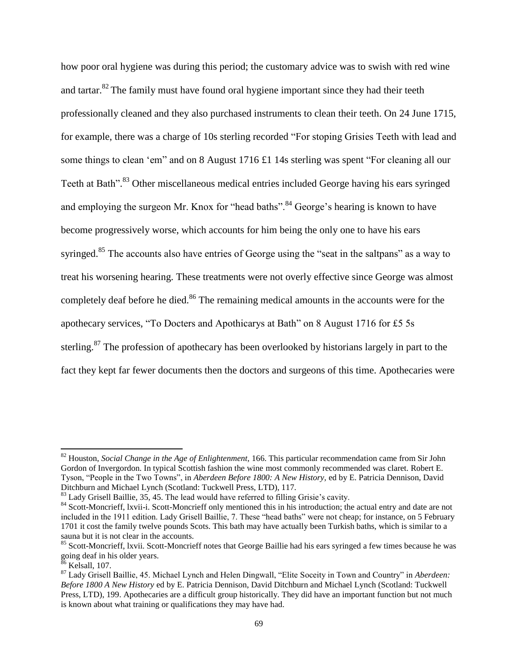how poor oral hygiene was during this period; the customary advice was to swish with red wine and tartar.<sup>82</sup> The family must have found oral hygiene important since they had their teeth professionally cleaned and they also purchased instruments to clean their teeth. On 24 June 1715, for example, there was a charge of 10s sterling recorded "For stoping Grisies Teeth with lead and some things to clean 'em'' and on 8 August 1716 £1 14s sterling was spent "For cleaning all our Teeth at Bath".<sup>83</sup> Other miscellaneous medical entries included George having his ears syringed and employing the surgeon Mr. Knox for "head baths".<sup>84</sup> George's hearing is known to have become progressively worse, which accounts for him being the only one to have his ears syringed.<sup>85</sup> The accounts also have entries of George using the "seat in the saltpans" as a way to treat his worsening hearing. These treatments were not overly effective since George was almost completely deaf before he died.<sup>86</sup> The remaining medical amounts in the accounts were for the apothecary services, "To Docters and Apothicarys at Bath" on 8 August 1716 for £5 5s sterling.<sup>87</sup> The profession of apothecary has been overlooked by historians largely in part to the fact they kept far fewer documents then the doctors and surgeons of this time. Apothecaries were

<sup>82</sup> Houston, *Social Change in the Age of Enlightenment,* 166. This particular recommendation came from Sir John Gordon of Invergordon. In typical Scottish fashion the wine most commonly recommended was claret. Robert E. Tyson, "People in the Two Towns", in *Aberdeen Before 1800: A New History,* ed by E. Patricia Dennison, David Ditchburn and Michael Lynch (Scotland: Tuckwell Press, LTD), 117.

<sup>&</sup>lt;sup>83</sup> Lady Grisell Baillie, 35, 45. The lead would have referred to filling Grisie's cavity.

<sup>&</sup>lt;sup>84</sup> Scott-Moncrieff, lxvii-i. Scott-Moncrieff only mentioned this in his introduction; the actual entry and date are not included in the 1911 edition. Lady Grisell Baillie, 7. These "head baths" were not cheap; for instance, on 5 February 1701 it cost the family twelve pounds Scots. This bath may have actually been Turkish baths, which is similar to a sauna but it is not clear in the accounts.

<sup>&</sup>lt;sup>85</sup> Scott-Moncrieff, lxvii. Scott-Moncrieff notes that George Baillie had his ears syringed a few times because he was going deaf in his older years.

 $86$  Kelsall, 107.

<sup>87</sup> Lady Grisell Baillie, 45. Michael Lynch and Helen Dingwall, "Elite Soceity in Town and Country" in *Aberdeen: Before 1800 A New History* ed by E. Patricia Dennison, David Ditchburn and Michael Lynch (Scotland: Tuckwell Press, LTD), 199. Apothecaries are a difficult group historically. They did have an important function but not much is known about what training or qualifications they may have had.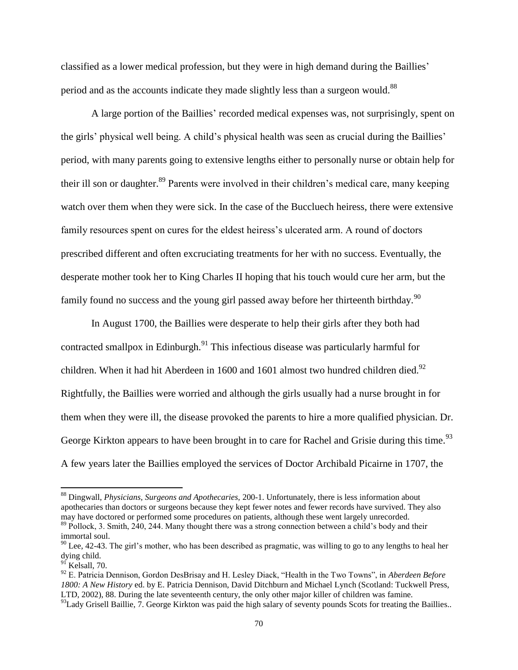classified as a lower medical profession, but they were in high demand during the Baillies" period and as the accounts indicate they made slightly less than a surgeon would.<sup>88</sup>

A large portion of the Baillies" recorded medical expenses was, not surprisingly, spent on the girls' physical well being. A child's physical health was seen as crucial during the Baillies' period, with many parents going to extensive lengths either to personally nurse or obtain help for their ill son or daughter.<sup>89</sup> Parents were involved in their children's medical care, many keeping watch over them when they were sick. In the case of the Buccluech heiress, there were extensive family resources spent on cures for the eldest heiress"s ulcerated arm. A round of doctors prescribed different and often excruciating treatments for her with no success. Eventually, the desperate mother took her to King Charles II hoping that his touch would cure her arm, but the family found no success and the young girl passed away before her thirteenth birthday.<sup>90</sup>

In August 1700, the Baillies were desperate to help their girls after they both had contracted smallpox in Edinburgh.<sup>91</sup> This infectious disease was particularly harmful for children. When it had hit Aberdeen in 1600 and 1601 almost two hundred children died.<sup>92</sup> Rightfully, the Baillies were worried and although the girls usually had a nurse brought in for them when they were ill, the disease provoked the parents to hire a more qualified physician. Dr. George Kirkton appears to have been brought in to care for Rachel and Grisie during this time.<sup>93</sup> A few years later the Baillies employed the services of Doctor Archibald Picairne in 1707, the

 $\overline{a}$ 

<sup>88</sup> Dingwall, *Physicians, Surgeons and Apothecaries,* 200-1. Unfortunately, there is less information about apothecaries than doctors or surgeons because they kept fewer notes and fewer records have survived. They also may have doctored or performed some procedures on patients, although these went largely unrecorded.

<sup>&</sup>lt;sup>89</sup> Pollock, 3. Smith, 240, 244. Many thought there was a strong connection between a child's body and their immortal soul.

 $90$  Lee, 42-43. The girl's mother, who has been described as pragmatic, was willing to go to any lengths to heal her dying child.

<sup>&</sup>lt;sup>91</sup> Kelsall, 70.

<sup>92</sup> E. Patricia Dennison, Gordon DesBrisay and H. Lesley Diack, "Health in the Two Towns", in *Aberdeen Before 1800: A New History* ed. by E. Patricia Dennison, David Ditchburn and Michael Lynch (Scotland: Tuckwell Press, LTD, 2002), 88. During the late seventeenth century, the only other major killer of children was famine.

 $93$ Lady Grisell Baillie, 7. George Kirkton was paid the high salary of seventy pounds Scots for treating the Baillies..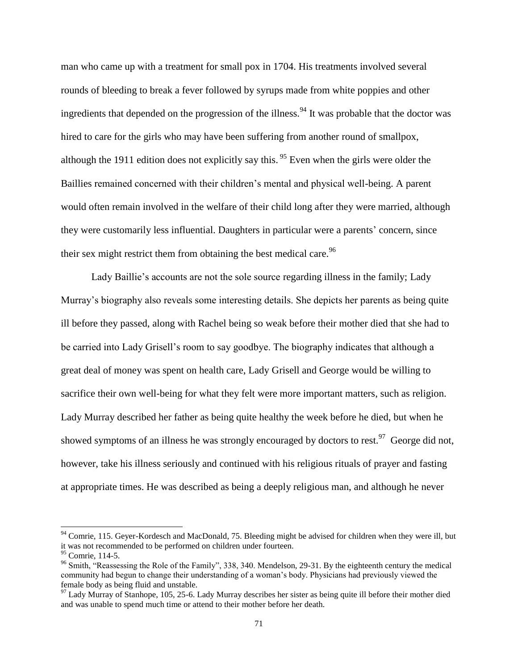man who came up with a treatment for small pox in 1704. His treatments involved several rounds of bleeding to break a fever followed by syrups made from white poppies and other ingredients that depended on the progression of the illness.<sup>94</sup> It was probable that the doctor was hired to care for the girls who may have been suffering from another round of smallpox, although the 1911 edition does not explicitly say this. <sup>95</sup> Even when the girls were older the Baillies remained concerned with their children"s mental and physical well-being. A parent would often remain involved in the welfare of their child long after they were married, although they were customarily less influential. Daughters in particular were a parents" concern, since their sex might restrict them from obtaining the best medical care.<sup>96</sup>

Lady Baillie's accounts are not the sole source regarding illness in the family; Lady Murray"s biography also reveals some interesting details. She depicts her parents as being quite ill before they passed, along with Rachel being so weak before their mother died that she had to be carried into Lady Grisell"s room to say goodbye. The biography indicates that although a great deal of money was spent on health care, Lady Grisell and George would be willing to sacrifice their own well-being for what they felt were more important matters, such as religion. Lady Murray described her father as being quite healthy the week before he died, but when he showed symptoms of an illness he was strongly encouraged by doctors to rest.<sup>97</sup> George did not, however, take his illness seriously and continued with his religious rituals of prayer and fasting at appropriate times. He was described as being a deeply religious man, and although he never

 $\overline{a}$ 

 $94$  Comrie, 115. Geyer-Kordesch and MacDonald, 75. Bleeding might be advised for children when they were ill, but it was not recommended to be performed on children under fourteen.

 $95$  Comrie, 114-5.

<sup>&</sup>lt;sup>96</sup> Smith, "Reassessing the Role of the Family", 338, 340. Mendelson, 29-31. By the eighteenth century the medical community had begun to change their understanding of a woman"s body. Physicians had previously viewed the female body as being fluid and unstable.

 $97$  Lady Murray of Stanhope, 105, 25-6. Lady Murray describes her sister as being quite ill before their mother died and was unable to spend much time or attend to their mother before her death.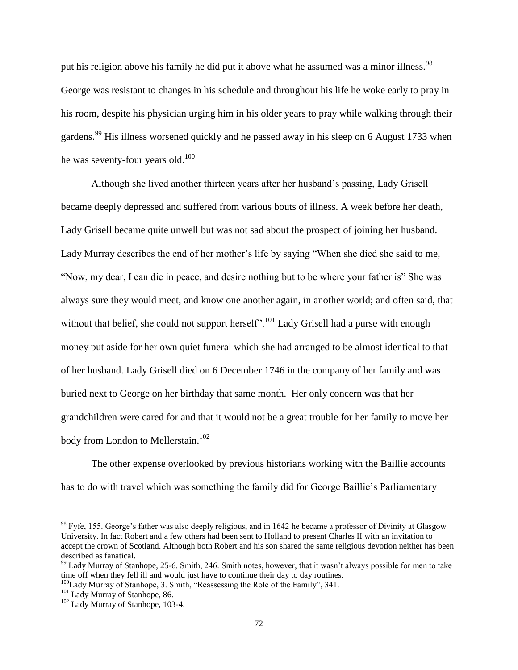put his religion above his family he did put it above what he assumed was a minor illness.<sup>98</sup> George was resistant to changes in his schedule and throughout his life he woke early to pray in his room, despite his physician urging him in his older years to pray while walking through their gardens.<sup>99</sup> His illness worsened quickly and he passed away in his sleep on 6 August 1733 when he was seventy-four years old.<sup>100</sup>

Although she lived another thirteen years after her husband"s passing, Lady Grisell became deeply depressed and suffered from various bouts of illness. A week before her death, Lady Grisell became quite unwell but was not sad about the prospect of joining her husband. Lady Murray describes the end of her mother"s life by saying "When she died she said to me, "Now, my dear, I can die in peace, and desire nothing but to be where your father is" She was always sure they would meet, and know one another again, in another world; and often said, that without that belief, she could not support herself".<sup>101</sup> Lady Grisell had a purse with enough money put aside for her own quiet funeral which she had arranged to be almost identical to that of her husband. Lady Grisell died on 6 December 1746 in the company of her family and was buried next to George on her birthday that same month. Her only concern was that her grandchildren were cared for and that it would not be a great trouble for her family to move her body from London to Mellerstain.<sup>102</sup>

The other expense overlooked by previous historians working with the Baillie accounts has to do with travel which was something the family did for George Baillie"s Parliamentary

 $98$  Fyfe, 155. George's father was also deeply religious, and in 1642 he became a professor of Divinity at Glasgow University. In fact Robert and a few others had been sent to Holland to present Charles II with an invitation to accept the crown of Scotland. Although both Robert and his son shared the same religious devotion neither has been described as fanatical.

<sup>&</sup>lt;sup>99</sup> Lady Murray of Stanhope, 25-6. Smith, 246. Smith notes, however, that it wasn't always possible for men to take time off when they fell ill and would just have to continue their day to day routines.

<sup>&</sup>lt;sup>100</sup>Lady Murray of Stanhope, 3. Smith, "Reassessing the Role of the Family", 341.

<sup>&</sup>lt;sup>101</sup> Lady Murray of Stanhope, 86.

<sup>&</sup>lt;sup>102</sup> Lady Murray of Stanhope, 103-4.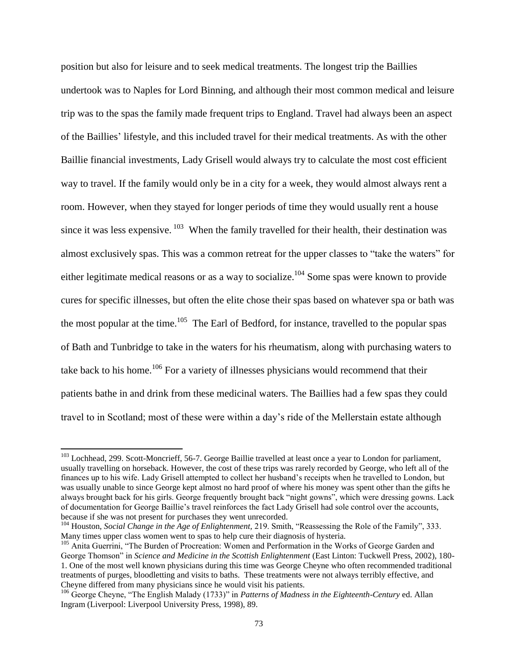position but also for leisure and to seek medical treatments. The longest trip the Baillies undertook was to Naples for Lord Binning, and although their most common medical and leisure trip was to the spas the family made frequent trips to England. Travel had always been an aspect of the Baillies" lifestyle, and this included travel for their medical treatments. As with the other Baillie financial investments, Lady Grisell would always try to calculate the most cost efficient way to travel. If the family would only be in a city for a week, they would almost always rent a room. However, when they stayed for longer periods of time they would usually rent a house since it was less expensive.  $103$  When the family travelled for their health, their destination was almost exclusively spas. This was a common retreat for the upper classes to "take the waters" for either legitimate medical reasons or as a way to socialize.<sup>104</sup> Some spas were known to provide cures for specific illnesses, but often the elite chose their spas based on whatever spa or bath was the most popular at the time.<sup>105</sup> The Earl of Bedford, for instance, travelled to the popular spas of Bath and Tunbridge to take in the waters for his rheumatism, along with purchasing waters to take back to his home.<sup>106</sup> For a variety of illnesses physicians would recommend that their patients bathe in and drink from these medicinal waters. The Baillies had a few spas they could travel to in Scotland; most of these were within a day"s ride of the Mellerstain estate although

<sup>&</sup>lt;sup>103</sup> Lochhead, 299. Scott-Moncrieff, 56-7. George Baillie travelled at least once a year to London for parliament, usually travelling on horseback. However, the cost of these trips was rarely recorded by George, who left all of the finances up to his wife. Lady Grisell attempted to collect her husband"s receipts when he travelled to London, but was usually unable to since George kept almost no hard proof of where his money was spent other than the gifts he always brought back for his girls. George frequently brought back "night gowns", which were dressing gowns. Lack of documentation for George Baillie"s travel reinforces the fact Lady Grisell had sole control over the accounts, because if she was not present for purchases they went unrecorded.

<sup>&</sup>lt;sup>104</sup> Houston, *Social Change in the Age of Enlightenment*, 219. Smith, "Reassessing the Role of the Family", 333. Many times upper class women went to spas to help cure their diagnosis of hysteria.

<sup>&</sup>lt;sup>105</sup> Anita Guerrini, "The Burden of Procreation: Women and Performation in the Works of George Garden and George Thomson" in *Science and Medicine in the Scottish Enlightenment* (East Linton: Tuckwell Press, 2002), 180- 1. One of the most well known physicians during this time was George Cheyne who often recommended traditional treatments of purges, bloodletting and visits to baths. These treatments were not always terribly effective, and Cheyne differed from many physicians since he would visit his patients.

<sup>106</sup> George Cheyne, "The English Malady (1733)" in *Patterns of Madness in the Eighteenth-Century* ed. Allan Ingram (Liverpool: Liverpool University Press, 1998), 89.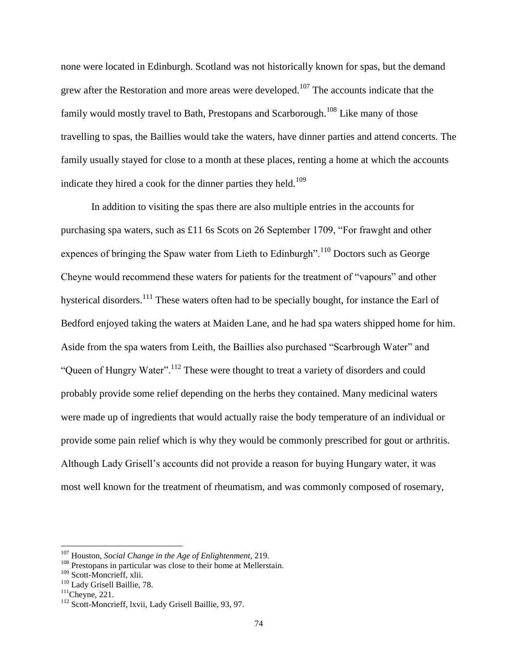none were located in Edinburgh. Scotland was not historically known for spas, but the demand grew after the Restoration and more areas were developed.<sup>107</sup> The accounts indicate that the family would mostly travel to Bath, Prestopans and Scarborough.<sup>108</sup> Like many of those travelling to spas, the Baillies would take the waters, have dinner parties and attend concerts. The family usually stayed for close to a month at these places, renting a home at which the accounts indicate they hired a cook for the dinner parties they held.<sup>109</sup>

In addition to visiting the spas there are also multiple entries in the accounts for purchasing spa waters, such as £11 6s Scots on 26 September 1709, "For frawght and other expences of bringing the Spaw water from Lieth to Edinburgh".<sup>110</sup> Doctors such as George Cheyne would recommend these waters for patients for the treatment of "vapours" and other hysterical disorders.<sup>111</sup> These waters often had to be specially bought, for instance the Earl of Bedford enjoyed taking the waters at Maiden Lane, and he had spa waters shipped home for him. Aside from the spa waters from Leith, the Baillies also purchased "Scarbrough Water" and "Queen of Hungry Water".<sup>112</sup> These were thought to treat a variety of disorders and could probably provide some relief depending on the herbs they contained. Many medicinal waters were made up of ingredients that would actually raise the body temperature of an individual or provide some pain relief which is why they would be commonly prescribed for gout or arthritis. Although Lady Grisell"s accounts did not provide a reason for buying Hungary water, it was most well known for the treatment of rheumatism, and was commonly composed of rosemary,

l

<sup>107</sup> Houston, *Social Change in the Age of Enlightenment,* 219.

<sup>&</sup>lt;sup>108</sup> Prestopans in particular was close to their home at Mellerstain.

<sup>109</sup> Scott-Moncrieff, xlii.

<sup>110</sup> Lady Grisell Baillie, 78.

 $111$ Cheyne, 221.

<sup>&</sup>lt;sup>112</sup> Scott-Moncrieff, lxvii, Lady Grisell Baillie, 93, 97.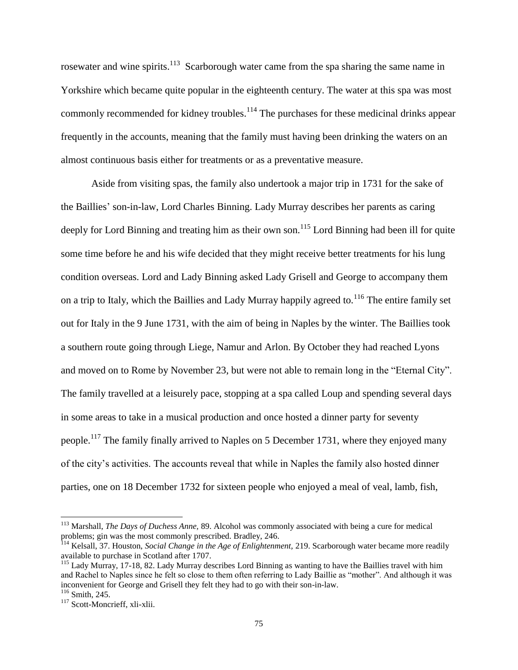rosewater and wine spirits.<sup>113</sup> Scarborough water came from the spa sharing the same name in Yorkshire which became quite popular in the eighteenth century. The water at this spa was most commonly recommended for kidney troubles.<sup>114</sup> The purchases for these medicinal drinks appear frequently in the accounts, meaning that the family must having been drinking the waters on an almost continuous basis either for treatments or as a preventative measure.

Aside from visiting spas, the family also undertook a major trip in 1731 for the sake of the Baillies" son-in-law, Lord Charles Binning. Lady Murray describes her parents as caring deeply for Lord Binning and treating him as their own son.<sup>115</sup> Lord Binning had been ill for quite some time before he and his wife decided that they might receive better treatments for his lung condition overseas. Lord and Lady Binning asked Lady Grisell and George to accompany them on a trip to Italy, which the Baillies and Lady Murray happily agreed to.<sup>116</sup> The entire family set out for Italy in the 9 June 1731, with the aim of being in Naples by the winter. The Baillies took a southern route going through Liege, Namur and Arlon. By October they had reached Lyons and moved on to Rome by November 23, but were not able to remain long in the "Eternal City". The family travelled at a leisurely pace, stopping at a spa called Loup and spending several days in some areas to take in a musical production and once hosted a dinner party for seventy people.<sup>117</sup> The family finally arrived to Naples on 5 December 1731, where they enjoyed many of the city"s activities. The accounts reveal that while in Naples the family also hosted dinner parties, one on 18 December 1732 for sixteen people who enjoyed a meal of veal, lamb, fish,

<sup>113</sup> Marshall, *The Days of Duchess Anne,* 89. Alcohol was commonly associated with being a cure for medical problems; gin was the most commonly prescribed. Bradley, 246.

<sup>114</sup> Kelsall, 37. Houston, *Social Change in the Age of Enlightenment,* 219. Scarborough water became more readily available to purchase in Scotland after 1707.

<sup>&</sup>lt;sup>115</sup> Lady Murray, 17-18, 82. Lady Murray describes Lord Binning as wanting to have the Baillies travel with him and Rachel to Naples since he felt so close to them often referring to Lady Baillie as "mother". And although it was inconvenient for George and Grisell they felt they had to go with their son-in-law.

<sup>116</sup> Smith, 245.

<sup>&</sup>lt;sup>117</sup> Scott-Moncrieff, xli-xlii.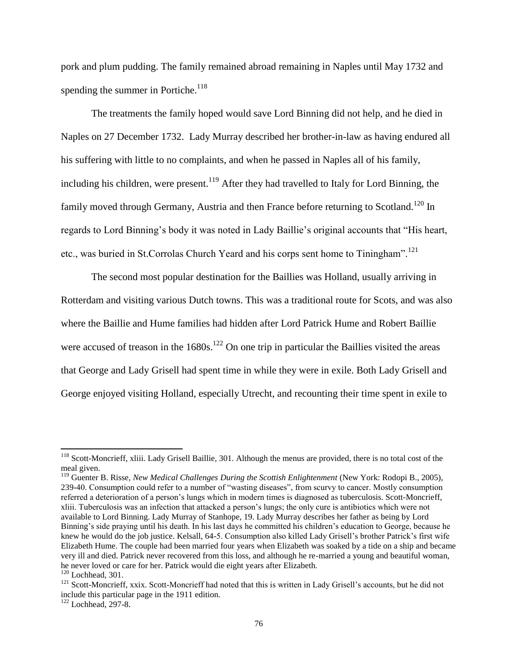pork and plum pudding. The family remained abroad remaining in Naples until May 1732 and spending the summer in Portiche.<sup>118</sup>

The treatments the family hoped would save Lord Binning did not help, and he died in Naples on 27 December 1732. Lady Murray described her brother-in-law as having endured all his suffering with little to no complaints, and when he passed in Naples all of his family, including his children, were present.<sup>119</sup> After they had travelled to Italy for Lord Binning, the family moved through Germany, Austria and then France before returning to Scotland.<sup>120</sup> In regards to Lord Binning"s body it was noted in Lady Baillie"s original accounts that "His heart, etc., was buried in St.Corrolas Church Yeard and his corps sent home to Tiningham".<sup>121</sup>

The second most popular destination for the Baillies was Holland, usually arriving in Rotterdam and visiting various Dutch towns. This was a traditional route for Scots, and was also where the Baillie and Hume families had hidden after Lord Patrick Hume and Robert Baillie were accused of treason in the  $1680s$ .<sup>122</sup> On one trip in particular the Baillies visited the areas that George and Lady Grisell had spent time in while they were in exile. Both Lady Grisell and George enjoyed visiting Holland, especially Utrecht, and recounting their time spent in exile to

 $118$  Scott-Moncrieff, xliii. Lady Grisell Baillie, 301. Although the menus are provided, there is no total cost of the meal given.

<sup>&</sup>lt;sup>119</sup> Guenter B. Risse, *New Medical Challenges During the Scottish Enlightenment* (New York: Rodopi B., 2005), 239-40. Consumption could refer to a number of "wasting diseases", from scurvy to cancer. Mostly consumption referred a deterioration of a person"s lungs which in modern times is diagnosed as tuberculosis. Scott-Moncrieff, xliii. Tuberculosis was an infection that attacked a person"s lungs; the only cure is antibiotics which were not available to Lord Binning. Lady Murray of Stanhope, 19. Lady Murray describes her father as being by Lord Binning's side praying until his death. In his last days he committed his children's education to George, because he knew he would do the job justice. Kelsall, 64-5. Consumption also killed Lady Grisell"s brother Patrick"s first wife Elizabeth Hume. The couple had been married four years when Elizabeth was soaked by a tide on a ship and became very ill and died. Patrick never recovered from this loss, and although he re-married a young and beautiful woman, he never loved or care for her. Patrick would die eight years after Elizabeth.

 $120$  Lochhead, 301.

<sup>&</sup>lt;sup>121</sup> Scott-Moncrieff, xxix. Scott-Moncrieff had noted that this is written in Lady Grisell's accounts, but he did not include this particular page in the 1911 edition.

 $122$  Lochhead, 297-8.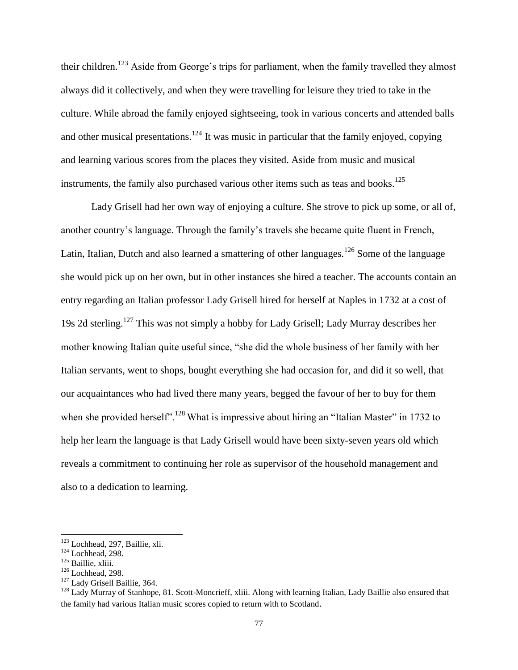their children.<sup>123</sup> Aside from George's trips for parliament, when the family travelled they almost always did it collectively, and when they were travelling for leisure they tried to take in the culture. While abroad the family enjoyed sightseeing, took in various concerts and attended balls and other musical presentations.<sup>124</sup> It was music in particular that the family enjoyed, copying and learning various scores from the places they visited. Aside from music and musical instruments, the family also purchased various other items such as teas and books.<sup>125</sup>

Lady Grisell had her own way of enjoying a culture. She strove to pick up some, or all of, another country"s language. Through the family"s travels she became quite fluent in French, Latin, Italian, Dutch and also learned a smattering of other languages.<sup>126</sup> Some of the language she would pick up on her own, but in other instances she hired a teacher. The accounts contain an entry regarding an Italian professor Lady Grisell hired for herself at Naples in 1732 at a cost of 19s 2d sterling.<sup>127</sup> This was not simply a hobby for Lady Grisell; Lady Murray describes her mother knowing Italian quite useful since, "she did the whole business of her family with her Italian servants, went to shops, bought everything she had occasion for, and did it so well, that our acquaintances who had lived there many years, begged the favour of her to buy for them when she provided herself".<sup>128</sup> What is impressive about hiring an "Italian Master" in 1732 to help her learn the language is that Lady Grisell would have been sixty-seven years old which reveals a commitment to continuing her role as supervisor of the household management and also to a dedication to learning.

<sup>123</sup> Lochhead, 297, Baillie, xli.

 $124$  Lochhead, 298.

<sup>125</sup> Baillie, xliii.

 $126$  Lochhead, 298.

<sup>&</sup>lt;sup>127</sup> Lady Grisell Baillie, 364.

 $128$  Lady Murray of Stanhope, 81. Scott-Moncrieff, xliii. Along with learning Italian, Lady Baillie also ensured that the family had various Italian music scores copied to return with to Scotland.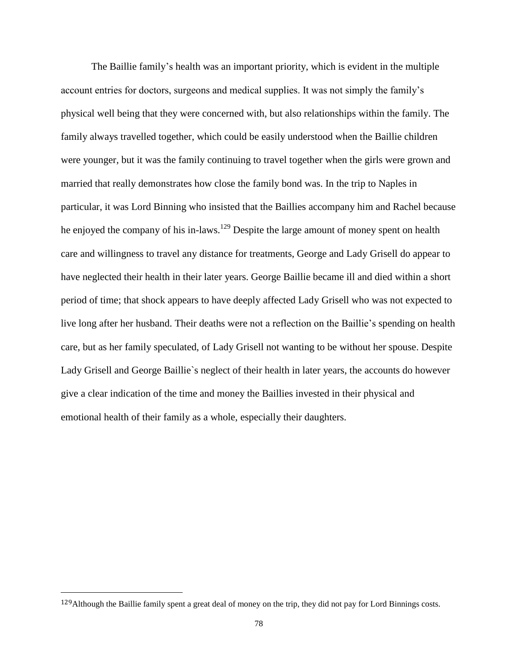The Baillie family"s health was an important priority, which is evident in the multiple account entries for doctors, surgeons and medical supplies. It was not simply the family"s physical well being that they were concerned with, but also relationships within the family. The family always travelled together, which could be easily understood when the Baillie children were younger, but it was the family continuing to travel together when the girls were grown and married that really demonstrates how close the family bond was. In the trip to Naples in particular, it was Lord Binning who insisted that the Baillies accompany him and Rachel because he enjoyed the company of his in-laws.<sup>129</sup> Despite the large amount of money spent on health care and willingness to travel any distance for treatments, George and Lady Grisell do appear to have neglected their health in their later years. George Baillie became ill and died within a short period of time; that shock appears to have deeply affected Lady Grisell who was not expected to live long after her husband. Their deaths were not a reflection on the Baillie"s spending on health care, but as her family speculated, of Lady Grisell not wanting to be without her spouse. Despite Lady Grisell and George Baillie`s neglect of their health in later years, the accounts do however give a clear indication of the time and money the Baillies invested in their physical and emotional health of their family as a whole, especially their daughters.

<sup>&</sup>lt;sup>129</sup>Although the Baillie family spent a great deal of money on the trip, they did not pay for Lord Binnings costs.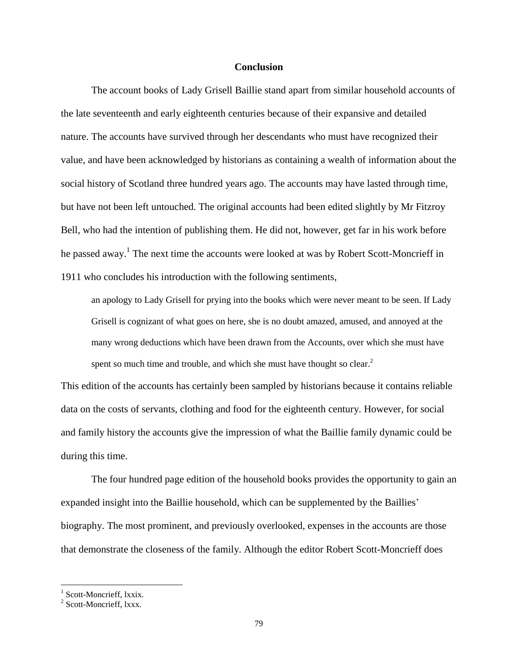## **Conclusion**

The account books of Lady Grisell Baillie stand apart from similar household accounts of the late seventeenth and early eighteenth centuries because of their expansive and detailed nature. The accounts have survived through her descendants who must have recognized their value, and have been acknowledged by historians as containing a wealth of information about the social history of Scotland three hundred years ago. The accounts may have lasted through time, but have not been left untouched. The original accounts had been edited slightly by Mr Fitzroy Bell, who had the intention of publishing them. He did not, however, get far in his work before he passed away.<sup>1</sup> The next time the accounts were looked at was by Robert Scott-Moncrieff in 1911 who concludes his introduction with the following sentiments,

an apology to Lady Grisell for prying into the books which were never meant to be seen. If Lady Grisell is cognizant of what goes on here, she is no doubt amazed, amused, and annoyed at the many wrong deductions which have been drawn from the Accounts, over which she must have spent so much time and trouble, and which she must have thought so clear.<sup>2</sup>

This edition of the accounts has certainly been sampled by historians because it contains reliable data on the costs of servants, clothing and food for the eighteenth century. However, for social and family history the accounts give the impression of what the Baillie family dynamic could be during this time.

The four hundred page edition of the household books provides the opportunity to gain an expanded insight into the Baillie household, which can be supplemented by the Baillies" biography. The most prominent, and previously overlooked, expenses in the accounts are those that demonstrate the closeness of the family. Although the editor Robert Scott-Moncrieff does

<sup>&</sup>lt;sup>1</sup> Scott-Moncrieff, lxxix.

<sup>&</sup>lt;sup>2</sup> Scott-Moncrieff, lxxx.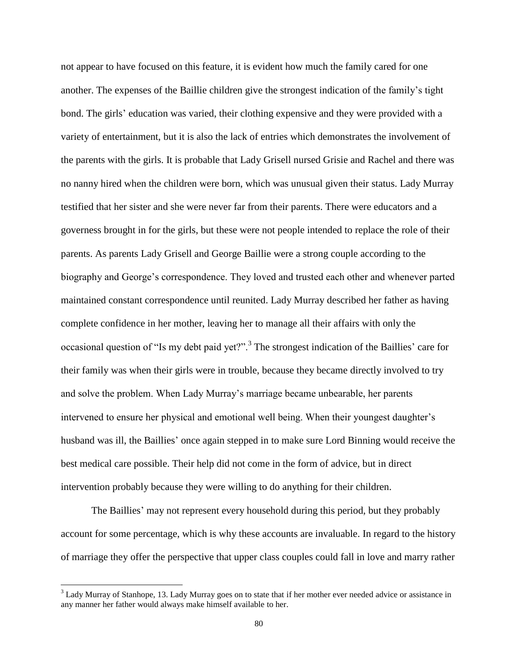not appear to have focused on this feature, it is evident how much the family cared for one another. The expenses of the Baillie children give the strongest indication of the family"s tight bond. The girls" education was varied, their clothing expensive and they were provided with a variety of entertainment, but it is also the lack of entries which demonstrates the involvement of the parents with the girls. It is probable that Lady Grisell nursed Grisie and Rachel and there was no nanny hired when the children were born, which was unusual given their status. Lady Murray testified that her sister and she were never far from their parents. There were educators and a governess brought in for the girls, but these were not people intended to replace the role of their parents. As parents Lady Grisell and George Baillie were a strong couple according to the biography and George"s correspondence. They loved and trusted each other and whenever parted maintained constant correspondence until reunited. Lady Murray described her father as having complete confidence in her mother, leaving her to manage all their affairs with only the occasional question of "Is my debt paid yet?".<sup>3</sup> The strongest indication of the Baillies' care for their family was when their girls were in trouble, because they became directly involved to try and solve the problem. When Lady Murray's marriage became unbearable, her parents intervened to ensure her physical and emotional well being. When their youngest daughter's husband was ill, the Baillies" once again stepped in to make sure Lord Binning would receive the best medical care possible. Their help did not come in the form of advice, but in direct intervention probably because they were willing to do anything for their children.

The Baillies' may not represent every household during this period, but they probably account for some percentage, which is why these accounts are invaluable. In regard to the history of marriage they offer the perspective that upper class couples could fall in love and marry rather

<sup>&</sup>lt;sup>3</sup> Lady Murray of Stanhope, 13. Lady Murray goes on to state that if her mother ever needed advice or assistance in any manner her father would always make himself available to her.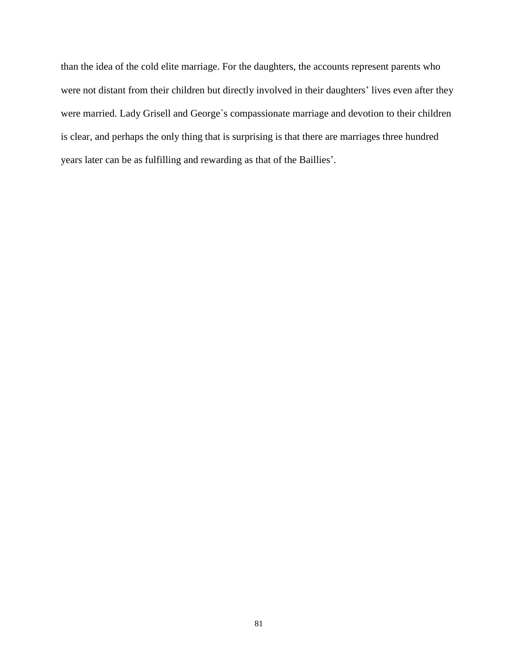than the idea of the cold elite marriage. For the daughters, the accounts represent parents who were not distant from their children but directly involved in their daughters' lives even after they were married. Lady Grisell and George`s compassionate marriage and devotion to their children is clear, and perhaps the only thing that is surprising is that there are marriages three hundred years later can be as fulfilling and rewarding as that of the Baillies".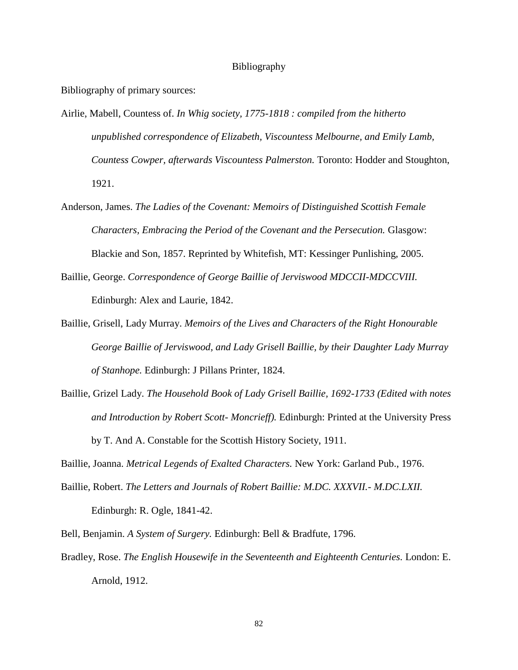## Bibliography

Bibliography of primary sources:

- Airlie, Mabell, Countess of. *In Whig society, 1775-1818 : compiled from the hitherto unpublished correspondence of Elizabeth, Viscountess Melbourne, and Emily Lamb, Countess Cowper, afterwards Viscountess Palmerston.* Toronto: Hodder and Stoughton, 1921.
- Anderson, James. *The Ladies of the Covenant: Memoirs of Distinguished Scottish Female Characters, Embracing the Period of the Covenant and the Persecution.* Glasgow: Blackie and Son, 1857. Reprinted by Whitefish, MT: Kessinger Punlishing, 2005.
- Baillie, George. *Correspondence of George Baillie of Jerviswood MDCCII-MDCCVIII.* Edinburgh: Alex and Laurie, 1842.
- Baillie, Grisell, Lady Murray. *Memoirs of the Lives and Characters of the Right Honourable George Baillie of Jerviswood, and Lady Grisell Baillie, by their Daughter Lady Murray of Stanhope.* Edinburgh: J Pillans Printer, 1824.
- Baillie, Grizel Lady. *The Household Book of Lady Grisell Baillie, 1692-1733 (Edited with notes and Introduction by Robert Scott- Moncrieff).* Edinburgh: Printed at the University Press by T. And A. Constable for the Scottish History Society, 1911.

Baillie, Joanna. *Metrical Legends of Exalted Characters.* New York: Garland Pub., 1976.

- Baillie, Robert. *The Letters and Journals of Robert Baillie: M.DC. XXXVII.- M.DC.LXII.*  Edinburgh: R. Ogle, 1841-42.
- Bell, Benjamin. *A System of Surgery.* Edinburgh: Bell & Bradfute, 1796.
- Bradley, Rose. *The English Housewife in the Seventeenth and Eighteenth Centuries.* London: E. Arnold, 1912.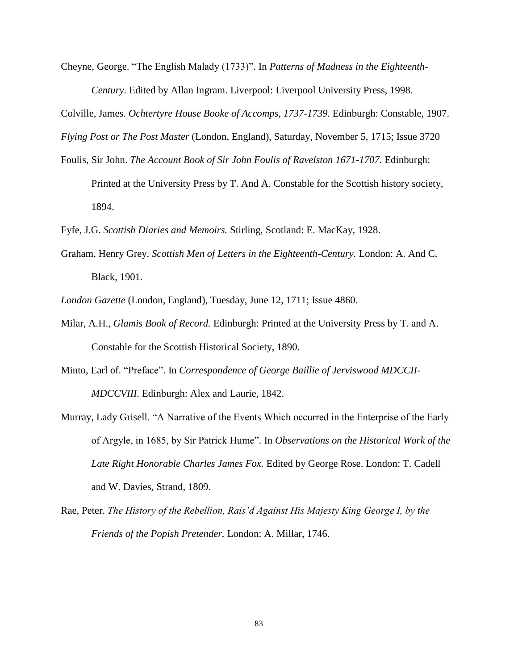Cheyne, George. "The English Malady (1733)". In *Patterns of Madness in the Eighteenth-Century.* Edited by Allan Ingram. Liverpool: Liverpool University Press, 1998.

Colville, James. *Ochtertyre House Booke of Accomps, 1737-1739.* Edinburgh: Constable, 1907.

*Flying Post or The Post Master* (London, England), Saturday, November 5, 1715; Issue 3720

Foulis, Sir John. *The Account Book of Sir John Foulis of Ravelston 1671-1707.* Edinburgh:

Printed at the University Press by T. And A. Constable for the Scottish history society, 1894.

Fyfe, J.G. *Scottish Diaries and Memoirs.* Stirling, Scotland: E. MacKay, 1928.

Graham, Henry Grey. *Scottish Men of Letters in the Eighteenth-Century.* London: A. And C. Black, 1901.

*London Gazette* (London, England), Tuesday, June 12, 1711; Issue 4860.

- Milar, A.H., *Glamis Book of Record.* Edinburgh: Printed at the University Press by T. and A. Constable for the Scottish Historical Society, 1890.
- Minto, Earl of. "Preface". In *Correspondence of George Baillie of Jerviswood MDCCII-MDCCVIII.* Edinburgh: Alex and Laurie, 1842.
- Murray, Lady Grisell. "A Narrative of the Events Which occurred in the Enterprise of the Early of Argyle, in 1685, by Sir Patrick Hume". In *Observations on the Historical Work of the Late Right Honorable Charles James Fox.* Edited by George Rose. London: T. Cadell and W. Davies, Strand, 1809.
- Rae, Peter. *The History of the Rebellion, Rais'd Against His Majesty King George I, by the Friends of the Popish Pretender.* London: A. Millar, 1746.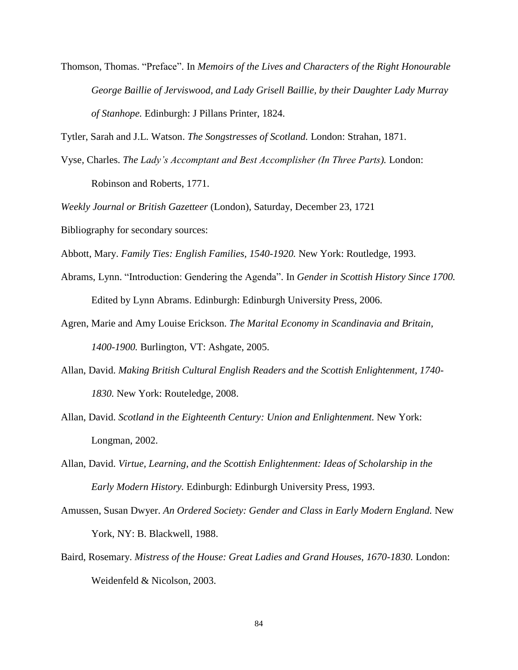Thomson, Thomas. "Preface". In *Memoirs of the Lives and Characters of the Right Honourable George Baillie of Jerviswood, and Lady Grisell Baillie, by their Daughter Lady Murray of Stanhope.* Edinburgh: J Pillans Printer, 1824.

Tytler, Sarah and J.L. Watson. *The Songstresses of Scotland.* London: Strahan, 1871.

Vyse*,* Charles. *The Lady's Accomptant and Best Accomplisher (In Three Parts).* London: Robinson and Roberts, 1771.

*Weekly Journal or British Gazetteer* (London), Saturday, December 23, 1721

Bibliography for secondary sources:

Abbott, Mary. *Family Ties: English Families, 1540-1920.* New York: Routledge, 1993.

- Abrams, Lynn. "Introduction: Gendering the Agenda". In *Gender in Scottish History Since 1700.* Edited by Lynn Abrams. Edinburgh: Edinburgh University Press, 2006.
- Agren, Marie and Amy Louise Erickson. *The Marital Economy in Scandinavia and Britain, 1400-1900.* Burlington, VT: Ashgate, 2005.
- Allan, David. *Making British Cultural English Readers and the Scottish Enlightenment, 1740- 1830.* New York: Routeledge, 2008.
- Allan, David. *Scotland in the Eighteenth Century: Union and Enlightenment.* New York: Longman, 2002.
- Allan, David. *Virtue, Learning, and the Scottish Enlightenment: Ideas of Scholarship in the Early Modern History.* Edinburgh: Edinburgh University Press, 1993.
- Amussen, Susan Dwyer. *An Ordered Society: Gender and Class in Early Modern England.* New York, NY: B. Blackwell, 1988.
- Baird, Rosemary. *Mistress of the House: Great Ladies and Grand Houses, 1670-1830.* London: Weidenfeld & Nicolson, 2003.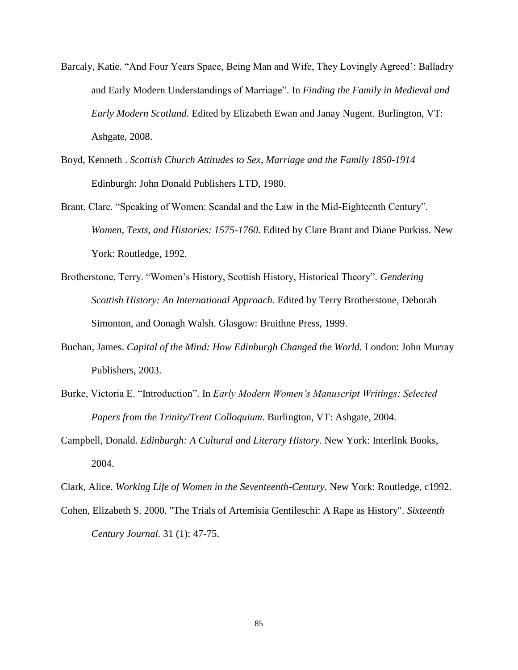- Barcaly, Katie. "And Four Years Space, Being Man and Wife, They Lovingly Agreed": Balladry and Early Modern Understandings of Marriage". In *Finding the Family in Medieval and Early Modern Scotland.* Edited by Elizabeth Ewan and Janay Nugent. Burlington, VT: Ashgate, 2008.
- Boyd, Kenneth . *Scottish Church Attitudes to Sex, Marriage and the Family 1850-1914* Edinburgh: John Donald Publishers LTD, 1980.
- Brant, Clare. "Speaking of Women: Scandal and the Law in the Mid-Eighteenth Century". *Women, Texts, and Histories: 1575-1760.* Edited by Clare Brant and Diane Purkiss. New York: Routledge, 1992.
- Brotherstone, Terry. "Women"s History, Scottish History, Historical Theory". *Gendering Scottish History: An International Approach.* Edited by Terry Brotherstone, Deborah Simonton, and Oonagh Walsh. Glasgow: Bruithne Press, 1999.
- Buchan, James. *Capital of the Mind: How Edinburgh Changed the World.* London: John Murray Publishers, 2003.
- Burke, Victoria E. "Introduction". In *Early Modern Women's Manuscript Writings: Selected Papers from the Trinity/Trent Colloquium.* Burlington, VT: Ashgate, 2004.
- Campbell, Donald. *Edinburgh: A Cultural and Literary History.* New York: Interlink Books, 2004.
- Clark, Alice. *Working Life of Women in the Seventeenth-Century.* New York: Routledge, c1992.
- Cohen, Elizabeth S. 2000. "The Trials of Artemisia Gentileschi: A Rape as History". *Sixteenth Century Journal.* 31 (1): 47-75.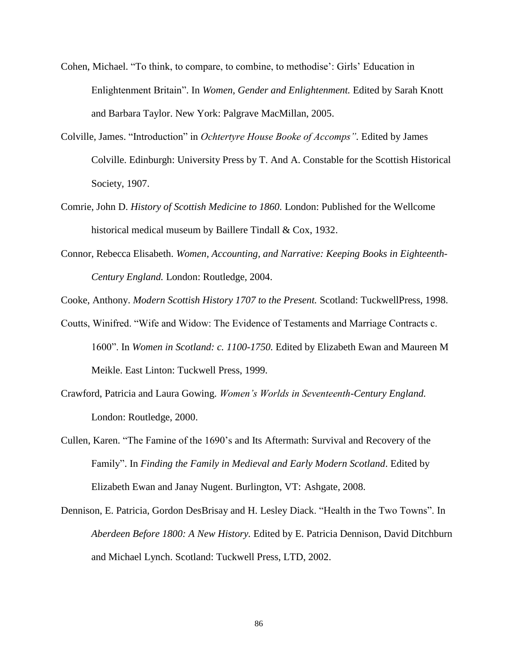- Cohen, Michael. "To think, to compare, to combine, to methodise": Girls" Education in Enlightenment Britain". In *Women, Gender and Enlightenment.* Edited by Sarah Knott and Barbara Taylor. New York: Palgrave MacMillan, 2005.
- Colville, James. "Introduction" in *Ochtertyre House Booke of Accomps".* Edited by James Colville. Edinburgh: University Press by T. And A. Constable for the Scottish Historical Society, 1907.
- Comrie, John D. *History of Scottish Medicine to 1860.* London: Published for the Wellcome historical medical museum by Baillere Tindall & Cox, 1932.
- Connor, Rebecca Elisabeth. *Women, Accounting, and Narrative: Keeping Books in Eighteenth-Century England.* London: Routledge, 2004.

Cooke, Anthony. *Modern Scottish History 1707 to the Present.* Scotland: TuckwellPress, 1998.

- Coutts, Winifred. "Wife and Widow: The Evidence of Testaments and Marriage Contracts c. 1600". In *Women in Scotland: c. 1100-1750.* Edited by Elizabeth Ewan and Maureen M Meikle. East Linton: Tuckwell Press, 1999.
- Crawford, Patricia and Laura Gowing. *Women's Worlds in Seventeenth-Century England.* London: Routledge, 2000.
- Cullen, Karen. "The Famine of the 1690"s and Its Aftermath: Survival and Recovery of the Family". In *Finding the Family in Medieval and Early Modern Scotland*. Edited by Elizabeth Ewan and Janay Nugent. Burlington, VT: Ashgate, 2008.
- Dennison, E. Patricia, Gordon DesBrisay and H. Lesley Diack. "Health in the Two Towns". In *Aberdeen Before 1800: A New History.* Edited by E. Patricia Dennison, David Ditchburn and Michael Lynch. Scotland: Tuckwell Press, LTD, 2002.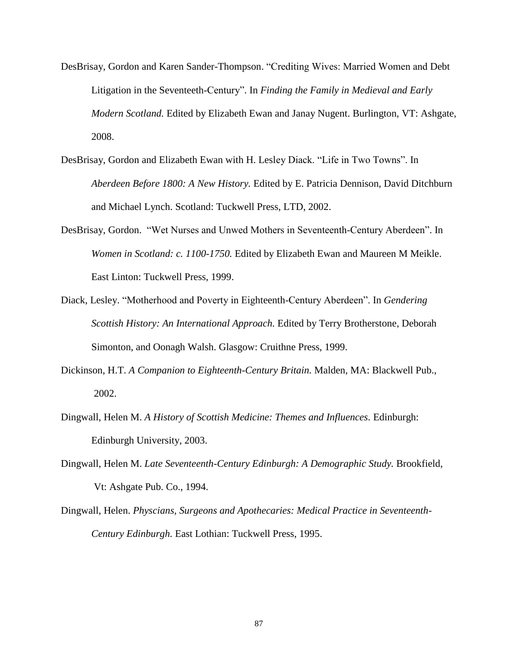- DesBrisay, Gordon and Karen Sander-Thompson. "Crediting Wives: Married Women and Debt Litigation in the Seventeeth-Century". In *Finding the Family in Medieval and Early Modern Scotland.* Edited by Elizabeth Ewan and Janay Nugent. Burlington, VT: Ashgate, 2008.
- DesBrisay, Gordon and Elizabeth Ewan with H. Lesley Diack. "Life in Two Towns". In *Aberdeen Before 1800: A New History.* Edited by E. Patricia Dennison, David Ditchburn and Michael Lynch. Scotland: Tuckwell Press, LTD, 2002.
- DesBrisay, Gordon. "Wet Nurses and Unwed Mothers in Seventeenth-Century Aberdeen". In *Women in Scotland: c. 1100-1750.* Edited by Elizabeth Ewan and Maureen M Meikle. East Linton: Tuckwell Press, 1999.
- Diack, Lesley. "Motherhood and Poverty in Eighteenth-Century Aberdeen". In *Gendering Scottish History: An International Approach.* Edited by Terry Brotherstone, Deborah Simonton, and Oonagh Walsh. Glasgow: Cruithne Press, 1999.
- Dickinson, H.T. *A Companion to Eighteenth-Century Britain.* Malden, MA: Blackwell Pub., 2002.
- Dingwall, Helen M. *A History of Scottish Medicine: Themes and Influences.* Edinburgh: Edinburgh University, 2003.
- Dingwall, Helen M. *Late Seventeenth-Century Edinburgh: A Demographic Study*. Brookfield, Vt: Ashgate Pub. Co., 1994.
- Dingwall, Helen. *Physcians, Surgeons and Apothecaries: Medical Practice in Seventeenth-Century Edinburgh.* East Lothian: Tuckwell Press, 1995.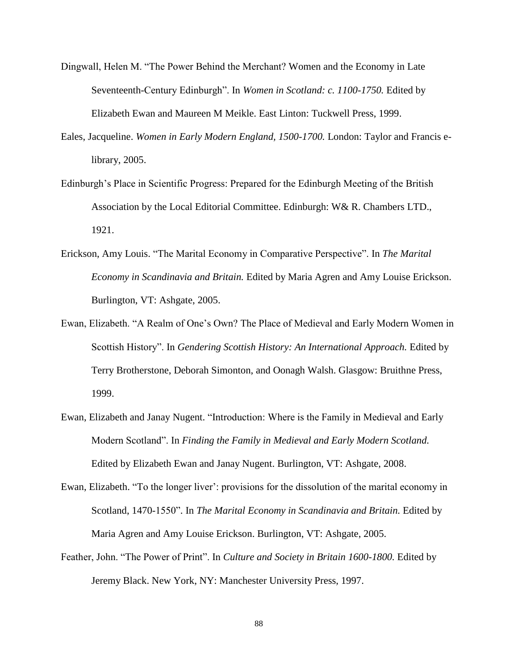- Dingwall, Helen M. "The Power Behind the Merchant? Women and the Economy in Late Seventeenth-Century Edinburgh". In *Women in Scotland: c. 1100-1750.* Edited by Elizabeth Ewan and Maureen M Meikle. East Linton: Tuckwell Press, 1999.
- Eales, Jacqueline. *Women in Early Modern England, 1500-1700.* London: Taylor and Francis elibrary, 2005.
- Edinburgh"s Place in Scientific Progress: Prepared for the Edinburgh Meeting of the British Association by the Local Editorial Committee. Edinburgh: W& R. Chambers LTD., 1921.
- Erickson, Amy Louis. "The Marital Economy in Comparative Perspective". In *The Marital Economy in Scandinavia and Britain.* Edited by Maria Agren and Amy Louise Erickson. Burlington, VT: Ashgate, 2005.
- Ewan, Elizabeth. "A Realm of One"s Own? The Place of Medieval and Early Modern Women in Scottish History". In *Gendering Scottish History: An International Approach*. Edited by Terry Brotherstone, Deborah Simonton, and Oonagh Walsh. Glasgow: Bruithne Press, 1999.
- Ewan, Elizabeth and Janay Nugent. "Introduction: Where is the Family in Medieval and Early Modern Scotland". In *Finding the Family in Medieval and Early Modern Scotland.* Edited by Elizabeth Ewan and Janay Nugent. Burlington, VT: Ashgate, 2008.
- Ewan, Elizabeth. "To the longer liver": provisions for the dissolution of the marital economy in Scotland, 1470-1550". In *The Marital Economy in Scandinavia and Britain.* Edited by Maria Agren and Amy Louise Erickson. Burlington, VT: Ashgate, 2005.
- Feather, John. "The Power of Print". In *Culture and Society in Britain 1600-1800.* Edited by Jeremy Black. New York, NY: Manchester University Press, 1997.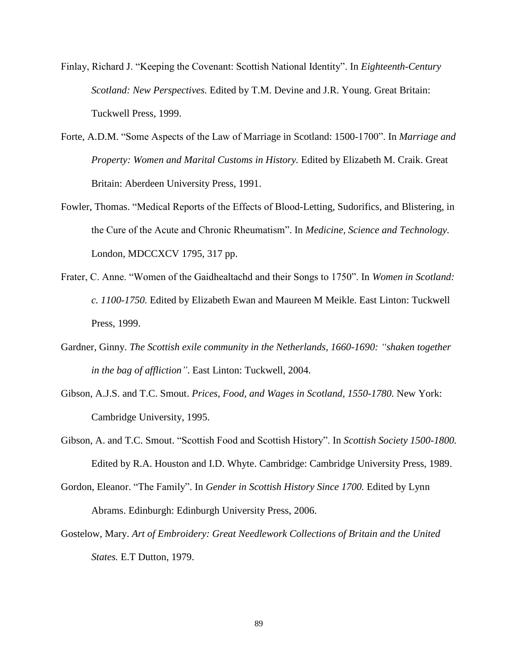- Finlay, Richard J. "Keeping the Covenant: Scottish National Identity". In *Eighteenth-Century Scotland: New Perspectives.* Edited by T.M. Devine and J.R. Young. Great Britain: Tuckwell Press, 1999.
- Forte, A.D.M. "Some Aspects of the Law of Marriage in Scotland: 1500-1700". In *Marriage and Property: Women and Marital Customs in History.* Edited by Elizabeth M. Craik. Great Britain: Aberdeen University Press, 1991.
- Fowler, Thomas. "Medical Reports of the Effects of Blood-Letting, Sudorifics, and Blistering, in the Cure of the Acute and Chronic Rheumatism". In *Medicine, Science and Technology.* London, MDCCXCV 1795, 317 pp.
- Frater, C. Anne. "Women of the Gaidhealtachd and their Songs to 1750". In *Women in Scotland: c. 1100-1750.* Edited by Elizabeth Ewan and Maureen M Meikle. East Linton: Tuckwell Press, 1999.
- Gardner, Ginny. *The Scottish exile community in the Netherlands, 1660-1690: "shaken together in the bag of affliction"*. East Linton: Tuckwell, 2004.
- Gibson, A.J.S. and T.C. Smout. *Prices, Food, and Wages in Scotland, 1550-1780.* New York: Cambridge University, 1995.
- Gibson, A. and T.C. Smout. "Scottish Food and Scottish History". In *Scottish Society 1500-1800.* Edited by R.A. Houston and I.D. Whyte. Cambridge: Cambridge University Press, 1989.
- Gordon, Eleanor. "The Family". In *Gender in Scottish History Since 1700.* Edited by Lynn Abrams. Edinburgh: Edinburgh University Press, 2006.
- Gostelow, Mary. *Art of Embroidery: Great Needlework Collections of Britain and the United States.* E.T Dutton, 1979.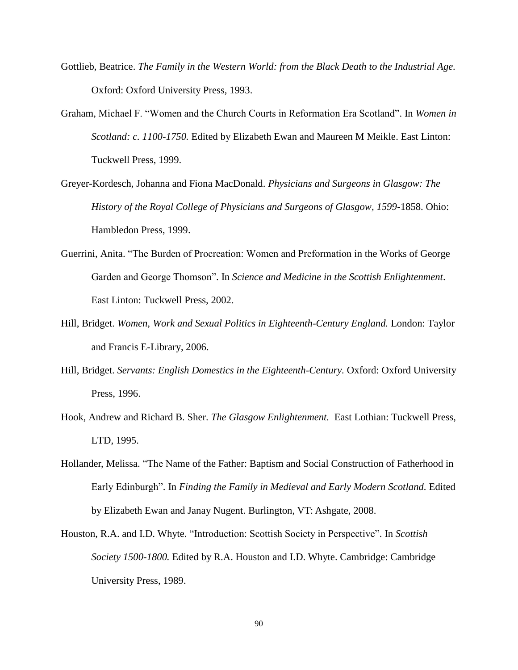- Gottlieb, Beatrice. *The Family in the Western World: from the Black Death to the Industrial Age.* Oxford: Oxford University Press, 1993.
- Graham, Michael F. "Women and the Church Courts in Reformation Era Scotland". In *Women in Scotland: c. 1100-1750.* Edited by Elizabeth Ewan and Maureen M Meikle. East Linton: Tuckwell Press, 1999.
- Greyer-Kordesch, Johanna and Fiona MacDonald. *Physicians and Surgeons in Glasgow: The History of the Royal College of Physicians and Surgeons of Glasgow, 1599-*1858. Ohio: Hambledon Press, 1999.
- Guerrini, Anita. "The Burden of Procreation: Women and Preformation in the Works of George Garden and George Thomson". In *Science and Medicine in the Scottish Enlightenment*. East Linton: Tuckwell Press, 2002.
- Hill, Bridget. *Women, Work and Sexual Politics in Eighteenth-Century England.* London: Taylor and Francis E-Library, 2006.
- Hill, Bridget. *Servants: English Domestics in the Eighteenth-Century.* Oxford: Oxford University Press, 1996.
- Hook, Andrew and Richard B. Sher. *The Glasgow Enlightenment.* East Lothian: Tuckwell Press, LTD, 1995.
- Hollander, Melissa. "The Name of the Father: Baptism and Social Construction of Fatherhood in Early Edinburgh". In *Finding the Family in Medieval and Early Modern Scotland.* Edited by Elizabeth Ewan and Janay Nugent. Burlington, VT: Ashgate, 2008.
- Houston, R.A. and I.D. Whyte. "Introduction: Scottish Society in Perspective". In *Scottish Society 1500-1800.* Edited by R.A. Houston and I.D. Whyte. Cambridge: Cambridge University Press, 1989.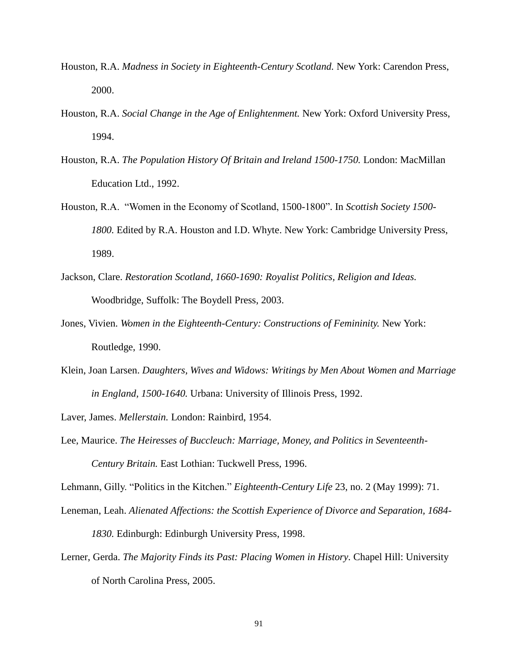- Houston, R.A. *Madness in Society in Eighteenth-Century Scotland.* New York: Carendon Press, 2000.
- Houston, R.A. *Social Change in the Age of Enlightenment.* New York: Oxford University Press, 1994.
- Houston, R.A. *The Population History Of Britain and Ireland 1500-1750.* London: MacMillan Education Ltd., 1992.
- Houston, R.A. "Women in the Economy of Scotland, 1500-1800". In *Scottish Society 1500- 1800.* Edited by R.A. Houston and I.D. Whyte. New York: Cambridge University Press, 1989.
- Jackson, Clare. *Restoration Scotland, 1660-1690: Royalist Politics, Religion and Ideas.* Woodbridge, Suffolk: The Boydell Press, 2003.
- Jones, Vivien. *Women in the Eighteenth-Century: Constructions of Femininity.* New York: Routledge, 1990.
- Klein, Joan Larsen. *Daughters, Wives and Widows: Writings by Men About Women and Marriage in England, 1500-1640.* Urbana: University of Illinois Press, 1992.

Laver, James. *Mellerstain.* London: Rainbird, 1954.

Lee, Maurice. *The Heiresses of Buccleuch: Marriage, Money, and Politics in Seventeenth-Century Britain.* East Lothian: Tuckwell Press, 1996.

Lehmann, Gilly. "Politics in the Kitchen." *Eighteenth-Century Life* 23, no. 2 (May 1999): 71.

- Leneman, Leah. *Alienated Affections: the Scottish Experience of Divorce and Separation, 1684- 1830.* Edinburgh: Edinburgh University Press, 1998.
- Lerner, Gerda. *The Majority Finds its Past: Placing Women in History.* Chapel Hill: University of North Carolina Press, 2005.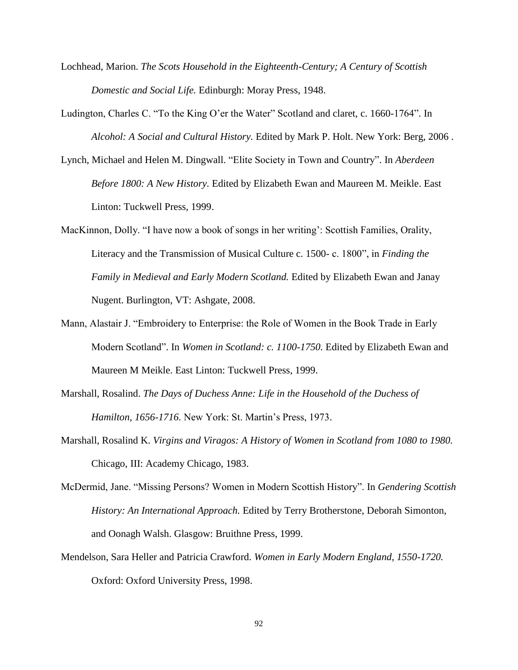- Lochhead, Marion. *The Scots Household in the Eighteenth-Century; A Century of Scottish Domestic and Social Life.* Edinburgh: Moray Press, 1948.
- Ludington, Charles C. "To the King O"er the Water" Scotland and claret, c. 1660-1764". In *Alcohol: A Social and Cultural History.* Edited by Mark P. Holt. New York: Berg, 2006 .
- Lynch, Michael and Helen M. Dingwall. "Elite Society in Town and Country". In *Aberdeen Before 1800: A New History.* Edited by Elizabeth Ewan and Maureen M. Meikle. East Linton: Tuckwell Press, 1999.
- MacKinnon, Dolly. "I have now a book of songs in her writing': Scottish Families, Orality, Literacy and the Transmission of Musical Culture c. 1500- c. 1800", in *Finding the Family in Medieval and Early Modern Scotland.* Edited by Elizabeth Ewan and Janay Nugent. Burlington, VT: Ashgate, 2008.
- Mann, Alastair J. "Embroidery to Enterprise: the Role of Women in the Book Trade in Early Modern Scotland". In *Women in Scotland: c. 1100-1750.* Edited by Elizabeth Ewan and Maureen M Meikle. East Linton: Tuckwell Press, 1999.
- Marshall, Rosalind. *The Days of Duchess Anne: Life in the Household of the Duchess of Hamilton, 1656-1716.* New York: St. Martin"s Press, 1973.
- Marshall, Rosalind K. *Virgins and Viragos: A History of Women in Scotland from 1080 to 1980.* Chicago, III: Academy Chicago, 1983.
- McDermid, Jane. "Missing Persons? Women in Modern Scottish History". In *Gendering Scottish History: An International Approach.* Edited by Terry Brotherstone, Deborah Simonton, and Oonagh Walsh. Glasgow: Bruithne Press, 1999.
- Mendelson, Sara Heller and Patricia Crawford. *Women in Early Modern England, 1550-1720.* Oxford: Oxford University Press, 1998.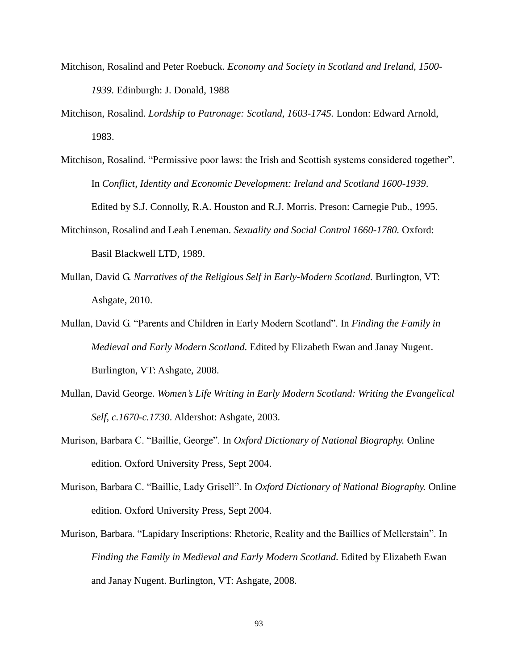- Mitchison, Rosalind and Peter Roebuck. *Economy and Society in Scotland and Ireland, 1500- 1939.* Edinburgh: J. Donald, 1988
- Mitchison, Rosalind. *Lordship to Patronage: Scotland, 1603-1745.* London: Edward Arnold, 1983.
- Mitchison, Rosalind. "Permissive poor laws: the Irish and Scottish systems considered together". In *Conflict, Identity and Economic Development: Ireland and Scotland 1600-1939*. Edited by S.J. Connolly, R.A. Houston and R.J. Morris. Preson: Carnegie Pub., 1995.
- Mitchinson, Rosalind and Leah Leneman. *Sexuality and Social Control 1660-1780.* Oxford: Basil Blackwell LTD, 1989.
- Mullan, David G. *Narratives of the Religious Self in Early-Modern Scotland.* Burlington, VT: Ashgate, 2010.
- Mullan, David G. "Parents and Children in Early Modern Scotland". In *Finding the Family in Medieval and Early Modern Scotland.* Edited by Elizabeth Ewan and Janay Nugent. Burlington, VT: Ashgate, 2008.
- Mullan, David George. *Women's Life Writing in Early Modern Scotland: Writing the Evangelical Self, c.1670-c.1730*. Aldershot: Ashgate, 2003.
- Murison, Barbara C. "Baillie, George". In *Oxford Dictionary of National Biography.* Online edition. Oxford University Press, Sept 2004.
- Murison, Barbara C. "Baillie, Lady Grisell". In *Oxford Dictionary of National Biography.* Online edition. Oxford University Press, Sept 2004.
- Murison, Barbara. "Lapidary Inscriptions: Rhetoric, Reality and the Baillies of Mellerstain". In *Finding the Family in Medieval and Early Modern Scotland.* Edited by Elizabeth Ewan and Janay Nugent. Burlington, VT: Ashgate, 2008.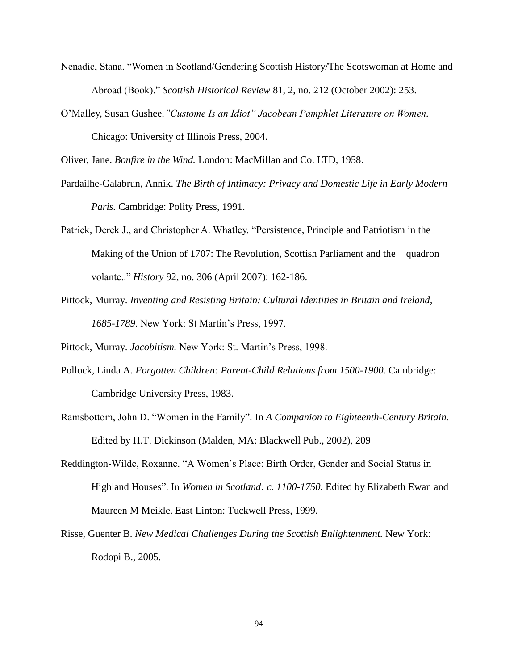- Nenadic, Stana. "Women in Scotland/Gendering Scottish History/The Scotswoman at Home and Abroad (Book)." *Scottish Historical Review* 81, 2, no. 212 (October 2002): 253.
- O"Malley, Susan Gushee.*"Custome Is an Idiot" Jacobean Pamphlet Literature on Women.* Chicago: University of Illinois Press, 2004.

Oliver, Jane. *Bonfire in the Wind.* London: MacMillan and Co. LTD, 1958.

- Pardailhe-Galabrun, Annik. *The Birth of Intimacy: Privacy and Domestic Life in Early Modern Paris.* Cambridge: Polity Press, 1991.
- Patrick, Derek J., and Christopher A. Whatley. "Persistence, Principle and Patriotism in the Making of the Union of 1707: The Revolution, Scottish Parliament and the quadron volante.." *History* 92, no. 306 (April 2007): 162-186.
- Pittock, Murray. *Inventing and Resisting Britain: Cultural Identities in Britain and Ireland, 1685-1789*. New York: St Martin"s Press, 1997.
- Pittock, Murray. *Jacobitism*. New York: St. Martin's Press, 1998.
- Pollock, Linda A. *Forgotten Children: Parent-Child Relations from 1500-1900.* Cambridge: Cambridge University Press, 1983.
- Ramsbottom, John D. "Women in the Family". In *A Companion to Eighteenth-Century Britain.* Edited by H.T. Dickinson (Malden, MA: Blackwell Pub., 2002), 209
- Reddington-Wilde, Roxanne. "A Women"s Place: Birth Order, Gender and Social Status in Highland Houses". In *Women in Scotland: c. 1100-1750.* Edited by Elizabeth Ewan and Maureen M Meikle. East Linton: Tuckwell Press, 1999.
- Risse, Guenter B. *New Medical Challenges During the Scottish Enlightenment.* New York: Rodopi B., 2005.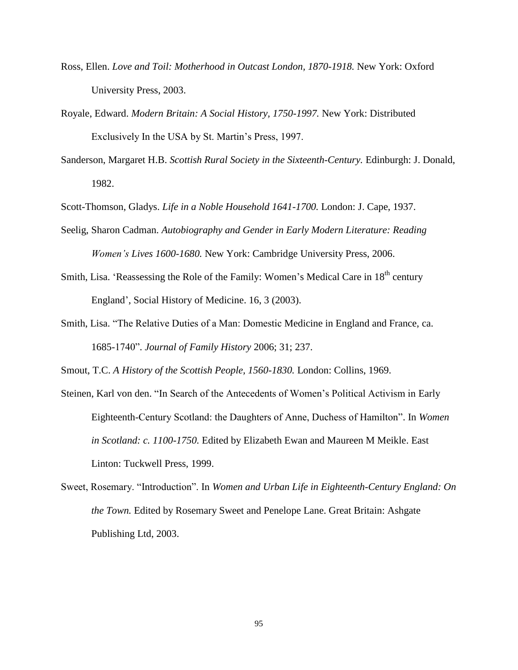- Ross, Ellen. *Love and Toil: Motherhood in Outcast London, 1870-1918.* New York: Oxford University Press, 2003.
- Royale, Edward. *Modern Britain: A Social History, 1750-1997.* New York: Distributed Exclusively In the USA by St. Martin's Press, 1997.
- Sanderson, Margaret H.B. *Scottish Rural Society in the Sixteenth-Century.* Edinburgh: J. Donald, 1982.

Scott-Thomson, Gladys. *Life in a Noble Household 1641-1700.* London: J. Cape, 1937.

- Seelig, Sharon Cadman. *Autobiography and Gender in Early Modern Literature: Reading Women's Lives 1600-1680.* New York: Cambridge University Press, 2006.
- Smith, Lisa. 'Reassessing the Role of the Family: Women's Medical Care in 18<sup>th</sup> century England", Social History of Medicine. 16, 3 (2003).
- Smith, Lisa. "The Relative Duties of a Man: Domestic Medicine in England and France, ca. 1685-1740". *Journal of Family History* 2006; 31; 237.

Smout, T.C. *A History of the Scottish People, 1560-1830.* London: Collins, 1969.

- Steinen, Karl von den. "In Search of the Antecedents of Women"s Political Activism in Early Eighteenth-Century Scotland: the Daughters of Anne, Duchess of Hamilton". In *Women in Scotland: c. 1100-1750.* Edited by Elizabeth Ewan and Maureen M Meikle. East Linton: Tuckwell Press, 1999.
- Sweet, Rosemary. "Introduction". In *Women and Urban Life in Eighteenth-Century England: On the Town.* Edited by Rosemary Sweet and Penelope Lane. Great Britain: Ashgate Publishing Ltd, 2003.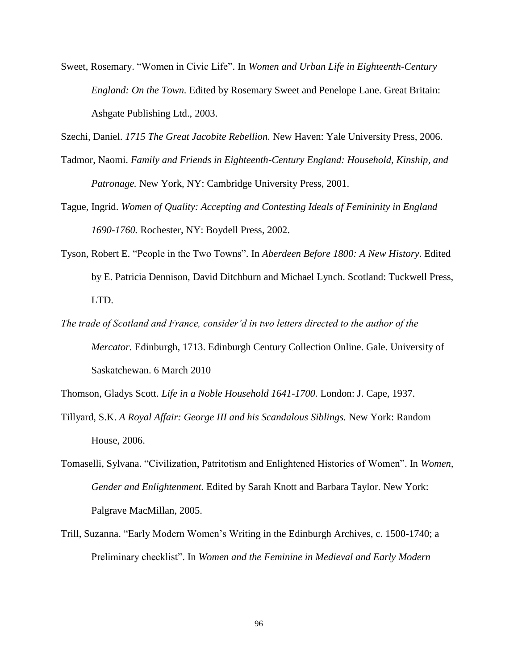Sweet, Rosemary. "Women in Civic Life". In *Women and Urban Life in Eighteenth-Century England: On the Town.* Edited by Rosemary Sweet and Penelope Lane. Great Britain: Ashgate Publishing Ltd., 2003.

Szechi, Daniel. *1715 The Great Jacobite Rebellion.* New Haven: Yale University Press, 2006.

- Tadmor, Naomi. *Family and Friends in Eighteenth-Century England: Household, Kinship, and Patronage.* New York, NY: Cambridge University Press, 2001.
- Tague, Ingrid. *Women of Quality: Accepting and Contesting Ideals of Femininity in England 1690-1760.* Rochester, NY: Boydell Press, 2002.
- Tyson, Robert E. "People in the Two Towns". In *Aberdeen Before 1800: A New History*. Edited by E. Patricia Dennison, David Ditchburn and Michael Lynch. Scotland: Tuckwell Press, LTD.
- *The trade of Scotland and France, consider'd in two letters directed to the author of the Mercator.* Edinburgh, 1713. Edinburgh Century Collection Online. Gale. University of Saskatchewan. 6 March 2010

Thomson, Gladys Scott. *Life in a Noble Household 1641-1700.* London: J. Cape, 1937.

- Tillyard, S.K. *A Royal Affair: George III and his Scandalous Siblings.* New York: Random House, 2006.
- Tomaselli, Sylvana. "Civilization, Patritotism and Enlightened Histories of Women". In *Women, Gender and Enlightenment.* Edited by Sarah Knott and Barbara Taylor. New York: Palgrave MacMillan, 2005.
- Trill, Suzanna. "Early Modern Women"s Writing in the Edinburgh Archives, c. 1500-1740; a Preliminary checklist". In *Women and the Feminine in Medieval and Early Modern*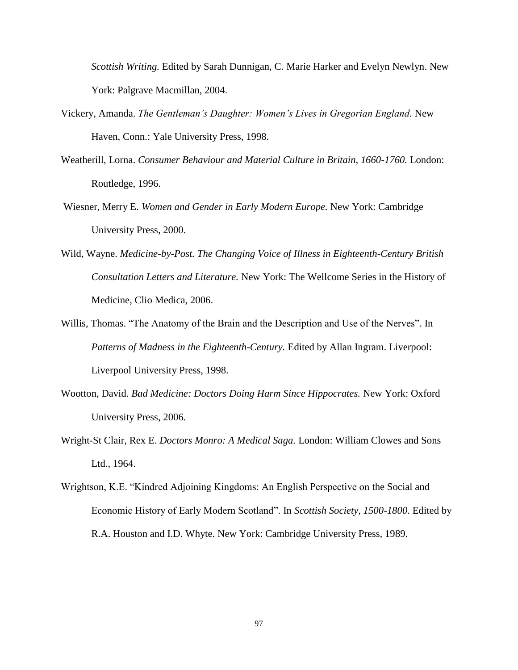*Scottish Writing.* Edited by Sarah Dunnigan, C. Marie Harker and Evelyn Newlyn. New York: Palgrave Macmillan, 2004.

- Vickery, Amanda. *The Gentleman's Daughter: Women's Lives in Gregorian England.* New Haven, Conn.: Yale University Press, 1998.
- Weatherill, Lorna. *Consumer Behaviour and Material Culture in Britain, 1660-1760.* London: Routledge, 1996.
- Wiesner, Merry E. *Women and Gender in Early Modern Europe.* New York: Cambridge University Press, 2000.
- Wild, Wayne. *Medicine-by-Post. The Changing Voice of Illness in Eighteenth-Century British Consultation Letters and Literature.* New York: The Wellcome Series in the History of Medicine, Clio Medica, 2006.
- Willis, Thomas. "The Anatomy of the Brain and the Description and Use of the Nerves". In *Patterns of Madness in the Eighteenth-Century.* Edited by Allan Ingram. Liverpool: Liverpool University Press, 1998.
- Wootton, David. *Bad Medicine: Doctors Doing Harm Since Hippocrates.* New York: Oxford University Press, 2006.
- Wright-St Clair, Rex E. *Doctors Monro: A Medical Saga.* London: William Clowes and Sons Ltd., 1964.
- Wrightson, K.E. "Kindred Adjoining Kingdoms: An English Perspective on the Social and Economic History of Early Modern Scotland". In *Scottish Society, 1500-1800.* Edited by R.A. Houston and I.D. Whyte. New York: Cambridge University Press, 1989.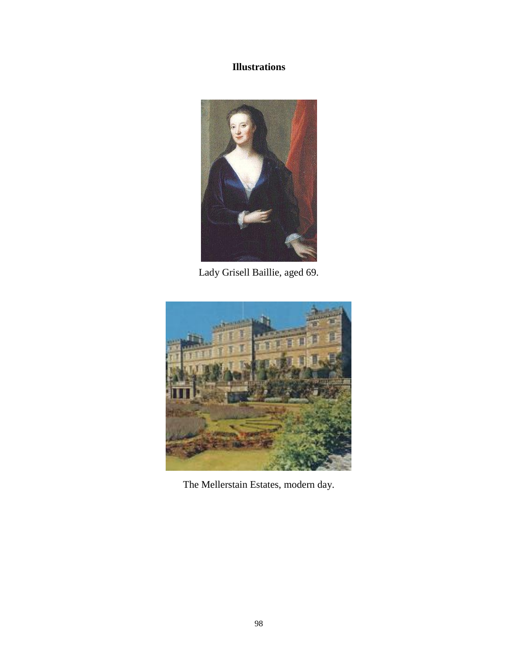## **Illustrations**



Lady Grisell Baillie, aged 69.



The Mellerstain Estates, modern day.